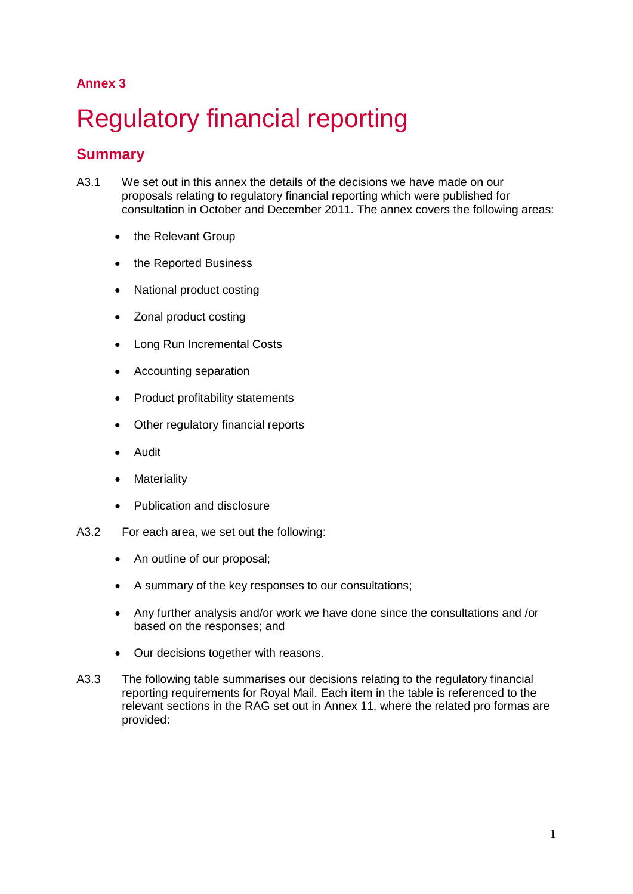# **Annex 3**

# **Regulatory financial reporting**

# **Summary**

- A3.1 We set out in this annex the details of the decisions we have made on our proposals relating to regulatory financial reporting which were published for consultation in October and December 2011. The annex covers the following areas:
	- the Relevant Group
	- the Reported Business
	- National product costing
	- Zonal product costing
	- Long Run Incremental Costs
	- Accounting separation
	- Product profitability statements
	- Other regulatory financial reports
	- Audit
	- **Materiality**
	- Publication and disclosure
- A3.2 For each area, we set out the following:
	- An outline of our proposal;
	- A summary of the key responses to our consultations;
	- Any further analysis and/or work we have done since the consultations and /or based on the responses; and
	- Our decisions together with reasons.
- A3.3 The following table summarises our decisions relating to the regulatory financial reporting requirements for Royal Mail. Each item in the table is referenced to the relevant sections in the RAG set out in Annex 11, where the related pro formas are provided: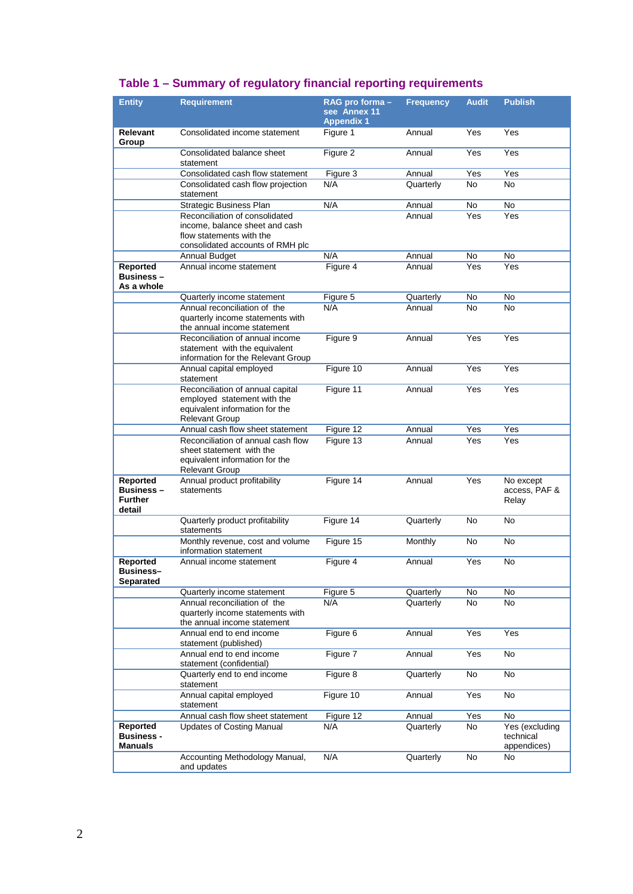# **Table 1 – Summary of regulatory financial reporting requirements**

| <b>Entity</b>                                            | Requirement                                                                                                                      | RAG pro forma -<br>see Annex 11<br><b>Appendix 1</b> | <b>Frequency</b> | <b>Audit</b> | <b>Publish</b>                             |
|----------------------------------------------------------|----------------------------------------------------------------------------------------------------------------------------------|------------------------------------------------------|------------------|--------------|--------------------------------------------|
| <b>Relevant</b><br>Group                                 | Consolidated income statement                                                                                                    | Figure 1                                             | Annual           | Yes          | Yes                                        |
|                                                          | Consolidated balance sheet<br>statement                                                                                          | Figure 2                                             | Annual           | Yes          | Yes                                        |
|                                                          | Consolidated cash flow statement                                                                                                 | Figure 3                                             | Annual           | Yes          | Yes                                        |
|                                                          | Consolidated cash flow projection<br>statement                                                                                   | N/A                                                  | Quarterly        | No           | No.                                        |
|                                                          | Strategic Business Plan                                                                                                          | N/A                                                  | Annual           | No           | No.                                        |
|                                                          | Reconciliation of consolidated<br>income, balance sheet and cash<br>flow statements with the<br>consolidated accounts of RMH plc |                                                      | Annual           | Yes          | Yes                                        |
|                                                          | <b>Annual Budget</b>                                                                                                             | N/A                                                  | Annual           | No           | No.                                        |
| Reported<br><b>Business –</b><br>As a whole              | Annual income statement                                                                                                          | Figure 4                                             | Annual           | Yes          | Yes                                        |
|                                                          | Quarterly income statement                                                                                                       | Figure 5                                             | Quarterly        | No           | No.                                        |
|                                                          | Annual reconciliation of the<br>quarterly income statements with<br>the annual income statement                                  | N/A                                                  | Annual           | No.          | No.                                        |
|                                                          | Reconciliation of annual income<br>statement with the equivalent<br>information for the Relevant Group                           | Figure 9                                             | Annual           | Yes          | Yes                                        |
|                                                          | Annual capital employed<br>statement                                                                                             | Figure 10                                            | Annual           | Yes          | Yes                                        |
|                                                          | Reconciliation of annual capital<br>employed statement with the<br>equivalent information for the<br><b>Relevant Group</b>       | Figure 11                                            | Annual           | Yes          | Yes                                        |
|                                                          | Annual cash flow sheet statement                                                                                                 | Figure 12                                            | Annual           | Yes          | Yes                                        |
|                                                          | Reconciliation of annual cash flow<br>sheet statement with the<br>equivalent information for the<br><b>Relevant Group</b>        | Figure 13                                            | Annual           | Yes          | Yes                                        |
| Reported<br><b>Business-</b><br><b>Further</b><br>detail | Annual product profitability<br>statements                                                                                       | Figure 14                                            | Annual           | Yes          | No except<br>access, PAF &<br>Relay        |
|                                                          | Quarterly product profitability<br>statements                                                                                    | Figure 14                                            | Quarterly        | No           | No.                                        |
|                                                          | Monthly revenue, cost and volume<br>information statement                                                                        | Figure 15                                            | Monthly          | No           | No.                                        |
| Reported<br>Business–<br>Separated                       | Annual income statement                                                                                                          | Figure 4                                             | Annual           | Yes          | No.                                        |
|                                                          | Quarterly income statement                                                                                                       | Figure 5                                             | Quarterly        | No           | No                                         |
|                                                          | Annual reconciliation of the<br>quarterly income statements with<br>the annual income statement                                  | N/A                                                  | Quarterly        | No           | No                                         |
|                                                          | Annual end to end income<br>statement (published)                                                                                | Figure 6                                             | Annual           | Yes          | Yes                                        |
|                                                          | Annual end to end income<br>statement (confidential)                                                                             | Figure 7                                             | Annual           | Yes          | No                                         |
|                                                          | Quarterly end to end income<br>statement                                                                                         | Figure 8                                             | Quarterly        | No           | No                                         |
|                                                          | Annual capital employed<br>statement                                                                                             | Figure 10                                            | Annual           | Yes          | No                                         |
|                                                          | Annual cash flow sheet statement                                                                                                 | Figure 12                                            | Annual           | Yes          | No                                         |
| Reported<br><b>Business -</b><br>Manuals                 | <b>Updates of Costing Manual</b>                                                                                                 | N/A                                                  | Quarterly        | No           | Yes (excluding<br>technical<br>appendices) |
|                                                          | Accounting Methodology Manual,<br>and updates                                                                                    | N/A                                                  | Quarterly        | No           | No                                         |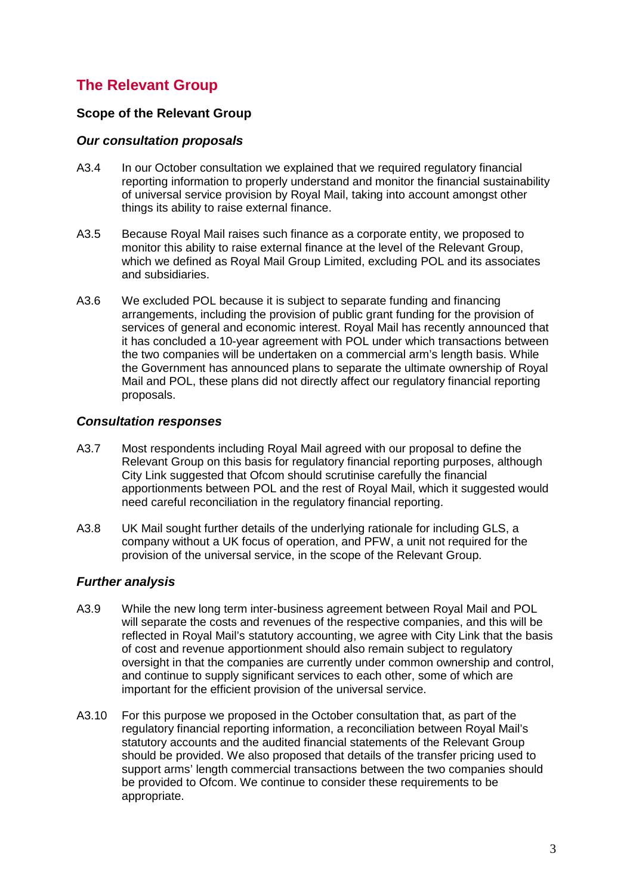# **The Relevant Group**

#### **Scope of the Relevant Group**

#### *Our consultation proposals*

- A3.4 In our October consultation we explained that we required regulatory financial reporting information to properly understand and monitor the financial sustainability of universal service provision by Royal Mail, taking into account amongst other things its ability to raise external finance.
- A3.5 Because Royal Mail raises such finance as a corporate entity, we proposed to monitor this ability to raise external finance at the level of the Relevant Group, which we defined as Royal Mail Group Limited, excluding POL and its associates and subsidiaries.
- A3.6 We excluded POL because it is subject to separate funding and financing arrangements, including the provision of public grant funding for the provision of services of general and economic interest. Royal Mail has recently announced that it has concluded a 10-year agreement with POL under which transactions between the two companies will be undertaken on a commercial arm's length basis. While the Government has announced plans to separate the ultimate ownership of Royal Mail and POL, these plans did not directly affect our regulatory financial reporting proposals.

#### *Consultation responses*

- A3.7 Most respondents including Royal Mail agreed with our proposal to define the Relevant Group on this basis for regulatory financial reporting purposes, although City Link suggested that Ofcom should scrutinise carefully the financial apportionments between POL and the rest of Royal Mail, which it suggested would need careful reconciliation in the regulatory financial reporting.
- A3.8 UK Mail sought further details of the underlying rationale for including GLS, a company without a UK focus of operation, and PFW, a unit not required for the provision of the universal service, in the scope of the Relevant Group.

#### *Further analysis*

- A3.9 While the new long term inter-business agreement between Royal Mail and POL will separate the costs and revenues of the respective companies, and this will be reflected in Royal Mail's statutory accounting, we agree with City Link that the basis of cost and revenue apportionment should also remain subject to regulatory oversight in that the companies are currently under common ownership and control, and continue to supply significant services to each other, some of which are important for the efficient provision of the universal service.
- A3.10 For this purpose we proposed in the October consultation that, as part of the regulatory financial reporting information, a reconciliation between Royal Mail's statutory accounts and the audited financial statements of the Relevant Group should be provided. We also proposed that details of the transfer pricing used to support arms' length commercial transactions between the two companies should be provided to Ofcom. We continue to consider these requirements to be appropriate.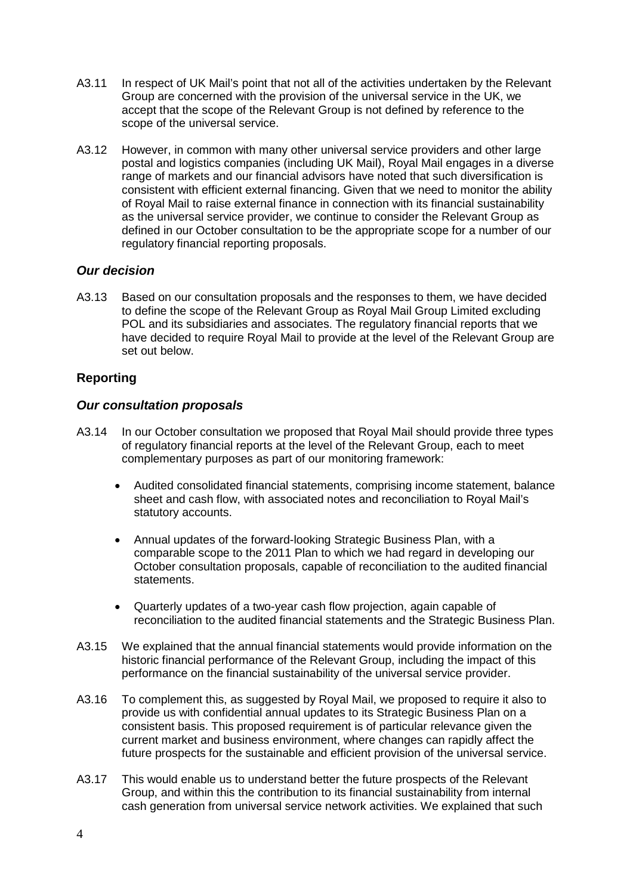- A3.11 In respect of UK Mail's point that not all of the activities undertaken by the Relevant Group are concerned with the provision of the universal service in the UK, we accept that the scope of the Relevant Group is not defined by reference to the scope of the universal service.
- A3.12 However, in common with many other universal service providers and other large postal and logistics companies (including UK Mail), Royal Mail engages in a diverse range of markets and our financial advisors have noted that such diversification is consistent with efficient external financing. Given that we need to monitor the ability of Royal Mail to raise external finance in connection with its financial sustainability as the universal service provider, we continue to consider the Relevant Group as defined in our October consultation to be the appropriate scope for a number of our regulatory financial reporting proposals.

#### *Our decision*

A3.13 Based on our consultation proposals and the responses to them, we have decided to define the scope of the Relevant Group as Royal Mail Group Limited excluding POL and its subsidiaries and associates. The regulatory financial reports that we have decided to require Royal Mail to provide at the level of the Relevant Group are set out below.

# **Reporting**

### *Our consultation proposals*

- A3.14 In our October consultation we proposed that Royal Mail should provide three types of regulatory financial reports at the level of the Relevant Group, each to meet complementary purposes as part of our monitoring framework:
	- Audited consolidated financial statements, comprising income statement, balance sheet and cash flow, with associated notes and reconciliation to Royal Mail's statutory accounts.
	- Annual updates of the forward-looking Strategic Business Plan, with a comparable scope to the 2011 Plan to which we had regard in developing our October consultation proposals, capable of reconciliation to the audited financial statements.
	- Quarterly updates of a two-year cash flow projection, again capable of reconciliation to the audited financial statements and the Strategic Business Plan.
- A3.15 We explained that the annual financial statements would provide information on the historic financial performance of the Relevant Group, including the impact of this performance on the financial sustainability of the universal service provider.
- A3.16 To complement this, as suggested by Royal Mail, we proposed to require it also to provide us with confidential annual updates to its Strategic Business Plan on a consistent basis. This proposed requirement is of particular relevance given the current market and business environment, where changes can rapidly affect the future prospects for the sustainable and efficient provision of the universal service.
- A3.17 This would enable us to understand better the future prospects of the Relevant Group, and within this the contribution to its financial sustainability from internal cash generation from universal service network activities. We explained that such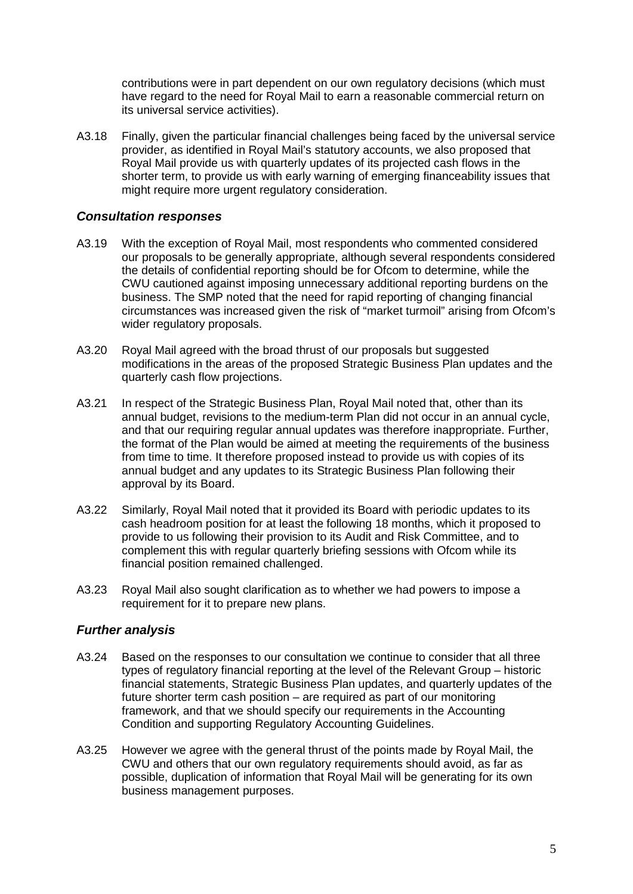contributions were in part dependent on our own regulatory decisions (which must have regard to the need for Royal Mail to earn a reasonable commercial return on its universal service activities).

A3.18 Finally, given the particular financial challenges being faced by the universal service provider, as identified in Royal Mail's statutory accounts, we also proposed that Royal Mail provide us with quarterly updates of its projected cash flows in the shorter term, to provide us with early warning of emerging financeability issues that might require more urgent regulatory consideration.

#### *Consultation responses*

- A3.19 With the exception of Royal Mail, most respondents who commented considered our proposals to be generally appropriate, although several respondents considered the details of confidential reporting should be for Ofcom to determine, while the CWU cautioned against imposing unnecessary additional reporting burdens on the business. The SMP noted that the need for rapid reporting of changing financial circumstances was increased given the risk of "market turmoil" arising from Ofcom's wider regulatory proposals.
- A3.20 Royal Mail agreed with the broad thrust of our proposals but suggested modifications in the areas of the proposed Strategic Business Plan updates and the quarterly cash flow projections.
- A3.21 In respect of the Strategic Business Plan, Royal Mail noted that, other than its annual budget, revisions to the medium-term Plan did not occur in an annual cycle, and that our requiring regular annual updates was therefore inappropriate. Further, the format of the Plan would be aimed at meeting the requirements of the business from time to time. It therefore proposed instead to provide us with copies of its annual budget and any updates to its Strategic Business Plan following their approval by its Board.
- A3.22 Similarly, Royal Mail noted that it provided its Board with periodic updates to its cash headroom position for at least the following 18 months, which it proposed to provide to us following their provision to its Audit and Risk Committee, and to complement this with regular quarterly briefing sessions with Ofcom while its financial position remained challenged.
- A3.23 Royal Mail also sought clarification as to whether we had powers to impose a requirement for it to prepare new plans.

#### *Further analysis*

- A3.24 Based on the responses to our consultation we continue to consider that all three types of regulatory financial reporting at the level of the Relevant Group – historic financial statements, Strategic Business Plan updates, and quarterly updates of the future shorter term cash position – are required as part of our monitoring framework, and that we should specify our requirements in the Accounting Condition and supporting Regulatory Accounting Guidelines.
- A3.25 However we agree with the general thrust of the points made by Royal Mail, the CWU and others that our own regulatory requirements should avoid, as far as possible, duplication of information that Royal Mail will be generating for its own business management purposes.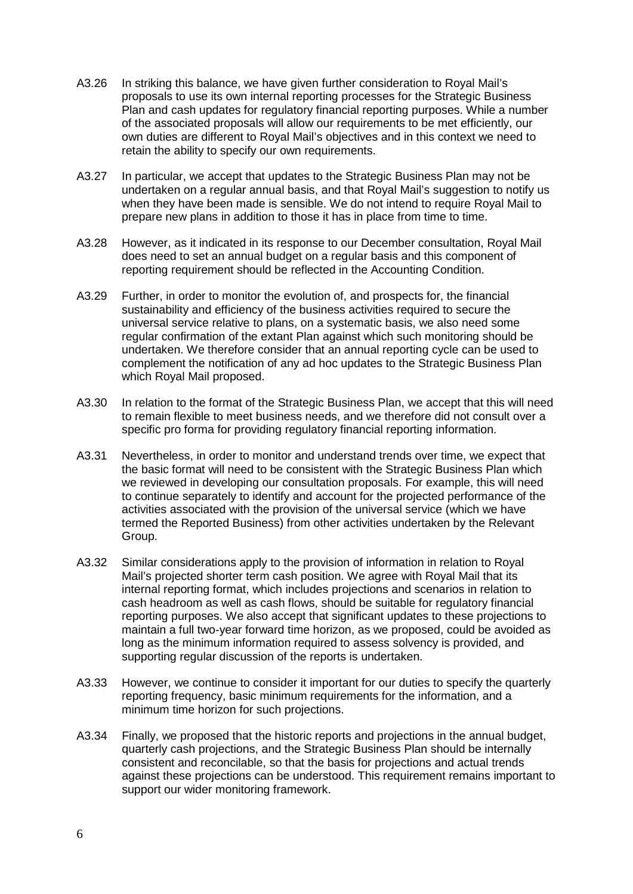- A3.26 In striking this balance, we have given further consideration to Royal Mail's proposals to use its own internal reporting processes for the Strategic Business Plan and cash updates for regulatory financial reporting purposes. While a number of the associated proposals will allow our requirements to be met efficiently, our own duties are different to Royal Mail's objectives and in this context we need to retain the ability to specify our own requirements.
- A3.27 In particular, we accept that updates to the Strategic Business Plan may not be undertaken on a regular annual basis, and that Royal Mail's suggestion to notify us when they have been made is sensible. We do not intend to require Royal Mail to prepare new plans in addition to those it has in place from time to time.
- A3.28 However, as it indicated in its response to our December consultation, Royal Mail does need to set an annual budget on a regular basis and this component of reporting requirement should be reflected in the Accounting Condition.
- A3.29 Further, in order to monitor the evolution of, and prospects for, the financial sustainability and efficiency of the business activities required to secure the universal service relative to plans, on a systematic basis, we also need some regular confirmation of the extant Plan against which such monitoring should be undertaken. We therefore consider that an annual reporting cycle can be used to complement the notification of any ad hoc updates to the Strategic Business Plan which Royal Mail proposed.
- A3.30 In relation to the format of the Strategic Business Plan, we accept that this will need to remain flexible to meet business needs, and we therefore did not consult over a specific pro forma for providing regulatory financial reporting information.
- A3.31 Nevertheless, in order to monitor and understand trends over time, we expect that the basic format will need to be consistent with the Strategic Business Plan which we reviewed in developing our consultation proposals. For example, this will need to continue separately to identify and account for the projected performance of the activities associated with the provision of the universal service (which we have termed the Reported Business) from other activities undertaken by the Relevant Group.
- A3.32 Similar considerations apply to the provision of information in relation to Royal Mail's projected shorter term cash position. We agree with Royal Mail that its internal reporting format, which includes projections and scenarios in relation to cash headroom as well as cash flows, should be suitable for regulatory financial reporting purposes. We also accept that significant updates to these projections to maintain a full two-year forward time horizon, as we proposed, could be avoided as long as the minimum information required to assess solvency is provided, and supporting regular discussion of the reports is undertaken.
- A3.33 However, we continue to consider it important for our duties to specify the quarterly reporting frequency, basic minimum requirements for the information, and a minimum time horizon for such projections.
- A3.34 Finally, we proposed that the historic reports and projections in the annual budget, quarterly cash projections, and the Strategic Business Plan should be internally consistent and reconcilable, so that the basis for projections and actual trends against these projections can be understood. This requirement remains important to support our wider monitoring framework.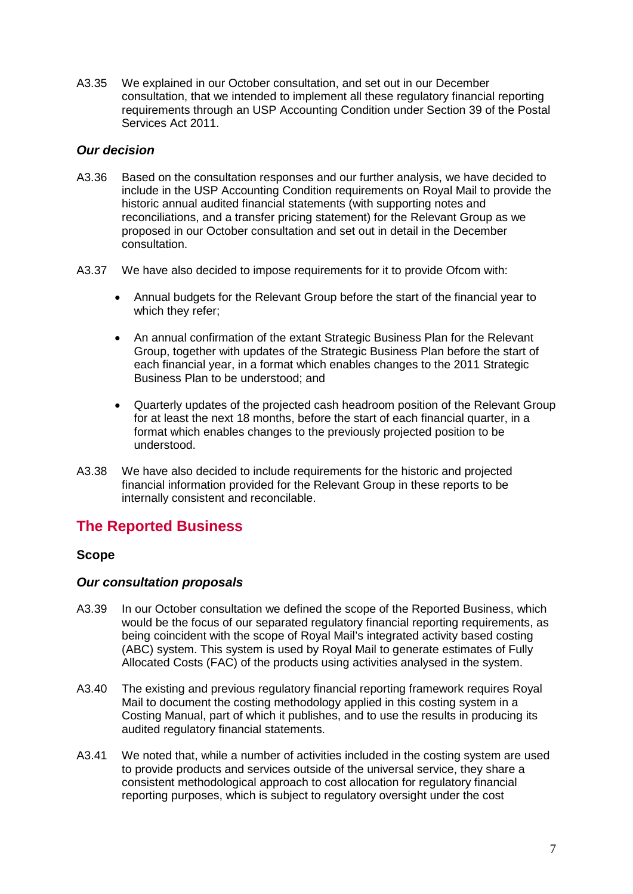A3.35 We explained in our October consultation, and set out in our December consultation, that we intended to implement all these regulatory financial reporting requirements through an USP Accounting Condition under Section 39 of the Postal Services Act 2011.

### *Our decision*

- A3.36 Based on the consultation responses and our further analysis, we have decided to include in the USP Accounting Condition requirements on Royal Mail to provide the historic annual audited financial statements (with supporting notes and reconciliations, and a transfer pricing statement) for the Relevant Group as we proposed in our October consultation and set out in detail in the December consultation.
- A3.37 We have also decided to impose requirements for it to provide Ofcom with:
	- Annual budgets for the Relevant Group before the start of the financial year to which they refer:
	- An annual confirmation of the extant Strategic Business Plan for the Relevant Group, together with updates of the Strategic Business Plan before the start of each financial year, in a format which enables changes to the 2011 Strategic Business Plan to be understood; and
	- Quarterly updates of the projected cash headroom position of the Relevant Group for at least the next 18 months, before the start of each financial quarter, in a format which enables changes to the previously projected position to be understood.
- A3.38 We have also decided to include requirements for the historic and projected financial information provided for the Relevant Group in these reports to be internally consistent and reconcilable.

# **The Reported Business**

#### **Scope**

#### *Our consultation proposals*

- A3.39 In our October consultation we defined the scope of the Reported Business, which would be the focus of our separated regulatory financial reporting requirements, as being coincident with the scope of Royal Mail's integrated activity based costing (ABC) system. This system is used by Royal Mail to generate estimates of Fully Allocated Costs (FAC) of the products using activities analysed in the system.
- A3.40 The existing and previous regulatory financial reporting framework requires Royal Mail to document the costing methodology applied in this costing system in a Costing Manual, part of which it publishes, and to use the results in producing its audited regulatory financial statements.
- A3.41 We noted that, while a number of activities included in the costing system are used to provide products and services outside of the universal service, they share a consistent methodological approach to cost allocation for regulatory financial reporting purposes, which is subject to regulatory oversight under the cost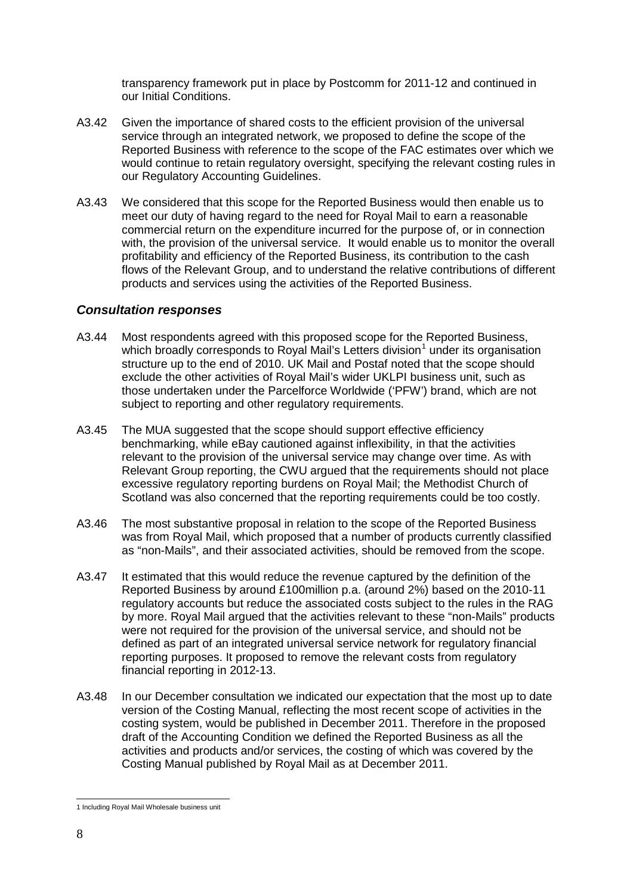transparency framework put in place by Postcomm for 2011-12 and continued in our Initial Conditions.

- A3.42 Given the importance of shared costs to the efficient provision of the universal service through an integrated network, we proposed to define the scope of the Reported Business with reference to the scope of the FAC estimates over which we would continue to retain regulatory oversight, specifying the relevant costing rules in our Regulatory Accounting Guidelines.
- A3.43 We considered that this scope for the Reported Business would then enable us to meet our duty of having regard to the need for Royal Mail to earn a reasonable commercial return on the expenditure incurred for the purpose of, or in connection with, the provision of the universal service. It would enable us to monitor the overall profitability and efficiency of the Reported Business, its contribution to the cash flows of the Relevant Group, and to understand the relative contributions of different products and services using the activities of the Reported Business.

#### *Consultation responses*

- A3.44 Most respondents agreed with this proposed scope for the Reported Business, which broadly corresponds to Royal Mail's Letters division<sup>[1](#page-7-0)</sup> under its organisation structure up to the end of 2010. UK Mail and Postaf noted that the scope should exclude the other activities of Royal Mail's wider UKLPI business unit, such as those undertaken under the Parcelforce Worldwide ('PFW') brand, which are not subject to reporting and other regulatory requirements.
- A3.45 The MUA suggested that the scope should support effective efficiency benchmarking, while eBay cautioned against inflexibility, in that the activities relevant to the provision of the universal service may change over time. As with Relevant Group reporting, the CWU argued that the requirements should not place excessive regulatory reporting burdens on Royal Mail; the Methodist Church of Scotland was also concerned that the reporting requirements could be too costly.
- A3.46 The most substantive proposal in relation to the scope of the Reported Business was from Royal Mail, which proposed that a number of products currently classified as "non-Mails", and their associated activities, should be removed from the scope.
- A3.47 It estimated that this would reduce the revenue captured by the definition of the Reported Business by around £100million p.a. (around 2%) based on the 2010-11 regulatory accounts but reduce the associated costs subject to the rules in the RAG by more. Royal Mail argued that the activities relevant to these "non-Mails" products were not required for the provision of the universal service, and should not be defined as part of an integrated universal service network for regulatory financial reporting purposes. It proposed to remove the relevant costs from regulatory financial reporting in 2012-13.
- A3.48 In our December consultation we indicated our expectation that the most up to date version of the Costing Manual, reflecting the most recent scope of activities in the costing system, would be published in December 2011. Therefore in the proposed draft of the Accounting Condition we defined the Reported Business as all the activities and products and/or services, the costing of which was covered by the Costing Manual published by Royal Mail as at December 2011.

<span id="page-7-0"></span><sup>1</sup> Including Royal Mail Wholesale business unit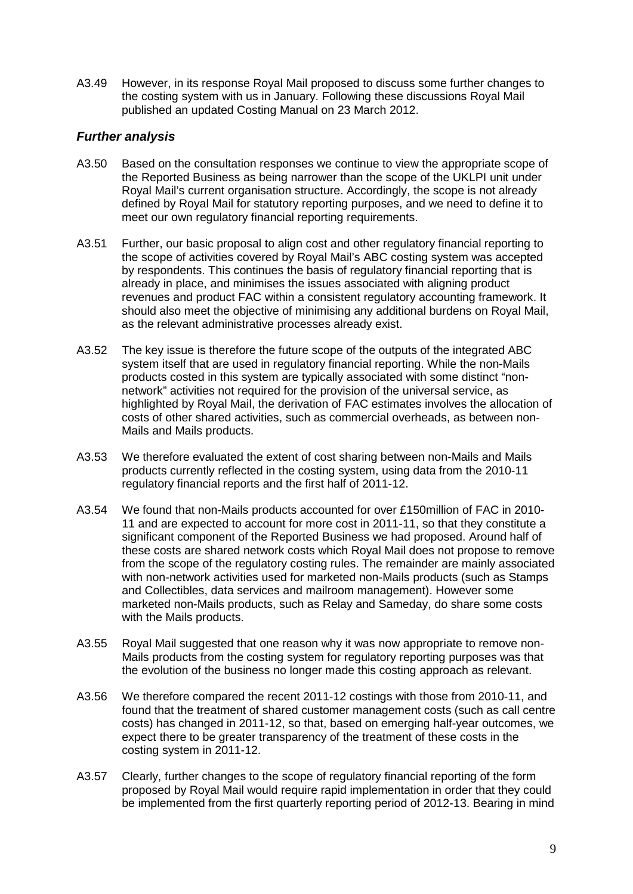A3.49 However, in its response Royal Mail proposed to discuss some further changes to the costing system with us in January. Following these discussions Royal Mail published an updated Costing Manual on 23 March 2012.

#### *Further analysis*

- A3.50 Based on the consultation responses we continue to view the appropriate scope of the Reported Business as being narrower than the scope of the UKLPI unit under Royal Mail's current organisation structure. Accordingly, the scope is not already defined by Royal Mail for statutory reporting purposes, and we need to define it to meet our own requilatory financial reporting requirements.
- A3.51 Further, our basic proposal to align cost and other regulatory financial reporting to the scope of activities covered by Royal Mail's ABC costing system was accepted by respondents. This continues the basis of regulatory financial reporting that is already in place, and minimises the issues associated with aligning product revenues and product FAC within a consistent regulatory accounting framework. It should also meet the objective of minimising any additional burdens on Royal Mail, as the relevant administrative processes already exist.
- A3.52 The key issue is therefore the future scope of the outputs of the integrated ABC system itself that are used in regulatory financial reporting. While the non-Mails products costed in this system are typically associated with some distinct "nonnetwork" activities not required for the provision of the universal service, as highlighted by Royal Mail, the derivation of FAC estimates involves the allocation of costs of other shared activities, such as commercial overheads, as between non-Mails and Mails products.
- A3.53 We therefore evaluated the extent of cost sharing between non-Mails and Mails products currently reflected in the costing system, using data from the 2010-11 regulatory financial reports and the first half of 2011-12.
- A3.54 We found that non-Mails products accounted for over £150million of FAC in 2010- 11 and are expected to account for more cost in 2011-11, so that they constitute a significant component of the Reported Business we had proposed. Around half of these costs are shared network costs which Royal Mail does not propose to remove from the scope of the regulatory costing rules. The remainder are mainly associated with non-network activities used for marketed non-Mails products (such as Stamps and Collectibles, data services and mailroom management). However some marketed non-Mails products, such as Relay and Sameday, do share some costs with the Mails products.
- A3.55 Royal Mail suggested that one reason why it was now appropriate to remove non-Mails products from the costing system for regulatory reporting purposes was that the evolution of the business no longer made this costing approach as relevant.
- A3.56 We therefore compared the recent 2011-12 costings with those from 2010-11, and found that the treatment of shared customer management costs (such as call centre costs) has changed in 2011-12, so that, based on emerging half-year outcomes, we expect there to be greater transparency of the treatment of these costs in the costing system in 2011-12.
- A3.57 Clearly, further changes to the scope of regulatory financial reporting of the form proposed by Royal Mail would require rapid implementation in order that they could be implemented from the first quarterly reporting period of 2012-13. Bearing in mind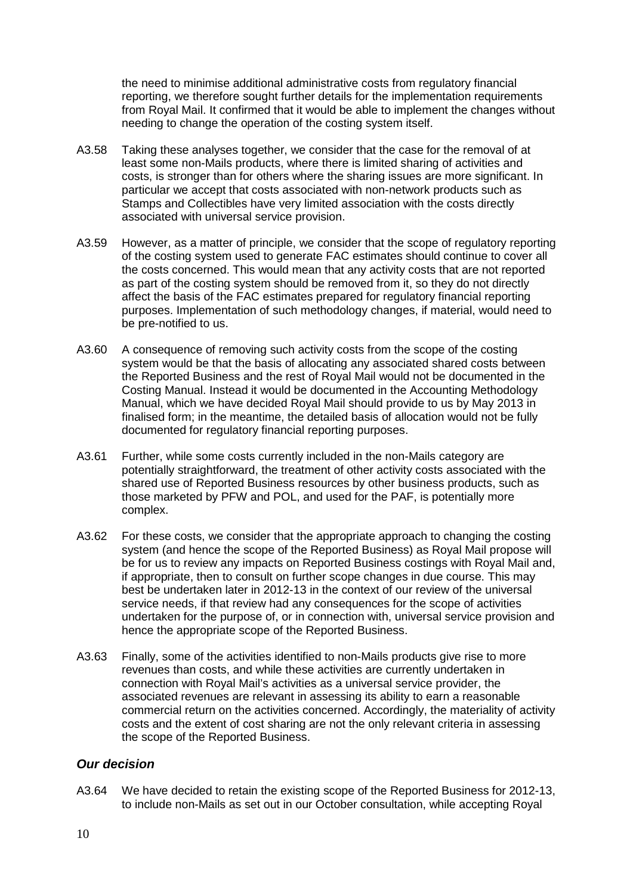the need to minimise additional administrative costs from regulatory financial reporting, we therefore sought further details for the implementation requirements from Royal Mail. It confirmed that it would be able to implement the changes without needing to change the operation of the costing system itself.

- A3.58 Taking these analyses together, we consider that the case for the removal of at least some non-Mails products, where there is limited sharing of activities and costs, is stronger than for others where the sharing issues are more significant. In particular we accept that costs associated with non-network products such as Stamps and Collectibles have very limited association with the costs directly associated with universal service provision.
- A3.59 However, as a matter of principle, we consider that the scope of regulatory reporting of the costing system used to generate FAC estimates should continue to cover all the costs concerned. This would mean that any activity costs that are not reported as part of the costing system should be removed from it, so they do not directly affect the basis of the FAC estimates prepared for regulatory financial reporting purposes. Implementation of such methodology changes, if material, would need to be pre-notified to us.
- A3.60 A consequence of removing such activity costs from the scope of the costing system would be that the basis of allocating any associated shared costs between the Reported Business and the rest of Royal Mail would not be documented in the Costing Manual. Instead it would be documented in the Accounting Methodology Manual, which we have decided Royal Mail should provide to us by May 2013 in finalised form; in the meantime, the detailed basis of allocation would not be fully documented for regulatory financial reporting purposes.
- A3.61 Further, while some costs currently included in the non-Mails category are potentially straightforward, the treatment of other activity costs associated with the shared use of Reported Business resources by other business products, such as those marketed by PFW and POL, and used for the PAF, is potentially more complex.
- A3.62 For these costs, we consider that the appropriate approach to changing the costing system (and hence the scope of the Reported Business) as Royal Mail propose will be for us to review any impacts on Reported Business costings with Royal Mail and, if appropriate, then to consult on further scope changes in due course. This may best be undertaken later in 2012-13 in the context of our review of the universal service needs, if that review had any consequences for the scope of activities undertaken for the purpose of, or in connection with, universal service provision and hence the appropriate scope of the Reported Business.
- A3.63 Finally, some of the activities identified to non-Mails products give rise to more revenues than costs, and while these activities are currently undertaken in connection with Royal Mail's activities as a universal service provider, the associated revenues are relevant in assessing its ability to earn a reasonable commercial return on the activities concerned. Accordingly, the materiality of activity costs and the extent of cost sharing are not the only relevant criteria in assessing the scope of the Reported Business.

#### *Our decision*

A3.64 We have decided to retain the existing scope of the Reported Business for 2012-13, to include non-Mails as set out in our October consultation, while accepting Royal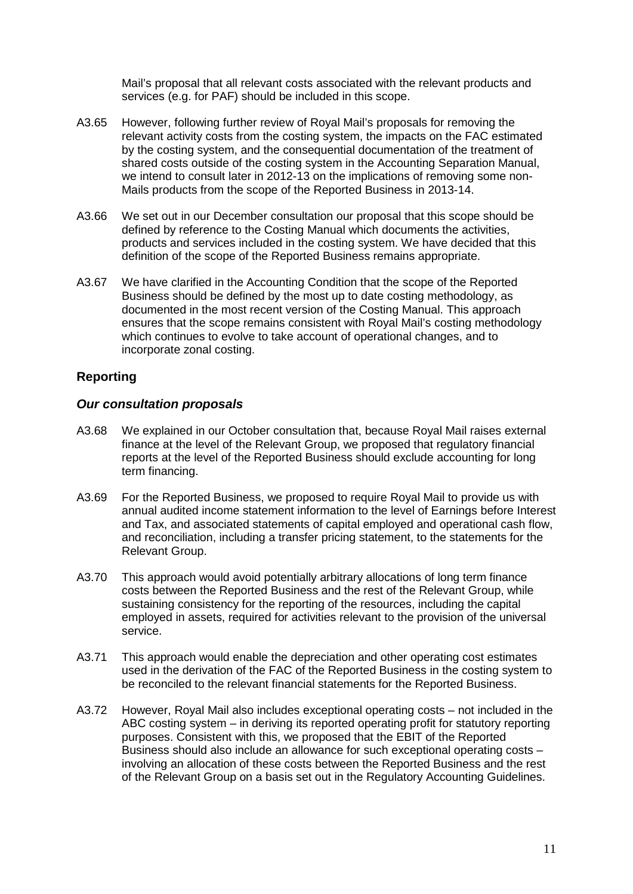Mail's proposal that all relevant costs associated with the relevant products and services (e.g. for PAF) should be included in this scope.

- A3.65 However, following further review of Royal Mail's proposals for removing the relevant activity costs from the costing system, the impacts on the FAC estimated by the costing system, and the consequential documentation of the treatment of shared costs outside of the costing system in the Accounting Separation Manual, we intend to consult later in 2012-13 on the implications of removing some non-Mails products from the scope of the Reported Business in 2013-14.
- A3.66 We set out in our December consultation our proposal that this scope should be defined by reference to the Costing Manual which documents the activities, products and services included in the costing system. We have decided that this definition of the scope of the Reported Business remains appropriate.
- A3.67 We have clarified in the Accounting Condition that the scope of the Reported Business should be defined by the most up to date costing methodology, as documented in the most recent version of the Costing Manual. This approach ensures that the scope remains consistent with Royal Mail's costing methodology which continues to evolve to take account of operational changes, and to incorporate zonal costing.

# **Reporting**

#### *Our consultation proposals*

- A3.68 We explained in our October consultation that, because Royal Mail raises external finance at the level of the Relevant Group, we proposed that regulatory financial reports at the level of the Reported Business should exclude accounting for long term financing.
- A3.69 For the Reported Business, we proposed to require Royal Mail to provide us with annual audited income statement information to the level of Earnings before Interest and Tax, and associated statements of capital employed and operational cash flow, and reconciliation, including a transfer pricing statement, to the statements for the Relevant Group.
- A3.70 This approach would avoid potentially arbitrary allocations of long term finance costs between the Reported Business and the rest of the Relevant Group, while sustaining consistency for the reporting of the resources, including the capital employed in assets, required for activities relevant to the provision of the universal service.
- A3.71 This approach would enable the depreciation and other operating cost estimates used in the derivation of the FAC of the Reported Business in the costing system to be reconciled to the relevant financial statements for the Reported Business.
- A3.72 However, Royal Mail also includes exceptional operating costs not included in the ABC costing system – in deriving its reported operating profit for statutory reporting purposes. Consistent with this, we proposed that the EBIT of the Reported Business should also include an allowance for such exceptional operating costs – involving an allocation of these costs between the Reported Business and the rest of the Relevant Group on a basis set out in the Regulatory Accounting Guidelines.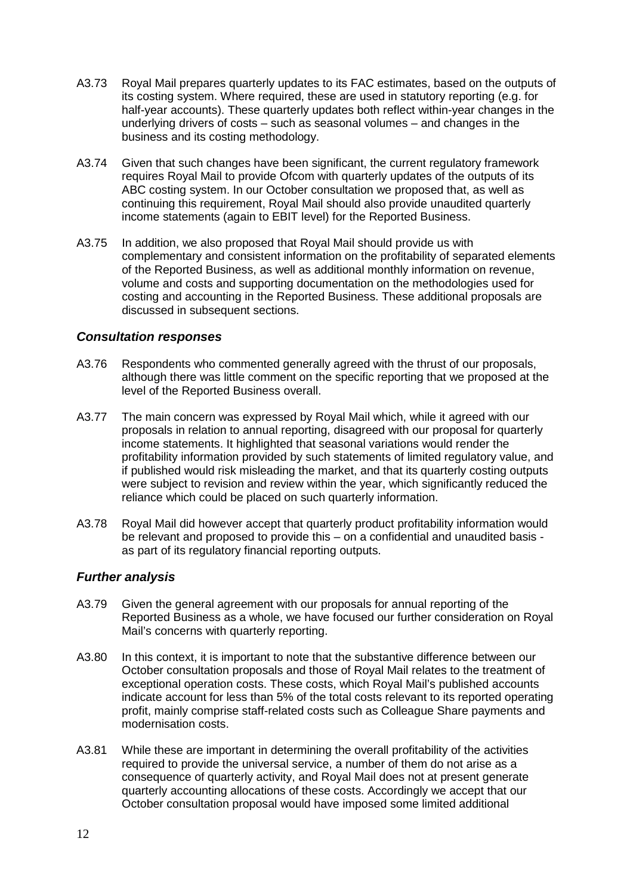- A3.73 Royal Mail prepares quarterly updates to its FAC estimates, based on the outputs of its costing system. Where required, these are used in statutory reporting (e.g. for half-year accounts). These quarterly updates both reflect within-year changes in the underlying drivers of costs – such as seasonal volumes – and changes in the business and its costing methodology.
- A3.74 Given that such changes have been significant, the current regulatory framework requires Royal Mail to provide Ofcom with quarterly updates of the outputs of its ABC costing system. In our October consultation we proposed that, as well as continuing this requirement, Royal Mail should also provide unaudited quarterly income statements (again to EBIT level) for the Reported Business.
- A3.75 In addition, we also proposed that Royal Mail should provide us with complementary and consistent information on the profitability of separated elements of the Reported Business, as well as additional monthly information on revenue, volume and costs and supporting documentation on the methodologies used for costing and accounting in the Reported Business. These additional proposals are discussed in subsequent sections.

#### *Consultation responses*

- A3.76 Respondents who commented generally agreed with the thrust of our proposals, although there was little comment on the specific reporting that we proposed at the level of the Reported Business overall.
- A3.77 The main concern was expressed by Royal Mail which, while it agreed with our proposals in relation to annual reporting, disagreed with our proposal for quarterly income statements. It highlighted that seasonal variations would render the profitability information provided by such statements of limited regulatory value, and if published would risk misleading the market, and that its quarterly costing outputs were subject to revision and review within the year, which significantly reduced the reliance which could be placed on such quarterly information.
- A3.78 Royal Mail did however accept that quarterly product profitability information would be relevant and proposed to provide this – on a confidential and unaudited basis as part of its regulatory financial reporting outputs.

### *Further analysis*

- A3.79 Given the general agreement with our proposals for annual reporting of the Reported Business as a whole, we have focused our further consideration on Royal Mail's concerns with quarterly reporting.
- A3.80 In this context, it is important to note that the substantive difference between our October consultation proposals and those of Royal Mail relates to the treatment of exceptional operation costs. These costs, which Royal Mail's published accounts indicate account for less than 5% of the total costs relevant to its reported operating profit, mainly comprise staff-related costs such as Colleague Share payments and modernisation costs.
- A3.81 While these are important in determining the overall profitability of the activities required to provide the universal service, a number of them do not arise as a consequence of quarterly activity, and Royal Mail does not at present generate quarterly accounting allocations of these costs. Accordingly we accept that our October consultation proposal would have imposed some limited additional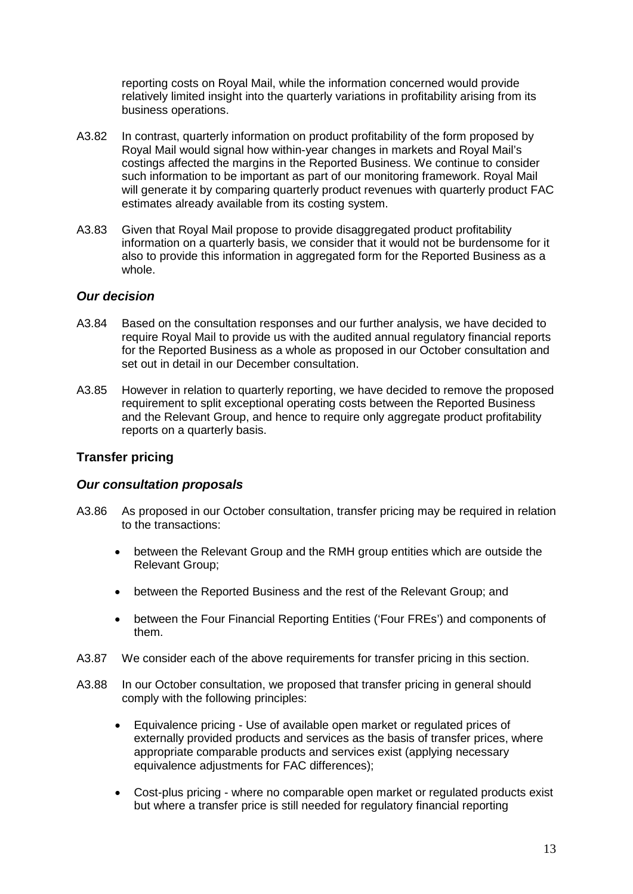reporting costs on Royal Mail, while the information concerned would provide relatively limited insight into the quarterly variations in profitability arising from its business operations.

- A3.82 In contrast, quarterly information on product profitability of the form proposed by Royal Mail would signal how within-year changes in markets and Royal Mail's costings affected the margins in the Reported Business. We continue to consider such information to be important as part of our monitoring framework. Royal Mail will generate it by comparing quarterly product revenues with quarterly product FAC estimates already available from its costing system.
- A3.83 Given that Royal Mail propose to provide disaggregated product profitability information on a quarterly basis, we consider that it would not be burdensome for it also to provide this information in aggregated form for the Reported Business as a whole.

#### *Our decision*

- A3.84 Based on the consultation responses and our further analysis, we have decided to require Royal Mail to provide us with the audited annual regulatory financial reports for the Reported Business as a whole as proposed in our October consultation and set out in detail in our December consultation.
- A3.85 However in relation to quarterly reporting, we have decided to remove the proposed requirement to split exceptional operating costs between the Reported Business and the Relevant Group, and hence to require only aggregate product profitability reports on a quarterly basis.

#### **Transfer pricing**

#### *Our consultation proposals*

- A3.86 As proposed in our October consultation, transfer pricing may be required in relation to the transactions:
	- between the Relevant Group and the RMH group entities which are outside the Relevant Group;
	- between the Reported Business and the rest of the Relevant Group; and
	- between the Four Financial Reporting Entities ('Four FREs') and components of them.
- A3.87 We consider each of the above requirements for transfer pricing in this section.
- A3.88 In our October consultation, we proposed that transfer pricing in general should comply with the following principles:
	- Equivalence pricing Use of available open market or regulated prices of externally provided products and services as the basis of transfer prices, where appropriate comparable products and services exist (applying necessary equivalence adjustments for FAC differences);
	- Cost-plus pricing where no comparable open market or regulated products exist but where a transfer price is still needed for regulatory financial reporting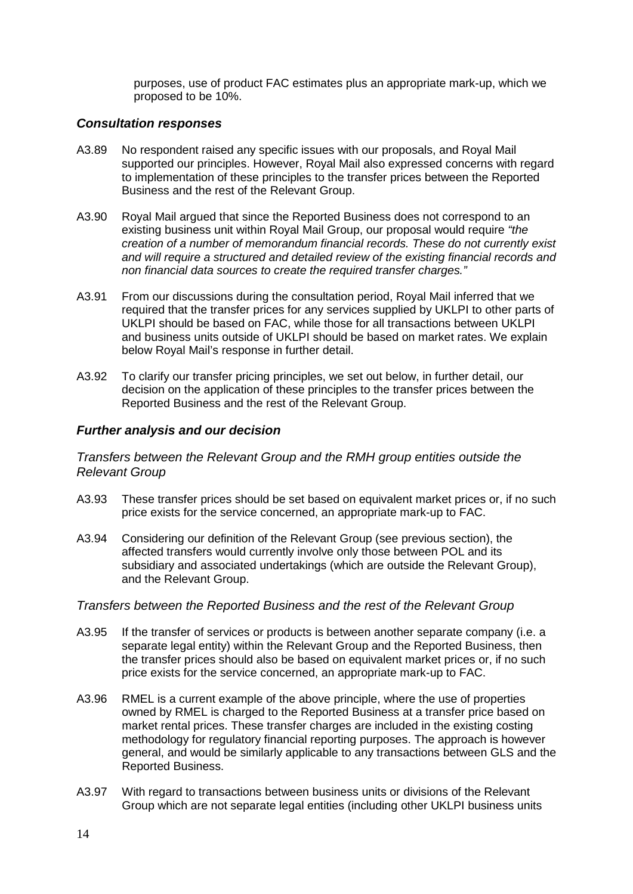purposes, use of product FAC estimates plus an appropriate mark-up, which we proposed to be 10%.

#### *Consultation responses*

- A3.89 No respondent raised any specific issues with our proposals, and Royal Mail supported our principles. However, Royal Mail also expressed concerns with regard to implementation of these principles to the transfer prices between the Reported Business and the rest of the Relevant Group.
- A3.90 Royal Mail argued that since the Reported Business does not correspond to an existing business unit within Royal Mail Group, our proposal would require *"the creation of a number of memorandum financial records. These do not currently exist and will require a structured and detailed review of the existing financial records and non financial data sources to create the required transfer charges."*
- A3.91 From our discussions during the consultation period, Royal Mail inferred that we required that the transfer prices for any services supplied by UKLPI to other parts of UKLPI should be based on FAC, while those for all transactions between UKLPI and business units outside of UKLPI should be based on market rates. We explain below Royal Mail's response in further detail.
- A3.92 To clarify our transfer pricing principles, we set out below, in further detail, our decision on the application of these principles to the transfer prices between the Reported Business and the rest of the Relevant Group.

#### *Further analysis and our decision*

*Transfers between the Relevant Group and the RMH group entities outside the Relevant Group*

- A3.93 These transfer prices should be set based on equivalent market prices or, if no such price exists for the service concerned, an appropriate mark-up to FAC.
- A3.94 Considering our definition of the Relevant Group (see previous section), the affected transfers would currently involve only those between POL and its subsidiary and associated undertakings (which are outside the Relevant Group), and the Relevant Group.

#### *Transfers between the Reported Business and the rest of the Relevant Group*

- A3.95 If the transfer of services or products is between another separate company (i.e. a separate legal entity) within the Relevant Group and the Reported Business, then the transfer prices should also be based on equivalent market prices or, if no such price exists for the service concerned, an appropriate mark-up to FAC.
- A3.96 RMEL is a current example of the above principle, where the use of properties owned by RMEL is charged to the Reported Business at a transfer price based on market rental prices. These transfer charges are included in the existing costing methodology for regulatory financial reporting purposes. The approach is however general, and would be similarly applicable to any transactions between GLS and the Reported Business.
- A3.97 With regard to transactions between business units or divisions of the Relevant Group which are not separate legal entities (including other UKLPI business units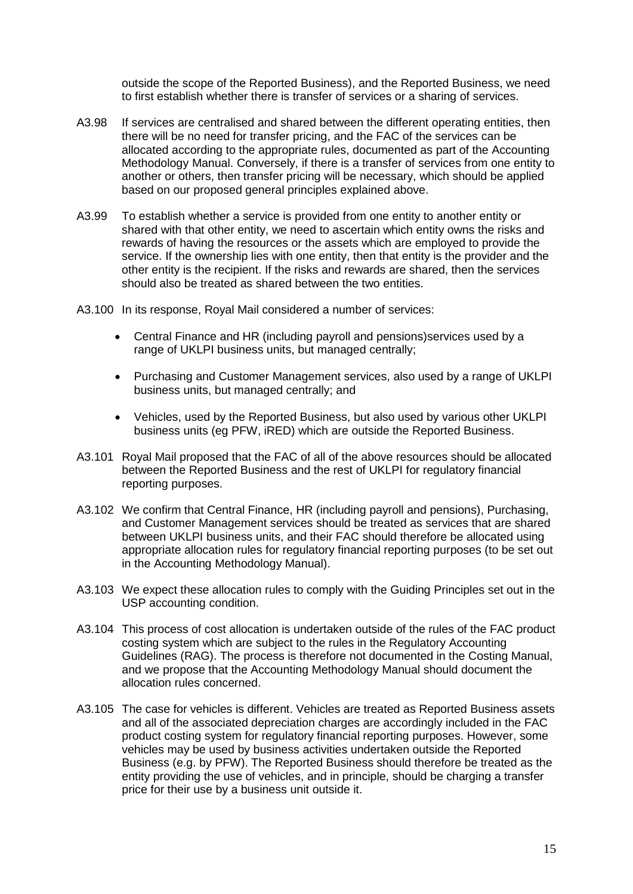outside the scope of the Reported Business), and the Reported Business, we need to first establish whether there is transfer of services or a sharing of services.

- A3.98 If services are centralised and shared between the different operating entities, then there will be no need for transfer pricing, and the FAC of the services can be allocated according to the appropriate rules, documented as part of the Accounting Methodology Manual. Conversely, if there is a transfer of services from one entity to another or others, then transfer pricing will be necessary, which should be applied based on our proposed general principles explained above.
- A3.99 To establish whether a service is provided from one entity to another entity or shared with that other entity, we need to ascertain which entity owns the risks and rewards of having the resources or the assets which are employed to provide the service. If the ownership lies with one entity, then that entity is the provider and the other entity is the recipient. If the risks and rewards are shared, then the services should also be treated as shared between the two entities.

A3.100 In its response, Royal Mail considered a number of services:

- Central Finance and HR (including payroll and pensions)services used by a range of UKLPI business units, but managed centrally;
- Purchasing and Customer Management services, also used by a range of UKLPI business units, but managed centrally; and
- Vehicles, used by the Reported Business, but also used by various other UKLPI business units (eg PFW, iRED) which are outside the Reported Business.
- A3.101 Royal Mail proposed that the FAC of all of the above resources should be allocated between the Reported Business and the rest of UKLPI for regulatory financial reporting purposes.
- A3.102 We confirm that Central Finance, HR (including payroll and pensions), Purchasing, and Customer Management services should be treated as services that are shared between UKLPI business units, and their FAC should therefore be allocated using appropriate allocation rules for regulatory financial reporting purposes (to be set out in the Accounting Methodology Manual).
- A3.103 We expect these allocation rules to comply with the Guiding Principles set out in the USP accounting condition.
- A3.104 This process of cost allocation is undertaken outside of the rules of the FAC product costing system which are subject to the rules in the Regulatory Accounting Guidelines (RAG). The process is therefore not documented in the Costing Manual, and we propose that the Accounting Methodology Manual should document the allocation rules concerned.
- A3.105 The case for vehicles is different. Vehicles are treated as Reported Business assets and all of the associated depreciation charges are accordingly included in the FAC product costing system for regulatory financial reporting purposes. However, some vehicles may be used by business activities undertaken outside the Reported Business (e.g. by PFW). The Reported Business should therefore be treated as the entity providing the use of vehicles, and in principle, should be charging a transfer price for their use by a business unit outside it.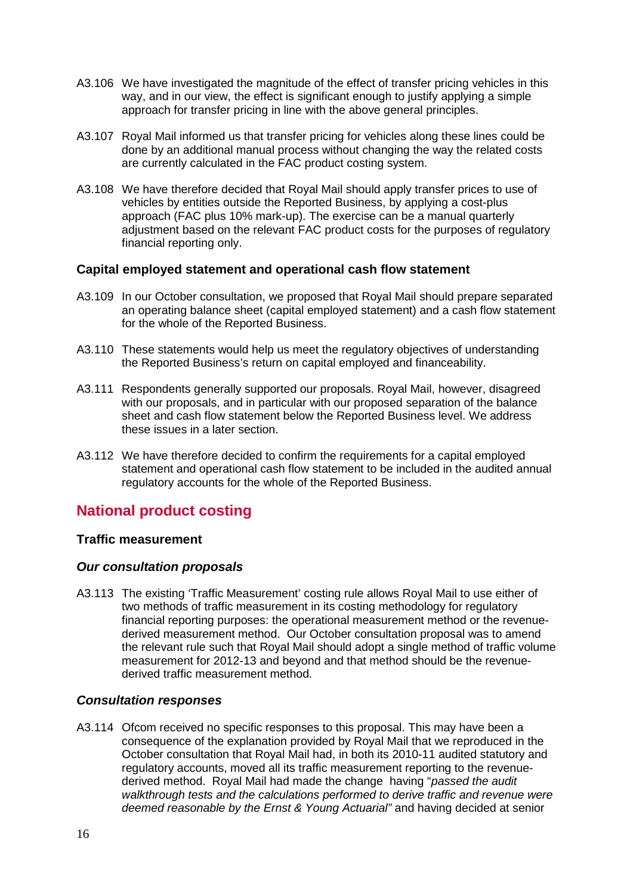- A3.106 We have investigated the magnitude of the effect of transfer pricing vehicles in this way, and in our view, the effect is significant enough to justify applying a simple approach for transfer pricing in line with the above general principles.
- A3.107 Royal Mail informed us that transfer pricing for vehicles along these lines could be done by an additional manual process without changing the way the related costs are currently calculated in the FAC product costing system.
- A3.108 We have therefore decided that Royal Mail should apply transfer prices to use of vehicles by entities outside the Reported Business, by applying a cost-plus approach (FAC plus 10% mark-up). The exercise can be a manual quarterly adjustment based on the relevant FAC product costs for the purposes of regulatory financial reporting only.

#### **Capital employed statement and operational cash flow statement**

- A3.109 In our October consultation, we proposed that Royal Mail should prepare separated an operating balance sheet (capital employed statement) and a cash flow statement for the whole of the Reported Business.
- A3.110 These statements would help us meet the regulatory objectives of understanding the Reported Business's return on capital employed and financeability.
- A3.111 Respondents generally supported our proposals. Royal Mail, however, disagreed with our proposals, and in particular with our proposed separation of the balance sheet and cash flow statement below the Reported Business level. We address these issues in a later section.
- A3.112 We have therefore decided to confirm the requirements for a capital employed statement and operational cash flow statement to be included in the audited annual regulatory accounts for the whole of the Reported Business.

# **National product costing**

#### **Traffic measurement**

#### *Our consultation proposals*

A3.113 The existing 'Traffic Measurement' costing rule allows Royal Mail to use either of two methods of traffic measurement in its costing methodology for regulatory financial reporting purposes: the operational measurement method or the revenuederived measurement method. Our October consultation proposal was to amend the relevant rule such that Royal Mail should adopt a single method of traffic volume measurement for 2012-13 and beyond and that method should be the revenuederived traffic measurement method.

#### *Consultation responses*

A3.114 Ofcom received no specific responses to this proposal. This may have been a consequence of the explanation provided by Royal Mail that we reproduced in the October consultation that Royal Mail had, in both its 2010-11 audited statutory and regulatory accounts, moved all its traffic measurement reporting to the revenuederived method. Royal Mail had made the change having "*passed the audit walkthrough tests and the calculations performed to derive traffic and revenue were deemed reasonable by the Ernst & Young Actuarial"* and having decided at senior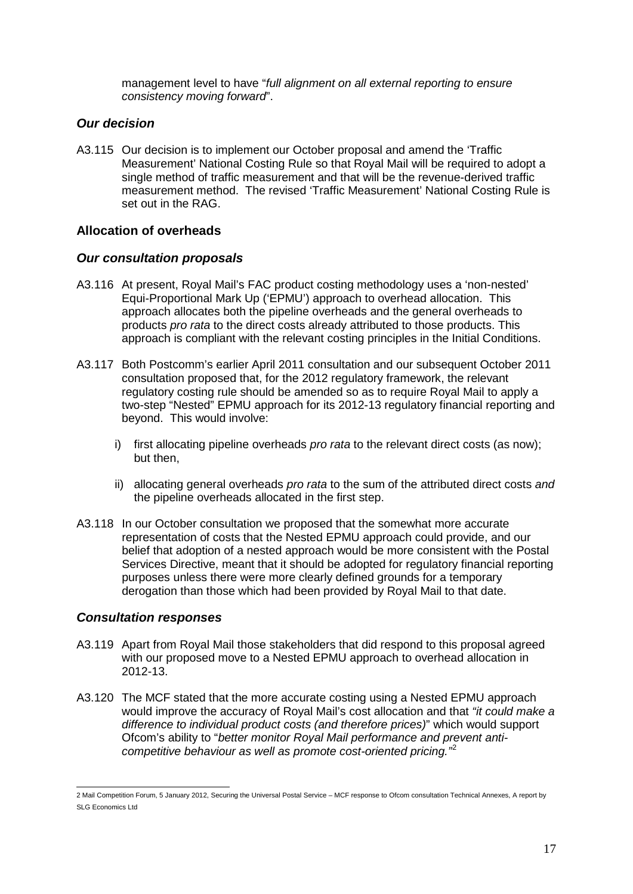management level to have "*full alignment on all external reporting to ensure consistency moving forward*".

#### *Our decision*

A3.115 Our decision is to implement our October proposal and amend the 'Traffic Measurement' National Costing Rule so that Royal Mail will be required to adopt a single method of traffic measurement and that will be the revenue-derived traffic measurement method. The revised 'Traffic Measurement' National Costing Rule is set out in the RAG.

#### **Allocation of overheads**

#### *Our consultation proposals*

- A3.116 At present, Royal Mail's FAC product costing methodology uses a 'non-nested' Equi-Proportional Mark Up ('EPMU') approach to overhead allocation. This approach allocates both the pipeline overheads and the general overheads to products *pro rata* to the direct costs already attributed to those products. This approach is compliant with the relevant costing principles in the Initial Conditions.
- A3.117 Both Postcomm's earlier April 2011 consultation and our subsequent October 2011 consultation proposed that, for the 2012 regulatory framework, the relevant regulatory costing rule should be amended so as to require Royal Mail to apply a two-step "Nested" EPMU approach for its 2012-13 regulatory financial reporting and beyond. This would involve:
	- i) first allocating pipeline overheads *pro rata* to the relevant direct costs (as now); but then,
	- ii) allocating general overheads *pro rata* to the sum of the attributed direct costs *and* the pipeline overheads allocated in the first step.
- A3.118 In our October consultation we proposed that the somewhat more accurate representation of costs that the Nested EPMU approach could provide, and our belief that adoption of a nested approach would be more consistent with the Postal Services Directive, meant that it should be adopted for regulatory financial reporting purposes unless there were more clearly defined grounds for a temporary derogation than those which had been provided by Royal Mail to that date.

#### *Consultation responses*

- A3.119 Apart from Royal Mail those stakeholders that did respond to this proposal agreed with our proposed move to a Nested EPMU approach to overhead allocation in 2012-13.
- A3.120 The MCF stated that the more accurate costing using a Nested EPMU approach would improve the accuracy of Royal Mail's cost allocation and that *"it could make a difference to individual product costs (and therefore prices)*" which would support Ofcom's ability to "*better monitor Royal Mail performance and prevent anticompetitive behaviour as well as promote cost-oriented pricing."*[2](#page-16-0)

<span id="page-16-0"></span><sup>2</sup> Mail Competition Forum, 5 January 2012, Securing the Universal Postal Service – MCF response to Ofcom consultation Technical Annexes, A report by SLG Economics Ltd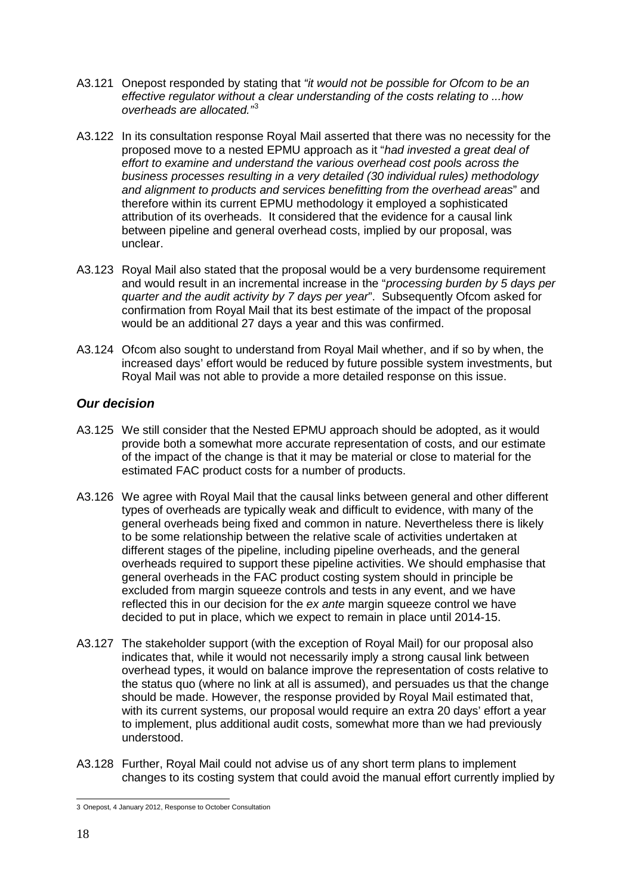- A3.121 Onepost responded by stating that *"it would not be possible for Ofcom to be an effective regulator without a clear understanding of the costs relating to ...how overheads are allocated."*[3](#page-17-0)
- A3.122 In its consultation response Royal Mail asserted that there was no necessity for the proposed move to a nested EPMU approach as it "*had invested a great deal of effort to examine and understand the various overhead cost pools across the business processes resulting in a very detailed (30 individual rules) methodology and alignment to products and services benefitting from the overhead areas*" and therefore within its current EPMU methodology it employed a sophisticated attribution of its overheads. It considered that the evidence for a causal link between pipeline and general overhead costs, implied by our proposal, was unclear.
- A3.123 Royal Mail also stated that the proposal would be a very burdensome requirement and would result in an incremental increase in the "*processing burden by 5 days per quarter and the audit activity by 7 days per year*". Subsequently Ofcom asked for confirmation from Royal Mail that its best estimate of the impact of the proposal would be an additional 27 days a year and this was confirmed.
- A3.124 Ofcom also sought to understand from Royal Mail whether, and if so by when, the increased days' effort would be reduced by future possible system investments, but Royal Mail was not able to provide a more detailed response on this issue.

#### *Our decision*

- A3.125 We still consider that the Nested EPMU approach should be adopted, as it would provide both a somewhat more accurate representation of costs, and our estimate of the impact of the change is that it may be material or close to material for the estimated FAC product costs for a number of products.
- A3.126 We agree with Royal Mail that the causal links between general and other different types of overheads are typically weak and difficult to evidence, with many of the general overheads being fixed and common in nature. Nevertheless there is likely to be some relationship between the relative scale of activities undertaken at different stages of the pipeline, including pipeline overheads, and the general overheads required to support these pipeline activities. We should emphasise that general overheads in the FAC product costing system should in principle be excluded from margin squeeze controls and tests in any event, and we have reflected this in our decision for the *ex ante* margin squeeze control we have decided to put in place, which we expect to remain in place until 2014-15.
- A3.127 The stakeholder support (with the exception of Royal Mail) for our proposal also indicates that, while it would not necessarily imply a strong causal link between overhead types, it would on balance improve the representation of costs relative to the status quo (where no link at all is assumed), and persuades us that the change should be made. However, the response provided by Royal Mail estimated that, with its current systems, our proposal would require an extra 20 days' effort a year to implement, plus additional audit costs, somewhat more than we had previously understood.
- A3.128 Further, Royal Mail could not advise us of any short term plans to implement changes to its costing system that could avoid the manual effort currently implied by

<span id="page-17-0"></span><sup>3</sup> Onepost, 4 January 2012, Response to October Consultation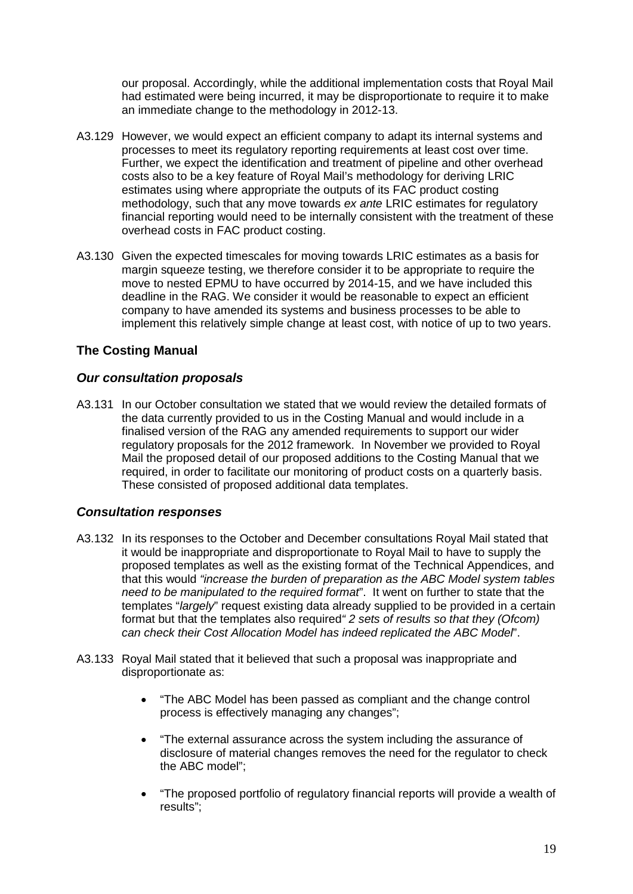our proposal. Accordingly, while the additional implementation costs that Royal Mail had estimated were being incurred, it may be disproportionate to require it to make an immediate change to the methodology in 2012-13.

- A3.129 However, we would expect an efficient company to adapt its internal systems and processes to meet its regulatory reporting requirements at least cost over time. Further, we expect the identification and treatment of pipeline and other overhead costs also to be a key feature of Royal Mail's methodology for deriving LRIC estimates using where appropriate the outputs of its FAC product costing methodology, such that any move towards *ex ante* LRIC estimates for regulatory financial reporting would need to be internally consistent with the treatment of these overhead costs in FAC product costing.
- A3.130 Given the expected timescales for moving towards LRIC estimates as a basis for margin squeeze testing, we therefore consider it to be appropriate to require the move to nested EPMU to have occurred by 2014-15, and we have included this deadline in the RAG. We consider it would be reasonable to expect an efficient company to have amended its systems and business processes to be able to implement this relatively simple change at least cost, with notice of up to two years.

#### **The Costing Manual**

#### *Our consultation proposals*

A3.131 In our October consultation we stated that we would review the detailed formats of the data currently provided to us in the Costing Manual and would include in a finalised version of the RAG any amended requirements to support our wider regulatory proposals for the 2012 framework. In November we provided to Royal Mail the proposed detail of our proposed additions to the Costing Manual that we required, in order to facilitate our monitoring of product costs on a quarterly basis. These consisted of proposed additional data templates.

#### *Consultation responses*

- A3.132 In its responses to the October and December consultations Royal Mail stated that it would be inappropriate and disproportionate to Royal Mail to have to supply the proposed templates as well as the existing format of the Technical Appendices, and that this would *"increase the burden of preparation as the ABC Model system tables need to be manipulated to the required format*". It went on further to state that the templates "*largely*" request existing data already supplied to be provided in a certain format but that the templates also required*" 2 sets of results so that they (Ofcom) can check their Cost Allocation Model has indeed replicated the ABC Model*".
- A3.133 Royal Mail stated that it believed that such a proposal was inappropriate and disproportionate as:
	- "The ABC Model has been passed as compliant and the change control process is effectively managing any changes";
	- "The external assurance across the system including the assurance of disclosure of material changes removes the need for the regulator to check the ABC model";
	- "The proposed portfolio of regulatory financial reports will provide a wealth of results";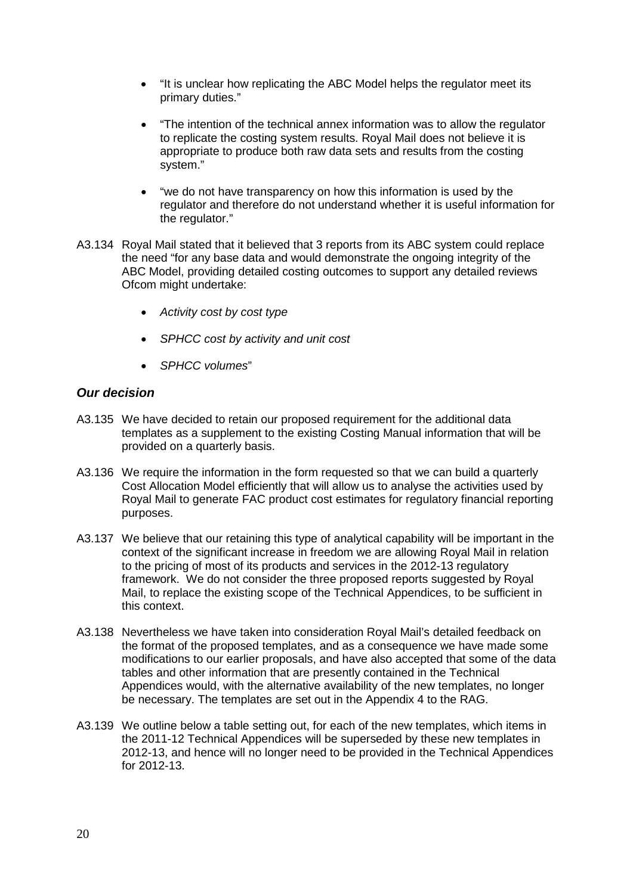- "It is unclear how replicating the ABC Model helps the regulator meet its primary duties."
- "The intention of the technical annex information was to allow the regulator to replicate the costing system results. Royal Mail does not believe it is appropriate to produce both raw data sets and results from the costing system."
- "we do not have transparency on how this information is used by the regulator and therefore do not understand whether it is useful information for the regulator."
- A3.134 Royal Mail stated that it believed that 3 reports from its ABC system could replace the need "for any base data and would demonstrate the ongoing integrity of the ABC Model, providing detailed costing outcomes to support any detailed reviews Ofcom might undertake:
	- *Activity cost by cost type*
	- *SPHCC cost by activity and unit cost*
	- *SPHCC volumes*"

#### *Our decision*

- A3.135 We have decided to retain our proposed requirement for the additional data templates as a supplement to the existing Costing Manual information that will be provided on a quarterly basis.
- A3.136 We require the information in the form requested so that we can build a quarterly Cost Allocation Model efficiently that will allow us to analyse the activities used by Royal Mail to generate FAC product cost estimates for regulatory financial reporting purposes.
- A3.137 We believe that our retaining this type of analytical capability will be important in the context of the significant increase in freedom we are allowing Royal Mail in relation to the pricing of most of its products and services in the 2012-13 regulatory framework. We do not consider the three proposed reports suggested by Royal Mail, to replace the existing scope of the Technical Appendices, to be sufficient in this context.
- A3.138 Nevertheless we have taken into consideration Royal Mail's detailed feedback on the format of the proposed templates, and as a consequence we have made some modifications to our earlier proposals, and have also accepted that some of the data tables and other information that are presently contained in the Technical Appendices would, with the alternative availability of the new templates, no longer be necessary. The templates are set out in the Appendix 4 to the RAG.
- A3.139 We outline below a table setting out, for each of the new templates, which items in the 2011-12 Technical Appendices will be superseded by these new templates in 2012-13, and hence will no longer need to be provided in the Technical Appendices for 2012-13.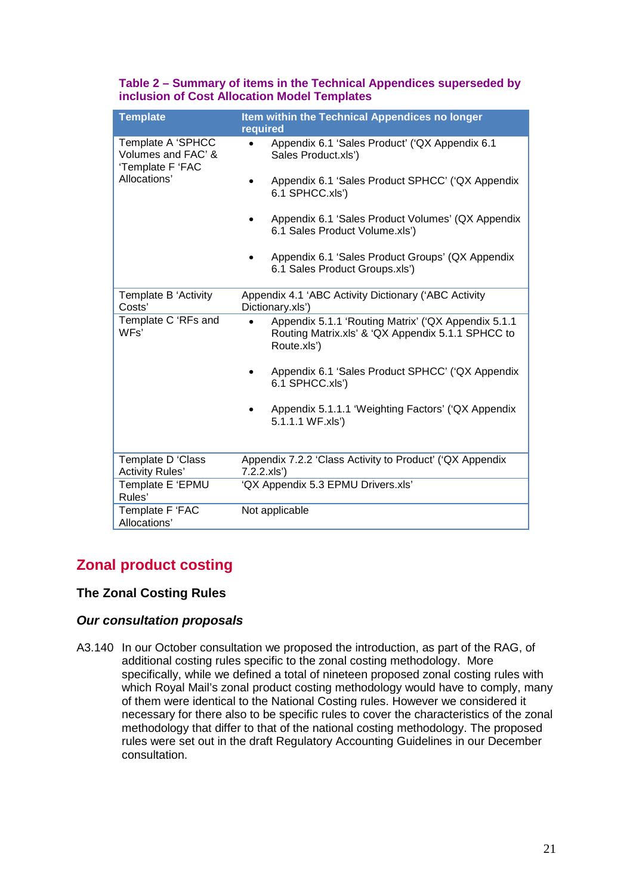| <b>Template</b>                                             | Item within the Technical Appendices no longer<br>required                                                              |
|-------------------------------------------------------------|-------------------------------------------------------------------------------------------------------------------------|
| Template A 'SPHCC<br>Volumes and FAC' &<br>'Template F 'FAC | Appendix 6.1 'Sales Product' ('QX Appendix 6.1<br>Sales Product.xls')                                                   |
| Allocations'                                                | Appendix 6.1 'Sales Product SPHCC' ('QX Appendix<br>$\bullet$<br>6.1 SPHCC.xls')                                        |
|                                                             | Appendix 6.1 'Sales Product Volumes' (QX Appendix<br>6.1 Sales Product Volume.xls')                                     |
|                                                             | Appendix 6.1 'Sales Product Groups' (QX Appendix<br>6.1 Sales Product Groups.xls')                                      |
| Template B 'Activity<br>Costs'                              | Appendix 4.1 'ABC Activity Dictionary ('ABC Activity<br>Dictionary.xls')                                                |
| Template C 'RFs and<br>WFs'                                 | Appendix 5.1.1 'Routing Matrix' ('QX Appendix 5.1.1<br>Routing Matrix.xls' & 'QX Appendix 5.1.1 SPHCC to<br>Route.xls') |
|                                                             | Appendix 6.1 'Sales Product SPHCC' ('QX Appendix<br>6.1 SPHCC.xls')                                                     |
|                                                             | Appendix 5.1.1.1 'Weighting Factors' ('QX Appendix<br>5.1.1.1 WF.xls')                                                  |
|                                                             |                                                                                                                         |
| Template D'Class<br><b>Activity Rules'</b>                  | Appendix 7.2.2 'Class Activity to Product' ('QX Appendix<br>7.2.2.xls'                                                  |
| Template E 'EPMU<br>Rules'                                  | 'QX Appendix 5.3 EPMU Drivers.xls'                                                                                      |
| Template F 'FAC<br>Allocations'                             | Not applicable                                                                                                          |

#### **Table 2 – Summary of items in the Technical Appendices superseded by inclusion of Cost Allocation Model Templates**

# **Zonal product costing**

# **The Zonal Costing Rules**

# *Our consultation proposals*

A3.140 In our October consultation we proposed the introduction, as part of the RAG, of additional costing rules specific to the zonal costing methodology. More specifically, while we defined a total of nineteen proposed zonal costing rules with which Royal Mail's zonal product costing methodology would have to comply, many of them were identical to the National Costing rules. However we considered it necessary for there also to be specific rules to cover the characteristics of the zonal methodology that differ to that of the national costing methodology. The proposed rules were set out in the draft Regulatory Accounting Guidelines in our December consultation.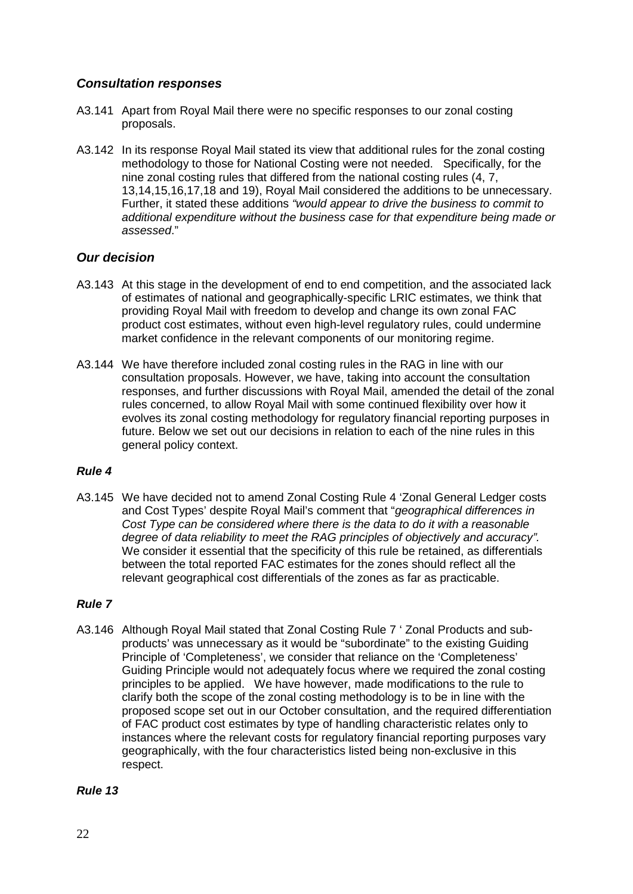### *Consultation responses*

- A3.141 Apart from Royal Mail there were no specific responses to our zonal costing proposals.
- A3.142 In its response Royal Mail stated its view that additional rules for the zonal costing methodology to those for National Costing were not needed. Specifically, for the nine zonal costing rules that differed from the national costing rules (4, 7, 13,14,15,16,17,18 and 19), Royal Mail considered the additions to be unnecessary. Further, it stated these additions *"would appear to drive the business to commit to additional expenditure without the business case for that expenditure being made or assessed*."

#### *Our decision*

- A3.143 At this stage in the development of end to end competition, and the associated lack of estimates of national and geographically-specific LRIC estimates, we think that providing Royal Mail with freedom to develop and change its own zonal FAC product cost estimates, without even high-level regulatory rules, could undermine market confidence in the relevant components of our monitoring regime.
- A3.144 We have therefore included zonal costing rules in the RAG in line with our consultation proposals. However, we have, taking into account the consultation responses, and further discussions with Royal Mail, amended the detail of the zonal rules concerned, to allow Royal Mail with some continued flexibility over how it evolves its zonal costing methodology for regulatory financial reporting purposes in future. Below we set out our decisions in relation to each of the nine rules in this general policy context.

#### *Rule 4*

A3.145 We have decided not to amend Zonal Costing Rule 4 'Zonal General Ledger costs and Cost Types' despite Royal Mail's comment that "*geographical differences in Cost Type can be considered where there is the data to do it with a reasonable degree of data reliability to meet the RAG principles of objectively and accuracy".*  We consider it essential that the specificity of this rule be retained, as differentials between the total reported FAC estimates for the zones should reflect all the relevant geographical cost differentials of the zones as far as practicable.

#### *Rule 7*

A3.146 Although Royal Mail stated that Zonal Costing Rule 7 ' Zonal Products and subproducts' was unnecessary as it would be "subordinate" to the existing Guiding Principle of 'Completeness', we consider that reliance on the 'Completeness' Guiding Principle would not adequately focus where we required the zonal costing principles to be applied. We have however, made modifications to the rule to clarify both the scope of the zonal costing methodology is to be in line with the proposed scope set out in our October consultation, and the required differentiation of FAC product cost estimates by type of handling characteristic relates only to instances where the relevant costs for regulatory financial reporting purposes vary geographically, with the four characteristics listed being non-exclusive in this respect.

#### *Rule 13*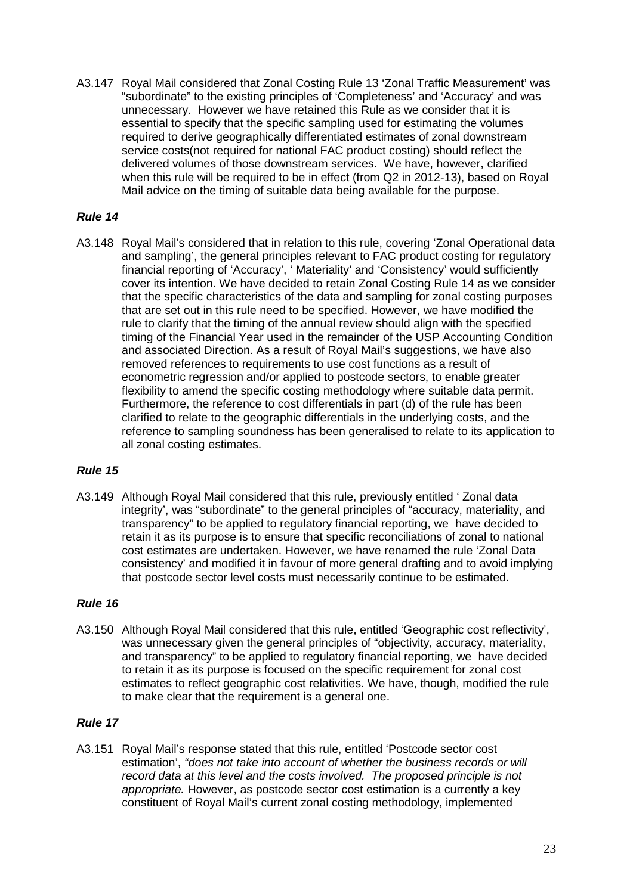A3.147 Royal Mail considered that Zonal Costing Rule 13 'Zonal Traffic Measurement' was "subordinate" to the existing principles of 'Completeness' and 'Accuracy' and was unnecessary. However we have retained this Rule as we consider that it is essential to specify that the specific sampling used for estimating the volumes required to derive geographically differentiated estimates of zonal downstream service costs(not required for national FAC product costing) should reflect the delivered volumes of those downstream services. We have, however, clarified when this rule will be required to be in effect (from Q2 in 2012-13), based on Royal Mail advice on the timing of suitable data being available for the purpose.

#### *Rule 14*

A3.148 Royal Mail's considered that in relation to this rule, covering 'Zonal Operational data and sampling', the general principles relevant to FAC product costing for regulatory financial reporting of 'Accuracy', ' Materiality' and 'Consistency' would sufficiently cover its intention. We have decided to retain Zonal Costing Rule 14 as we consider that the specific characteristics of the data and sampling for zonal costing purposes that are set out in this rule need to be specified. However, we have modified the rule to clarify that the timing of the annual review should align with the specified timing of the Financial Year used in the remainder of the USP Accounting Condition and associated Direction. As a result of Royal Mail's suggestions, we have also removed references to requirements to use cost functions as a result of econometric regression and/or applied to postcode sectors, to enable greater flexibility to amend the specific costing methodology where suitable data permit. Furthermore, the reference to cost differentials in part (d) of the rule has been clarified to relate to the geographic differentials in the underlying costs, and the reference to sampling soundness has been generalised to relate to its application to all zonal costing estimates.

#### *Rule 15*

A3.149 Although Royal Mail considered that this rule, previously entitled ' Zonal data integrity', was "subordinate" to the general principles of "accuracy, materiality, and transparency" to be applied to regulatory financial reporting, we have decided to retain it as its purpose is to ensure that specific reconciliations of zonal to national cost estimates are undertaken. However, we have renamed the rule 'Zonal Data consistency' and modified it in favour of more general drafting and to avoid implying that postcode sector level costs must necessarily continue to be estimated.

#### *Rule 16*

A3.150 Although Royal Mail considered that this rule, entitled 'Geographic cost reflectivity', was unnecessary given the general principles of "objectivity, accuracy, materiality, and transparency" to be applied to regulatory financial reporting, we have decided to retain it as its purpose is focused on the specific requirement for zonal cost estimates to reflect geographic cost relativities. We have, though, modified the rule to make clear that the requirement is a general one.

#### *Rule 17*

A3.151 Royal Mail's response stated that this rule, entitled 'Postcode sector cost estimation', *"does not take into account of whether the business records or will record data at this level and the costs involved. The proposed principle is not appropriate.* However, as postcode sector cost estimation is a currently a key constituent of Royal Mail's current zonal costing methodology, implemented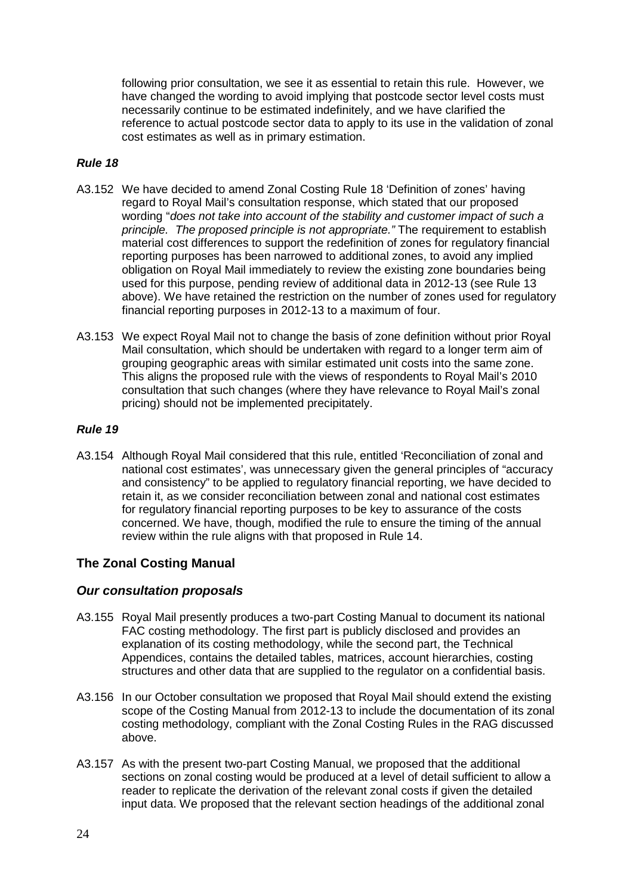following prior consultation, we see it as essential to retain this rule. However, we have changed the wording to avoid implying that postcode sector level costs must necessarily continue to be estimated indefinitely, and we have clarified the reference to actual postcode sector data to apply to its use in the validation of zonal cost estimates as well as in primary estimation.

#### *Rule 18*

- A3.152 We have decided to amend Zonal Costing Rule 18 'Definition of zones' having regard to Royal Mail's consultation response, which stated that our proposed wording "*does not take into account of the stability and customer impact of such a principle. The proposed principle is not appropriate."* The requirement to establish material cost differences to support the redefinition of zones for regulatory financial reporting purposes has been narrowed to additional zones, to avoid any implied obligation on Royal Mail immediately to review the existing zone boundaries being used for this purpose, pending review of additional data in 2012-13 (see Rule 13 above). We have retained the restriction on the number of zones used for regulatory financial reporting purposes in 2012-13 to a maximum of four.
- A3.153 We expect Royal Mail not to change the basis of zone definition without prior Royal Mail consultation, which should be undertaken with regard to a longer term aim of grouping geographic areas with similar estimated unit costs into the same zone. This aligns the proposed rule with the views of respondents to Royal Mail's 2010 consultation that such changes (where they have relevance to Royal Mail's zonal pricing) should not be implemented precipitately.

#### *Rule 19*

A3.154 Although Royal Mail considered that this rule, entitled 'Reconciliation of zonal and national cost estimates', was unnecessary given the general principles of "accuracy and consistency" to be applied to regulatory financial reporting, we have decided to retain it, as we consider reconciliation between zonal and national cost estimates for regulatory financial reporting purposes to be key to assurance of the costs concerned. We have, though, modified the rule to ensure the timing of the annual review within the rule aligns with that proposed in Rule 14.

#### **The Zonal Costing Manual**

#### *Our consultation proposals*

- A3.155 Royal Mail presently produces a two-part Costing Manual to document its national FAC costing methodology. The first part is publicly disclosed and provides an explanation of its costing methodology, while the second part, the Technical Appendices, contains the detailed tables, matrices, account hierarchies, costing structures and other data that are supplied to the regulator on a confidential basis.
- A3.156 In our October consultation we proposed that Royal Mail should extend the existing scope of the Costing Manual from 2012-13 to include the documentation of its zonal costing methodology, compliant with the Zonal Costing Rules in the RAG discussed above.
- A3.157 As with the present two-part Costing Manual, we proposed that the additional sections on zonal costing would be produced at a level of detail sufficient to allow a reader to replicate the derivation of the relevant zonal costs if given the detailed input data. We proposed that the relevant section headings of the additional zonal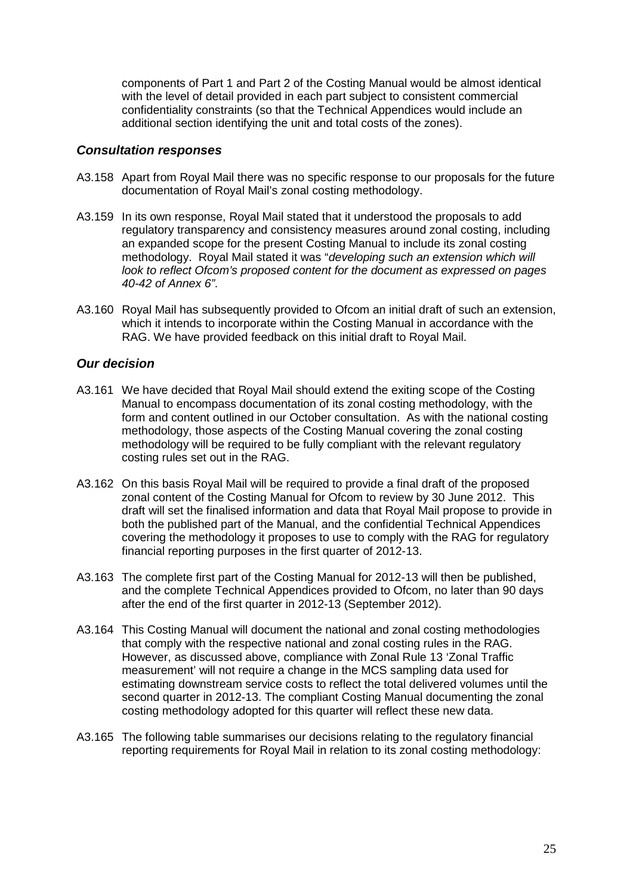components of Part 1 and Part 2 of the Costing Manual would be almost identical with the level of detail provided in each part subject to consistent commercial confidentiality constraints (so that the Technical Appendices would include an additional section identifying the unit and total costs of the zones).

#### *Consultation responses*

- A3.158 Apart from Royal Mail there was no specific response to our proposals for the future documentation of Royal Mail's zonal costing methodology.
- A3.159 In its own response, Royal Mail stated that it understood the proposals to add regulatory transparency and consistency measures around zonal costing, including an expanded scope for the present Costing Manual to include its zonal costing methodology. Royal Mail stated it was "*developing such an extension which will look to reflect Ofcom's proposed content for the document as expressed on pages 40-42 of Annex 6"*.
- A3.160 Royal Mail has subsequently provided to Ofcom an initial draft of such an extension, which it intends to incorporate within the Costing Manual in accordance with the RAG. We have provided feedback on this initial draft to Royal Mail.

#### *Our decision*

- A3.161 We have decided that Royal Mail should extend the exiting scope of the Costing Manual to encompass documentation of its zonal costing methodology, with the form and content outlined in our October consultation. As with the national costing methodology, those aspects of the Costing Manual covering the zonal costing methodology will be required to be fully compliant with the relevant regulatory costing rules set out in the RAG.
- A3.162 On this basis Royal Mail will be required to provide a final draft of the proposed zonal content of the Costing Manual for Ofcom to review by 30 June 2012. This draft will set the finalised information and data that Royal Mail propose to provide in both the published part of the Manual, and the confidential Technical Appendices covering the methodology it proposes to use to comply with the RAG for regulatory financial reporting purposes in the first quarter of 2012-13.
- A3.163 The complete first part of the Costing Manual for 2012-13 will then be published, and the complete Technical Appendices provided to Ofcom, no later than 90 days after the end of the first quarter in 2012-13 (September 2012).
- A3.164 This Costing Manual will document the national and zonal costing methodologies that comply with the respective national and zonal costing rules in the RAG. However, as discussed above, compliance with Zonal Rule 13 'Zonal Traffic measurement' will not require a change in the MCS sampling data used for estimating downstream service costs to reflect the total delivered volumes until the second quarter in 2012-13. The compliant Costing Manual documenting the zonal costing methodology adopted for this quarter will reflect these new data.
- A3.165 The following table summarises our decisions relating to the regulatory financial reporting requirements for Royal Mail in relation to its zonal costing methodology: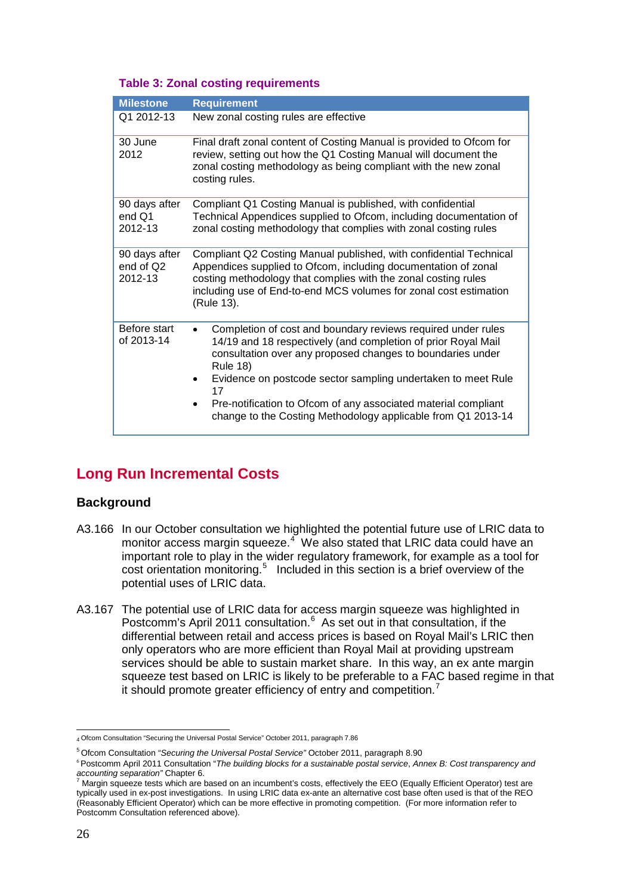#### **Table 3: Zonal costing requirements**

| <b>Milestone</b>                      | <b>Requirement</b>                                                                                                                                                                                                                                                                                                                                                                                                                  |
|---------------------------------------|-------------------------------------------------------------------------------------------------------------------------------------------------------------------------------------------------------------------------------------------------------------------------------------------------------------------------------------------------------------------------------------------------------------------------------------|
| Q1 2012-13                            | New zonal costing rules are effective                                                                                                                                                                                                                                                                                                                                                                                               |
| 30 June<br>2012                       | Final draft zonal content of Costing Manual is provided to Ofcom for<br>review, setting out how the Q1 Costing Manual will document the<br>zonal costing methodology as being compliant with the new zonal<br>costing rules.                                                                                                                                                                                                        |
| 90 days after<br>end Q1<br>2012-13    | Compliant Q1 Costing Manual is published, with confidential<br>Technical Appendices supplied to Ofcom, including documentation of<br>zonal costing methodology that complies with zonal costing rules                                                                                                                                                                                                                               |
| 90 days after<br>end of Q2<br>2012-13 | Compliant Q2 Costing Manual published, with confidential Technical<br>Appendices supplied to Ofcom, including documentation of zonal<br>costing methodology that complies with the zonal costing rules<br>including use of End-to-end MCS volumes for zonal cost estimation<br>(Rule 13).                                                                                                                                           |
| Before start<br>of 2013-14            | Completion of cost and boundary reviews required under rules<br>14/19 and 18 respectively (and completion of prior Royal Mail<br>consultation over any proposed changes to boundaries under<br><b>Rule 18)</b><br>Evidence on postcode sector sampling undertaken to meet Rule<br>17<br>Pre-notification to Ofcom of any associated material compliant<br>$\bullet$<br>change to the Costing Methodology applicable from Q1 2013-14 |

# **Long Run Incremental Costs**

#### **Background**

- A3.166 In our October consultation we highlighted the potential future use of LRIC data to monitor access margin squeeze.<sup>[4](#page-25-0)</sup> We also stated that LRIC data could have an important role to play in the wider regulatory framework, for example as a tool for cost orientation monitoring.<sup>[5](#page-25-1)</sup> Included in this section is a brief overview of the potential uses of LRIC data.
- A3.167 The potential use of LRIC data for access margin squeeze was highlighted in Postcomm's April 2011 consultation.<sup>[6](#page-25-2)</sup> As set out in that consultation, if the differential between retail and access prices is based on Royal Mail's LRIC then only operators who are more efficient than Royal Mail at providing upstream services should be able to sustain market share. In this way, an ex ante margin squeeze test based on LRIC is likely to be preferable to a FAC based regime in that it should promote greater efficiency of entry and competition.<sup>[7](#page-25-3)</sup>

<sup>4</sup> Ofcom Consultation "Securing the Universal Postal Service" October 2011, paragraph 7.86

<span id="page-25-0"></span><sup>5</sup> Ofcom Consultation "*Securing the Universal Postal Service"* October 2011, paragraph 8.90

<span id="page-25-2"></span><span id="page-25-1"></span><sup>6</sup>Postcomm April 2011 Consultation "*The building blocks for a sustainable postal service*, *Annex B: Cost transparency and accounting separation"* Chapter 6.<br>
<sup>7</sup> Margin squeeze tests which are based on an incumbent's costs, effectively the EEO (Equally Efficient Operator) test are

<span id="page-25-3"></span>typically used in ex-post investigations. In using LRIC data ex-ante an alternative cost base often used is that of the REO (Reasonably Efficient Operator) which can be more effective in promoting competition. (For more information refer to Postcomm Consultation referenced above).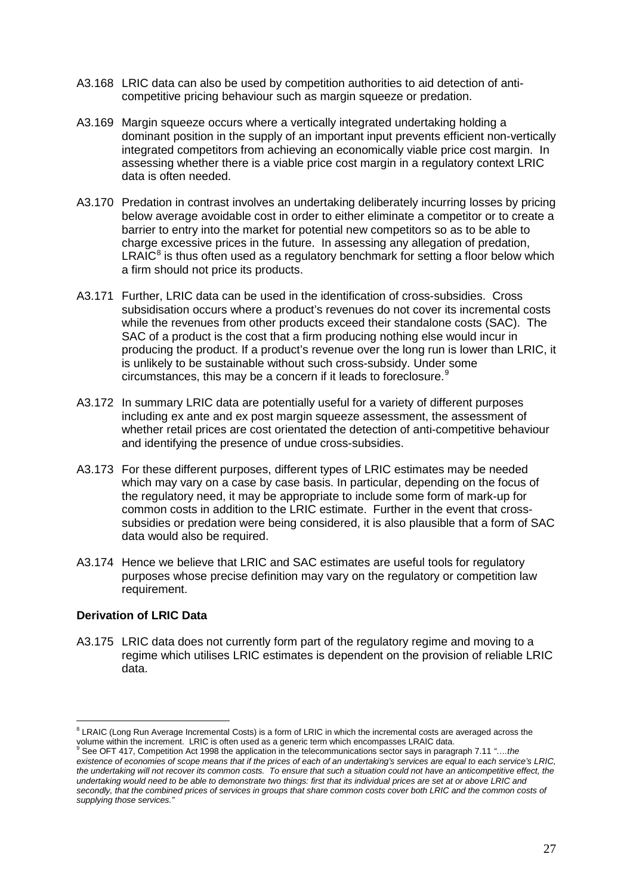- A3.168 LRIC data can also be used by competition authorities to aid detection of anticompetitive pricing behaviour such as margin squeeze or predation.
- A3.169 Margin squeeze occurs where a vertically integrated undertaking holding a dominant position in the supply of an important input prevents efficient non-vertically integrated competitors from achieving an economically viable price cost margin. In assessing whether there is a viable price cost margin in a regulatory context LRIC data is often needed.
- A3.170 Predation in contrast involves an undertaking deliberately incurring losses by pricing below average avoidable cost in order to either eliminate a competitor or to create a barrier to entry into the market for potential new competitors so as to be able to charge excessive prices in the future. In assessing any allegation of predation,  $LRAIC<sup>8</sup>$  $LRAIC<sup>8</sup>$  $LRAIC<sup>8</sup>$  is thus often used as a regulatory benchmark for setting a floor below which a firm should not price its products.
- A3.171 Further, LRIC data can be used in the identification of cross-subsidies. Cross subsidisation occurs where a product's revenues do not cover its incremental costs while the revenues from other products exceed their standalone costs (SAC). The SAC of a product is the cost that a firm producing nothing else would incur in producing the product. If a product's revenue over the long run is lower than LRIC, it is unlikely to be sustainable without such cross-subsidy. Under some circumstances, this may be a concern if it leads to foreclosure.<sup>[9](#page-26-1)</sup>
- A3.172 In summary LRIC data are potentially useful for a variety of different purposes including ex ante and ex post margin squeeze assessment, the assessment of whether retail prices are cost orientated the detection of anti-competitive behaviour and identifying the presence of undue cross-subsidies.
- A3.173 For these different purposes, different types of LRIC estimates may be needed which may vary on a case by case basis. In particular, depending on the focus of the regulatory need, it may be appropriate to include some form of mark-up for common costs in addition to the LRIC estimate. Further in the event that crosssubsidies or predation were being considered, it is also plausible that a form of SAC data would also be required.
- A3.174 Hence we believe that LRIC and SAC estimates are useful tools for regulatory purposes whose precise definition may vary on the regulatory or competition law requirement.

#### **Derivation of LRIC Data**

A3.175 LRIC data does not currently form part of the regulatory regime and moving to a regime which utilises LRIC estimates is dependent on the provision of reliable LRIC data.

<span id="page-26-0"></span><sup>&</sup>lt;sup>8</sup> LRAIC (Long Run Average Incremental Costs) is a form of LRIC in which the incremental costs are averaged across the volume within the increment. LRIC is often used as a generic term which encompasses LRAIC data.

<span id="page-26-1"></span><sup>9</sup> See OFT 417, Competition Act 1998 the application in the telecommunications sector says in paragraph 7.11 *"….the existence of economies of scope means that if the prices of each of an undertaking's services are equal to each service's LRIC, the undertaking will not recover its common costs. To ensure that such a situation could not have an anticompetitive effect, the undertaking would need to be able to demonstrate two things: first that its individual prices are set at or above LRIC and secondly, that the combined prices of services in groups that share common costs cover both LRIC and the common costs of supplying those services."*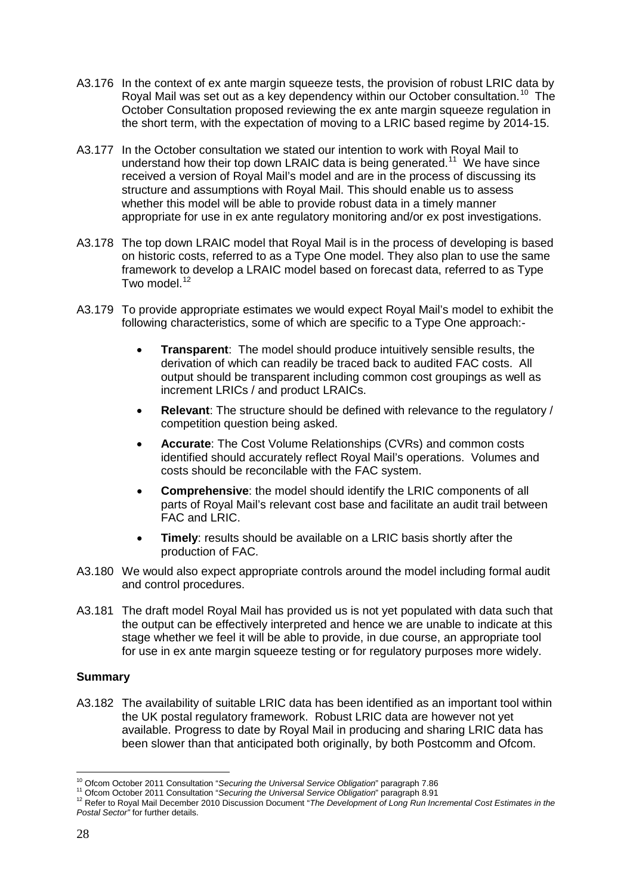- A3.176 In the context of ex ante margin squeeze tests, the provision of robust LRIC data by Royal Mail was set out as a key dependency within our October consultation.<sup>[10](#page-27-0)</sup> The October Consultation proposed reviewing the ex ante margin squeeze regulation in the short term, with the expectation of moving to a LRIC based regime by 2014-15.
- A3.177 In the October consultation we stated our intention to work with Royal Mail to understand how their top down LRAIC data is being generated.<sup>[11](#page-27-1)</sup> We have since received a version of Royal Mail's model and are in the process of discussing its structure and assumptions with Royal Mail. This should enable us to assess whether this model will be able to provide robust data in a timely manner appropriate for use in ex ante regulatory monitoring and/or ex post investigations.
- A3.178 The top down LRAIC model that Royal Mail is in the process of developing is based on historic costs, referred to as a Type One model. They also plan to use the same framework to develop a LRAIC model based on forecast data, referred to as Type Two model.<sup>[12](#page-27-2)</sup>
- A3.179 To provide appropriate estimates we would expect Royal Mail's model to exhibit the following characteristics, some of which are specific to a Type One approach:-
	- **Transparent:** The model should produce intuitively sensible results, the derivation of which can readily be traced back to audited FAC costs. All output should be transparent including common cost groupings as well as increment LRICs / and product LRAICs.
	- **Relevant**: The structure should be defined with relevance to the regulatory / competition question being asked.
	- **Accurate**: The Cost Volume Relationships (CVRs) and common costs identified should accurately reflect Royal Mail's operations. Volumes and costs should be reconcilable with the FAC system.
	- **Comprehensive**: the model should identify the LRIC components of all parts of Royal Mail's relevant cost base and facilitate an audit trail between FAC and LRIC.
	- **Timely:** results should be available on a LRIC basis shortly after the production of FAC.
- A3.180 We would also expect appropriate controls around the model including formal audit and control procedures.
- A3.181 The draft model Royal Mail has provided us is not yet populated with data such that the output can be effectively interpreted and hence we are unable to indicate at this stage whether we feel it will be able to provide, in due course, an appropriate tool for use in ex ante margin squeeze testing or for regulatory purposes more widely.

#### **Summary**

A3.182 The availability of suitable LRIC data has been identified as an important tool within the UK postal regulatory framework. Robust LRIC data are however not yet available. Progress to date by Royal Mail in producing and sharing LRIC data has been slower than that anticipated both originally, by both Postcomm and Ofcom.

<span id="page-27-2"></span><span id="page-27-1"></span>

<span id="page-27-0"></span><sup>&</sup>lt;sup>10</sup> Ofcom October 2011 Consultation "Securing the Universal Service Obligation" paragraph 7.86<br><sup>11</sup> Ofcom October 2011 Consultation "Securing the Universal Service Obligation" paragraph 8.91<br><sup>12</sup> Refer to Royal Mail Decem *Postal Sector"* for further details.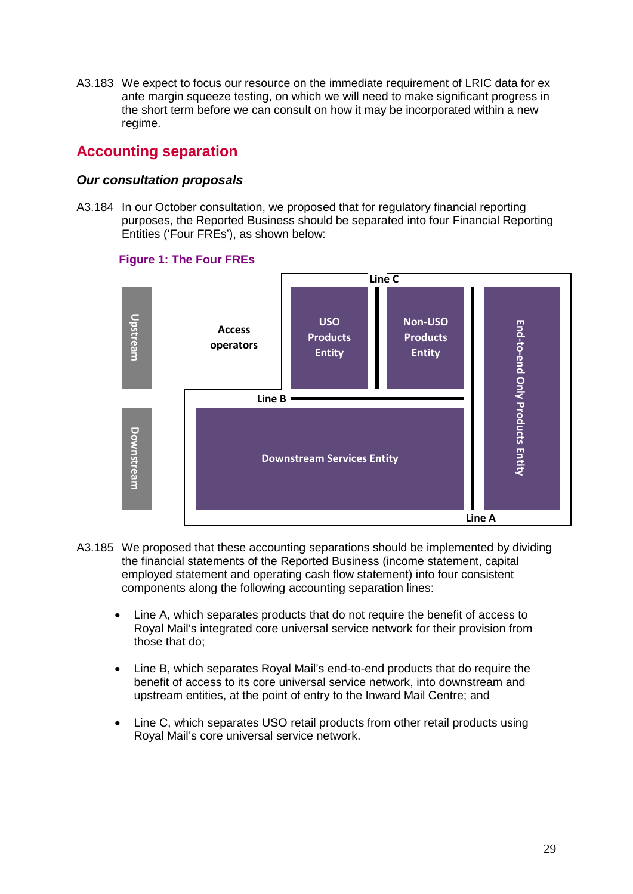A3.183 We expect to focus our resource on the immediate requirement of LRIC data for ex ante margin squeeze testing, on which we will need to make significant progress in the short term before we can consult on how it may be incorporated within a new regime.

# **Accounting separation**

#### *Our consultation proposals*

A3.184 In our October consultation, we proposed that for regulatory financial reporting purposes, the Reported Business should be separated into four Financial Reporting Entities ('Four FREs'), as shown below:



#### **Figure 1: The Four FREs**

- A3.185 We proposed that these accounting separations should be implemented by dividing the financial statements of the Reported Business (income statement, capital employed statement and operating cash flow statement) into four consistent components along the following accounting separation lines:
	- Line A, which separates products that do not require the benefit of access to Royal Mail's integrated core universal service network for their provision from those that do;
	- Line B, which separates Royal Mail's end-to-end products that do require the benefit of access to its core universal service network, into downstream and upstream entities, at the point of entry to the Inward Mail Centre; and
	- Line C, which separates USO retail products from other retail products using Royal Mail's core universal service network.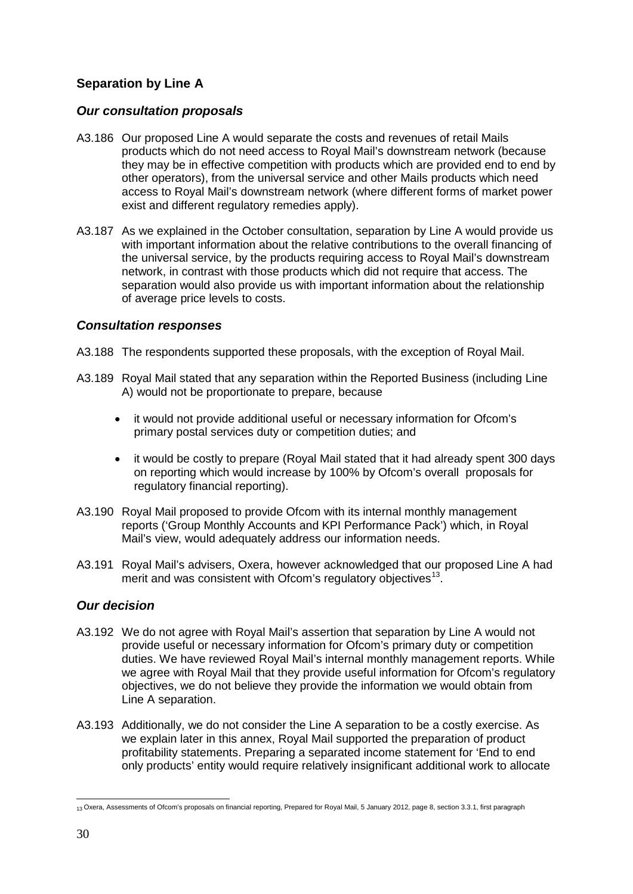# **Separation by Line A**

#### *Our consultation proposals*

- A3.186 Our proposed Line A would separate the costs and revenues of retail Mails products which do not need access to Royal Mail's downstream network (because they may be in effective competition with products which are provided end to end by other operators), from the universal service and other Mails products which need access to Royal Mail's downstream network (where different forms of market power exist and different regulatory remedies apply).
- A3.187 As we explained in the October consultation, separation by Line A would provide us with important information about the relative contributions to the overall financing of the universal service, by the products requiring access to Royal Mail's downstream network, in contrast with those products which did not require that access. The separation would also provide us with important information about the relationship of average price levels to costs.

#### *Consultation responses*

- A3.188 The respondents supported these proposals, with the exception of Royal Mail.
- A3.189 Royal Mail stated that any separation within the Reported Business (including Line A) would not be proportionate to prepare, because
	- it would not provide additional useful or necessary information for Ofcom's primary postal services duty or competition duties; and
	- it would be costly to prepare (Royal Mail stated that it had already spent 300 days on reporting which would increase by 100% by Ofcom's overall proposals for regulatory financial reporting).
- A3.190 Royal Mail proposed to provide Ofcom with its internal monthly management reports ('Group Monthly Accounts and KPI Performance Pack') which, in Royal Mail's view, would adequately address our information needs.
- A3.191 Royal Mail's advisers, Oxera, however acknowledged that our proposed Line A had merit and was consistent with Ofcom's regulatory objectives $^{13}$  $^{13}$  $^{13}$ .

#### *Our decision*

- A3.192 We do not agree with Royal Mail's assertion that separation by Line A would not provide useful or necessary information for Ofcom's primary duty or competition duties. We have reviewed Royal Mail's internal monthly management reports. While we agree with Royal Mail that they provide useful information for Ofcom's regulatory objectives, we do not believe they provide the information we would obtain from Line A separation.
- A3.193 Additionally, we do not consider the Line A separation to be a costly exercise. As we explain later in this annex, Royal Mail supported the preparation of product profitability statements. Preparing a separated income statement for 'End to end only products' entity would require relatively insignificant additional work to allocate

<span id="page-29-0"></span><sup>13</sup> Oxera, Assessments of Ofcom's proposals on financial reporting, Prepared for Royal Mail, 5 January 2012, page 8, section 3.3.1, first paragraph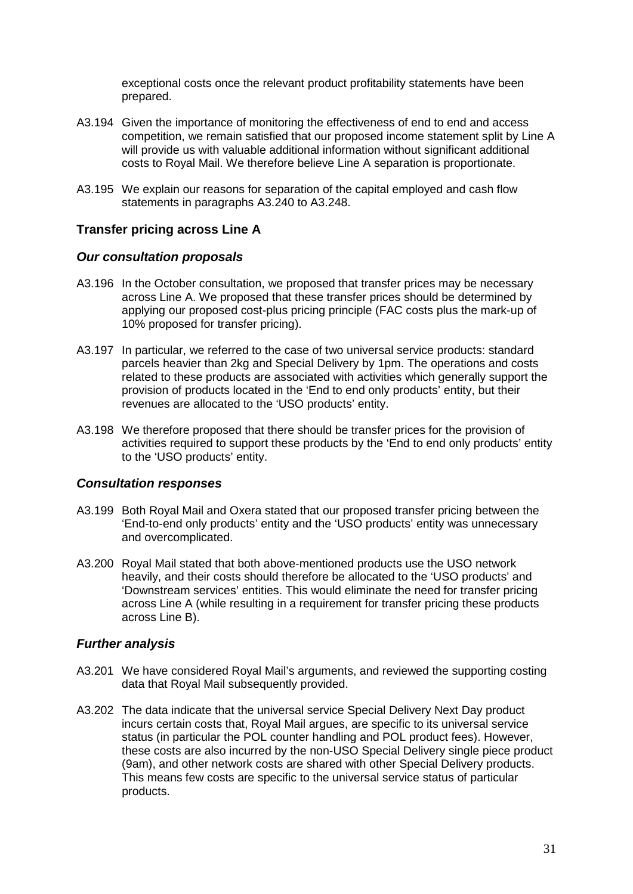exceptional costs once the relevant product profitability statements have been prepared.

- A3.194 Given the importance of monitoring the effectiveness of end to end and access competition, we remain satisfied that our proposed income statement split by Line A will provide us with valuable additional information without significant additional costs to Royal Mail. We therefore believe Line A separation is proportionate.
- A3.195 We explain our reasons for separation of the capital employed and cash flow statements in paragraphs [A3.240](#page-35-0) to [A3.248.](#page-36-0)

#### **Transfer pricing across Line A**

#### *Our consultation proposals*

- A3.196 In the October consultation, we proposed that transfer prices may be necessary across Line A. We proposed that these transfer prices should be determined by applying our proposed cost-plus pricing principle (FAC costs plus the mark-up of 10% proposed for transfer pricing).
- A3.197 In particular, we referred to the case of two universal service products: standard parcels heavier than 2kg and Special Delivery by 1pm. The operations and costs related to these products are associated with activities which generally support the provision of products located in the 'End to end only products' entity, but their revenues are allocated to the 'USO products' entity.
- A3.198 We therefore proposed that there should be transfer prices for the provision of activities required to support these products by the 'End to end only products' entity to the 'USO products' entity.

#### *Consultation responses*

- A3.199 Both Royal Mail and Oxera stated that our proposed transfer pricing between the 'End-to-end only products' entity and the 'USO products' entity was unnecessary and overcomplicated.
- A3.200 Royal Mail stated that both above-mentioned products use the USO network heavily, and their costs should therefore be allocated to the 'USO products' and 'Downstream services' entities. This would eliminate the need for transfer pricing across Line A (while resulting in a requirement for transfer pricing these products across Line B).

#### *Further analysis*

- A3.201 We have considered Royal Mail's arguments, and reviewed the supporting costing data that Royal Mail subsequently provided.
- A3.202 The data indicate that the universal service Special Delivery Next Day product incurs certain costs that, Royal Mail argues, are specific to its universal service status (in particular the POL counter handling and POL product fees). However, these costs are also incurred by the non-USO Special Delivery single piece product (9am), and other network costs are shared with other Special Delivery products. This means few costs are specific to the universal service status of particular products.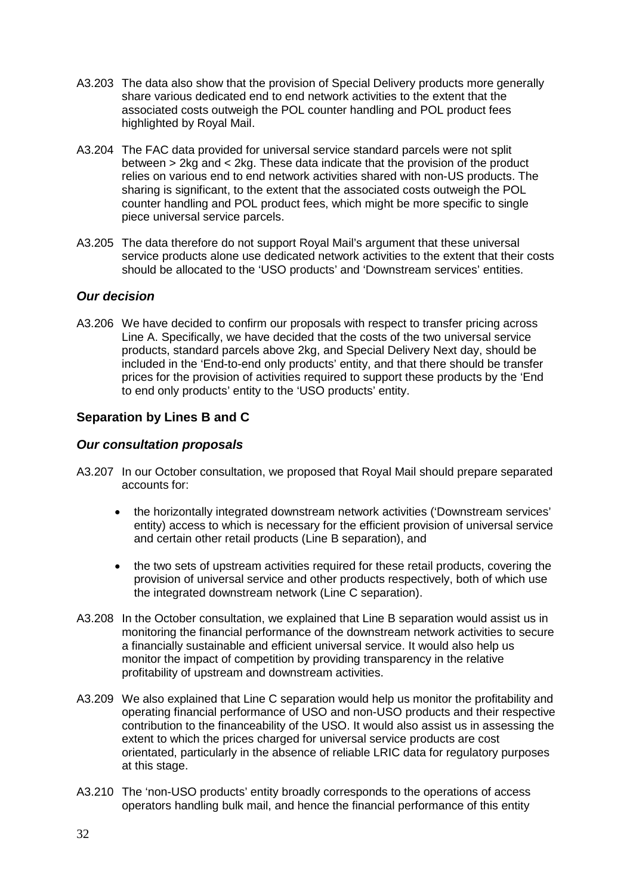- A3.203 The data also show that the provision of Special Delivery products more generally share various dedicated end to end network activities to the extent that the associated costs outweigh the POL counter handling and POL product fees highlighted by Royal Mail.
- A3.204 The FAC data provided for universal service standard parcels were not split between > 2kg and < 2kg. These data indicate that the provision of the product relies on various end to end network activities shared with non-US products. The sharing is significant, to the extent that the associated costs outweigh the POL counter handling and POL product fees, which might be more specific to single piece universal service parcels.
- A3.205 The data therefore do not support Royal Mail's argument that these universal service products alone use dedicated network activities to the extent that their costs should be allocated to the 'USO products' and 'Downstream services' entities.

#### *Our decision*

A3.206 We have decided to confirm our proposals with respect to transfer pricing across Line A. Specifically, we have decided that the costs of the two universal service products, standard parcels above 2kg, and Special Delivery Next day, should be included in the 'End-to-end only products' entity, and that there should be transfer prices for the provision of activities required to support these products by the 'End to end only products' entity to the 'USO products' entity.

### **Separation by Lines B and C**

### *Our consultation proposals*

- A3.207 In our October consultation, we proposed that Royal Mail should prepare separated accounts for:
	- the horizontally integrated downstream network activities ('Downstream services' entity) access to which is necessary for the efficient provision of universal service and certain other retail products (Line B separation), and
	- the two sets of upstream activities required for these retail products, covering the provision of universal service and other products respectively, both of which use the integrated downstream network (Line C separation).
- A3.208 In the October consultation, we explained that Line B separation would assist us in monitoring the financial performance of the downstream network activities to secure a financially sustainable and efficient universal service. It would also help us monitor the impact of competition by providing transparency in the relative profitability of upstream and downstream activities.
- A3.209 We also explained that Line C separation would help us monitor the profitability and operating financial performance of USO and non-USO products and their respective contribution to the financeability of the USO. It would also assist us in assessing the extent to which the prices charged for universal service products are cost orientated, particularly in the absence of reliable LRIC data for regulatory purposes at this stage.
- A3.210 The 'non-USO products' entity broadly corresponds to the operations of access operators handling bulk mail, and hence the financial performance of this entity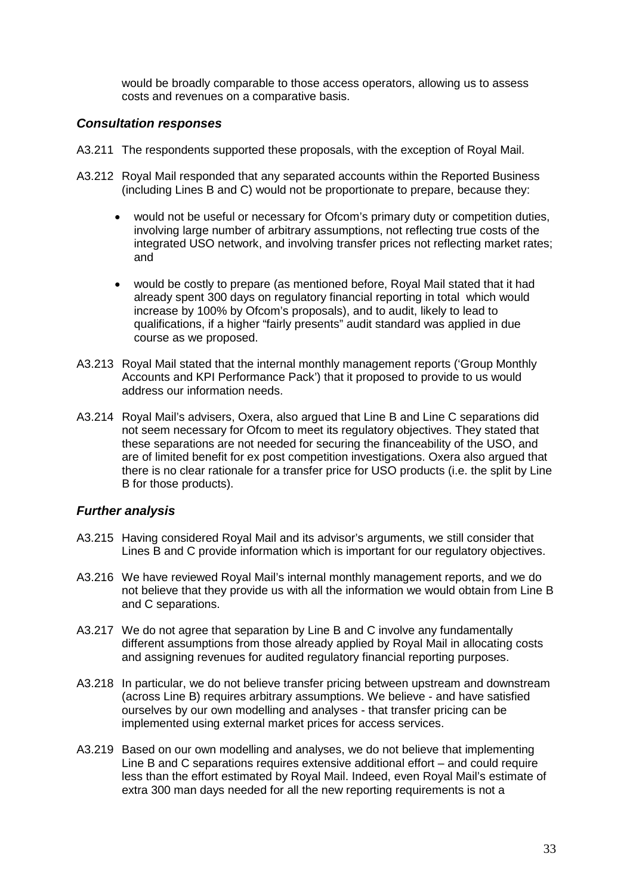would be broadly comparable to those access operators, allowing us to assess costs and revenues on a comparative basis.

#### *Consultation responses*

- A3.211 The respondents supported these proposals, with the exception of Royal Mail.
- A3.212 Royal Mail responded that any separated accounts within the Reported Business (including Lines B and C) would not be proportionate to prepare, because they:
	- would not be useful or necessary for Ofcom's primary duty or competition duties, involving large number of arbitrary assumptions, not reflecting true costs of the integrated USO network, and involving transfer prices not reflecting market rates; and
	- would be costly to prepare (as mentioned before, Royal Mail stated that it had already spent 300 days on regulatory financial reporting in total which would increase by 100% by Ofcom's proposals), and to audit, likely to lead to qualifications, if a higher "fairly presents" audit standard was applied in due course as we proposed.
- A3.213 Royal Mail stated that the internal monthly management reports ('Group Monthly Accounts and KPI Performance Pack') that it proposed to provide to us would address our information needs.
- A3.214 Royal Mail's advisers, Oxera, also argued that Line B and Line C separations did not seem necessary for Ofcom to meet its regulatory objectives. They stated that these separations are not needed for securing the financeability of the USO, and are of limited benefit for ex post competition investigations. Oxera also argued that there is no clear rationale for a transfer price for USO products (i.e. the split by Line B for those products).

#### *Further analysis*

- A3.215 Having considered Royal Mail and its advisor's arguments, we still consider that Lines B and C provide information which is important for our regulatory objectives.
- A3.216 We have reviewed Royal Mail's internal monthly management reports, and we do not believe that they provide us with all the information we would obtain from Line B and C separations.
- A3.217 We do not agree that separation by Line B and C involve any fundamentally different assumptions from those already applied by Royal Mail in allocating costs and assigning revenues for audited regulatory financial reporting purposes.
- A3.218 In particular, we do not believe transfer pricing between upstream and downstream (across Line B) requires arbitrary assumptions. We believe - and have satisfied ourselves by our own modelling and analyses - that transfer pricing can be implemented using external market prices for access services.
- A3.219 Based on our own modelling and analyses, we do not believe that implementing Line B and C separations requires extensive additional effort – and could require less than the effort estimated by Royal Mail. Indeed, even Royal Mail's estimate of extra 300 man days needed for all the new reporting requirements is not a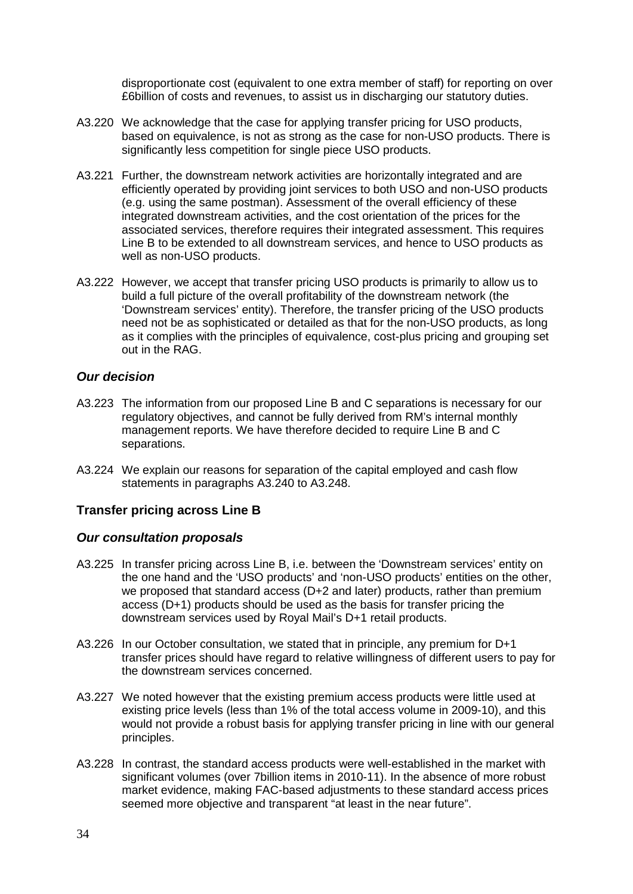disproportionate cost (equivalent to one extra member of staff) for reporting on over £6billion of costs and revenues, to assist us in discharging our statutory duties.

- A3.220 We acknowledge that the case for applying transfer pricing for USO products, based on equivalence, is not as strong as the case for non-USO products. There is significantly less competition for single piece USO products.
- A3.221 Further, the downstream network activities are horizontally integrated and are efficiently operated by providing joint services to both USO and non-USO products (e.g. using the same postman). Assessment of the overall efficiency of these integrated downstream activities, and the cost orientation of the prices for the associated services, therefore requires their integrated assessment. This requires Line B to be extended to all downstream services, and hence to USO products as well as non-USO products.
- A3.222 However, we accept that transfer pricing USO products is primarily to allow us to build a full picture of the overall profitability of the downstream network (the 'Downstream services' entity). Therefore, the transfer pricing of the USO products need not be as sophisticated or detailed as that for the non-USO products, as long as it complies with the principles of equivalence, cost-plus pricing and grouping set out in the RAG.

#### *Our decision*

- A3.223 The information from our proposed Line B and C separations is necessary for our regulatory objectives, and cannot be fully derived from RM's internal monthly management reports. We have therefore decided to require Line B and C separations.
- A3.224 We explain our reasons for separation of the capital employed and cash flow statements in paragraphs [A3.240](#page-35-0) to [A3.248.](#page-36-0)

#### **Transfer pricing across Line B**

#### *Our consultation proposals*

- A3.225 In transfer pricing across Line B, i.e. between the 'Downstream services' entity on the one hand and the 'USO products' and 'non-USO products' entities on the other, we proposed that standard access (D+2 and later) products, rather than premium access (D+1) products should be used as the basis for transfer pricing the downstream services used by Royal Mail's D+1 retail products.
- A3.226 In our October consultation, we stated that in principle, any premium for D+1 transfer prices should have regard to relative willingness of different users to pay for the downstream services concerned.
- A3.227 We noted however that the existing premium access products were little used at existing price levels (less than 1% of the total access volume in 2009-10), and this would not provide a robust basis for applying transfer pricing in line with our general principles.
- A3.228 In contrast, the standard access products were well-established in the market with significant volumes (over 7billion items in 2010-11). In the absence of more robust market evidence, making FAC-based adjustments to these standard access prices seemed more objective and transparent "at least in the near future".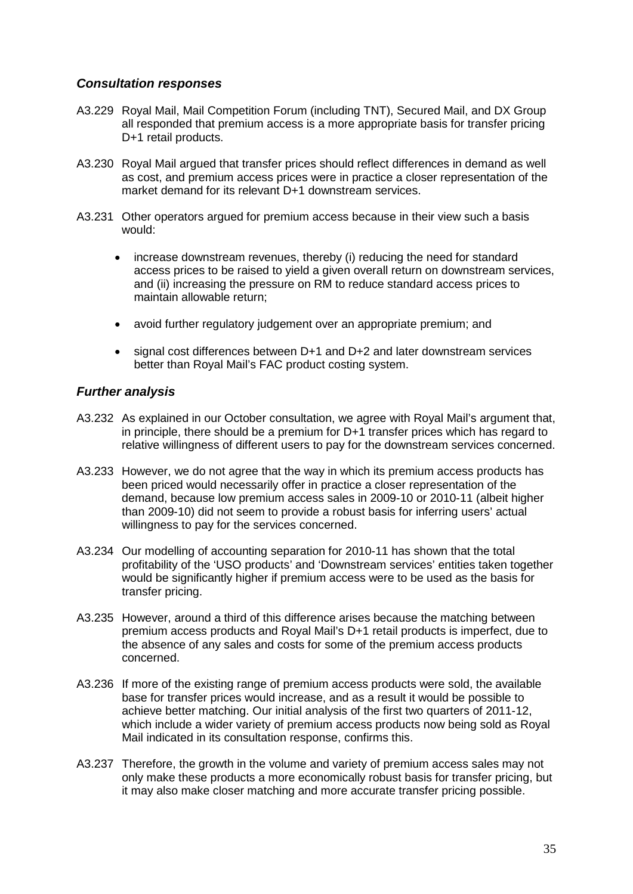#### *Consultation responses*

- A3.229 Royal Mail, Mail Competition Forum (including TNT), Secured Mail, and DX Group all responded that premium access is a more appropriate basis for transfer pricing D+1 retail products.
- A3.230 Royal Mail argued that transfer prices should reflect differences in demand as well as cost, and premium access prices were in practice a closer representation of the market demand for its relevant D+1 downstream services.
- A3.231 Other operators argued for premium access because in their view such a basis would:
	- increase downstream revenues, thereby (i) reducing the need for standard access prices to be raised to yield a given overall return on downstream services, and (ii) increasing the pressure on RM to reduce standard access prices to maintain allowable return;
	- avoid further regulatory judgement over an appropriate premium; and
	- signal cost differences between D+1 and D+2 and later downstream services better than Royal Mail's FAC product costing system.

#### *Further analysis*

- A3.232 As explained in our October consultation, we agree with Royal Mail's argument that, in principle, there should be a premium for D+1 transfer prices which has regard to relative willingness of different users to pay for the downstream services concerned.
- A3.233 However, we do not agree that the way in which its premium access products has been priced would necessarily offer in practice a closer representation of the demand, because low premium access sales in 2009-10 or 2010-11 (albeit higher than 2009-10) did not seem to provide a robust basis for inferring users' actual willingness to pay for the services concerned.
- A3.234 Our modelling of accounting separation for 2010-11 has shown that the total profitability of the 'USO products' and 'Downstream services' entities taken together would be significantly higher if premium access were to be used as the basis for transfer pricing.
- A3.235 However, around a third of this difference arises because the matching between premium access products and Royal Mail's D+1 retail products is imperfect, due to the absence of any sales and costs for some of the premium access products concerned.
- A3.236 If more of the existing range of premium access products were sold, the available base for transfer prices would increase, and as a result it would be possible to achieve better matching. Our initial analysis of the first two quarters of 2011-12, which include a wider variety of premium access products now being sold as Royal Mail indicated in its consultation response, confirms this.
- A3.237 Therefore, the growth in the volume and variety of premium access sales may not only make these products a more economically robust basis for transfer pricing, but it may also make closer matching and more accurate transfer pricing possible.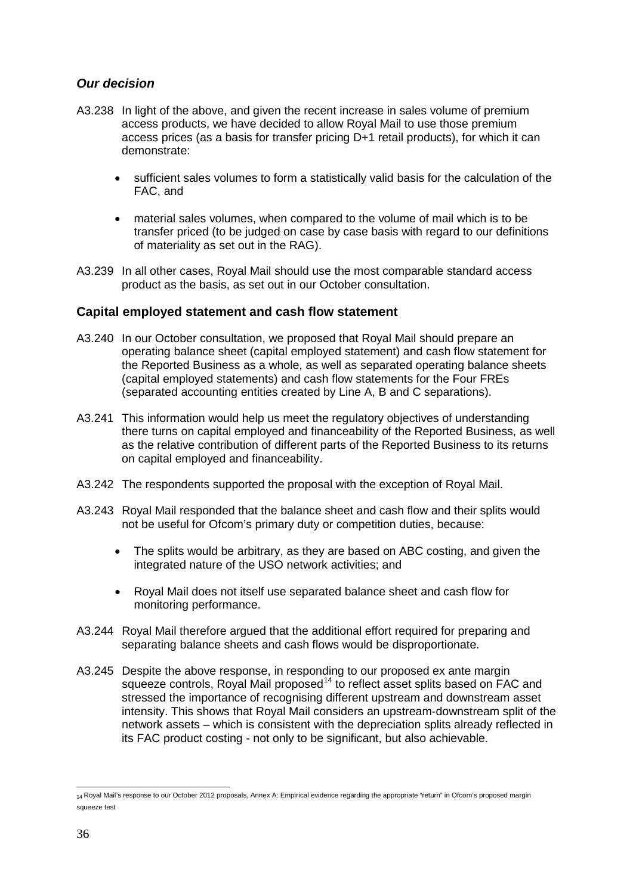### *Our decision*

- A3.238 In light of the above, and given the recent increase in sales volume of premium access products, we have decided to allow Royal Mail to use those premium access prices (as a basis for transfer pricing D+1 retail products), for which it can demonstrate:
	- sufficient sales volumes to form a statistically valid basis for the calculation of the FAC, and
	- material sales volumes, when compared to the volume of mail which is to be transfer priced (to be judged on case by case basis with regard to our definitions of materiality as set out in the RAG).
- A3.239 In all other cases, Royal Mail should use the most comparable standard access product as the basis, as set out in our October consultation.

#### **Capital employed statement and cash flow statement**

- <span id="page-35-0"></span>A3.240 In our October consultation, we proposed that Royal Mail should prepare an operating balance sheet (capital employed statement) and cash flow statement for the Reported Business as a whole, as well as separated operating balance sheets (capital employed statements) and cash flow statements for the Four FREs (separated accounting entities created by Line A, B and C separations).
- A3.241 This information would help us meet the regulatory objectives of understanding there turns on capital employed and financeability of the Reported Business, as well as the relative contribution of different parts of the Reported Business to its returns on capital employed and financeability.
- A3.242 The respondents supported the proposal with the exception of Royal Mail.
- A3.243 Royal Mail responded that the balance sheet and cash flow and their splits would not be useful for Ofcom's primary duty or competition duties, because:
	- The splits would be arbitrary, as they are based on ABC costing, and given the integrated nature of the USO network activities; and
	- Royal Mail does not itself use separated balance sheet and cash flow for monitoring performance.
- A3.244 Royal Mail therefore argued that the additional effort required for preparing and separating balance sheets and cash flows would be disproportionate.
- A3.245 Despite the above response, in responding to our proposed ex ante margin squeeze controls, Royal Mail proposed<sup>[14](#page-35-1)</sup> to reflect asset splits based on FAC and stressed the importance of recognising different upstream and downstream asset intensity. This shows that Royal Mail considers an upstream-downstream split of the network assets – which is consistent with the depreciation splits already reflected in its FAC product costing - not only to be significant, but also achievable.

<span id="page-35-1"></span><sup>14</sup> Royal Mail's response to our October 2012 proposals, Annex A: Empirical evidence regarding the appropriate "return" in Ofcom's proposed margin squeeze test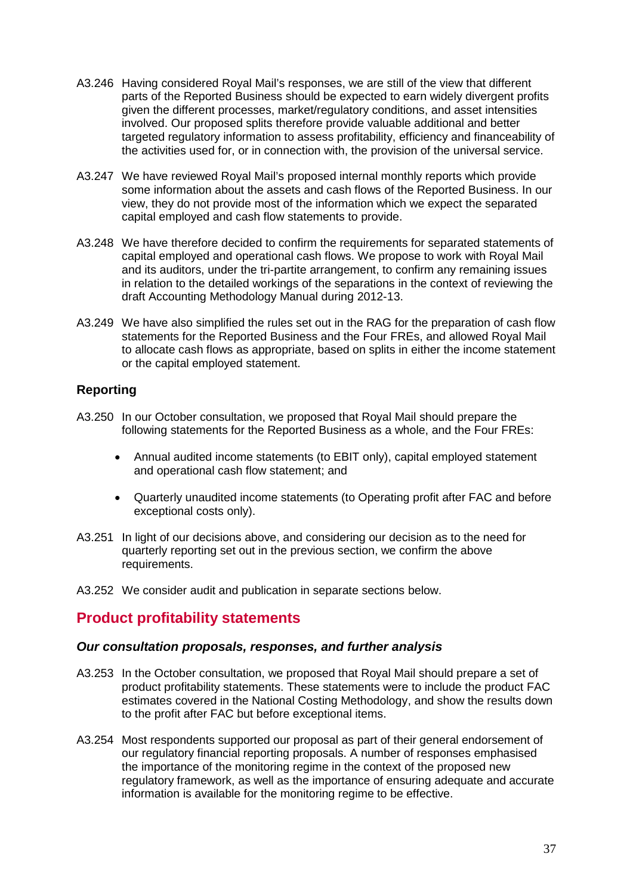- A3.246 Having considered Royal Mail's responses, we are still of the view that different parts of the Reported Business should be expected to earn widely divergent profits given the different processes, market/regulatory conditions, and asset intensities involved. Our proposed splits therefore provide valuable additional and better targeted regulatory information to assess profitability, efficiency and financeability of the activities used for, or in connection with, the provision of the universal service.
- A3.247 We have reviewed Royal Mail's proposed internal monthly reports which provide some information about the assets and cash flows of the Reported Business. In our view, they do not provide most of the information which we expect the separated capital employed and cash flow statements to provide.
- <span id="page-36-0"></span>A3.248 We have therefore decided to confirm the requirements for separated statements of capital employed and operational cash flows. We propose to work with Royal Mail and its auditors, under the tri-partite arrangement, to confirm any remaining issues in relation to the detailed workings of the separations in the context of reviewing the draft Accounting Methodology Manual during 2012-13.
- A3.249 We have also simplified the rules set out in the RAG for the preparation of cash flow statements for the Reported Business and the Four FREs, and allowed Royal Mail to allocate cash flows as appropriate, based on splits in either the income statement or the capital employed statement.

# **Reporting**

- A3.250 In our October consultation, we proposed that Royal Mail should prepare the following statements for the Reported Business as a whole, and the Four FREs:
	- Annual audited income statements (to EBIT only), capital employed statement and operational cash flow statement; and
	- Quarterly unaudited income statements (to Operating profit after FAC and before exceptional costs only).
- A3.251 In light of our decisions above, and considering our decision as to the need for quarterly reporting set out in the previous section, we confirm the above requirements.
- A3.252 We consider audit and publication in separate sections below.

# **Product profitability statements**

#### *Our consultation proposals, responses, and further analysis*

- A3.253 In the October consultation, we proposed that Royal Mail should prepare a set of product profitability statements. These statements were to include the product FAC estimates covered in the National Costing Methodology, and show the results down to the profit after FAC but before exceptional items.
- A3.254 Most respondents supported our proposal as part of their general endorsement of our regulatory financial reporting proposals. A number of responses emphasised the importance of the monitoring regime in the context of the proposed new regulatory framework, as well as the importance of ensuring adequate and accurate information is available for the monitoring regime to be effective.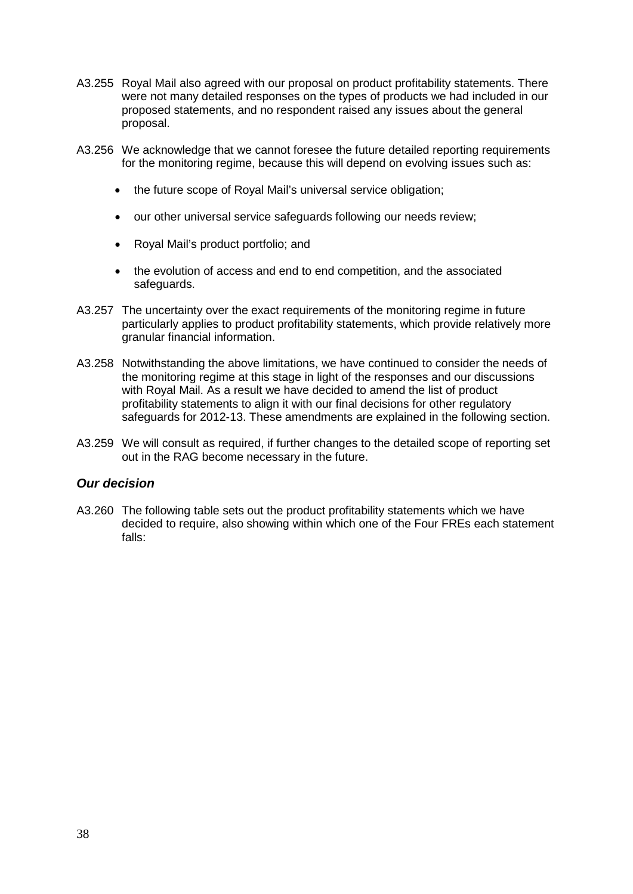- A3.255 Royal Mail also agreed with our proposal on product profitability statements. There were not many detailed responses on the types of products we had included in our proposed statements, and no respondent raised any issues about the general proposal.
- A3.256 We acknowledge that we cannot foresee the future detailed reporting requirements for the monitoring regime, because this will depend on evolving issues such as:
	- the future scope of Royal Mail's universal service obligation;
	- our other universal service safeguards following our needs review;
	- Royal Mail's product portfolio; and
	- the evolution of access and end to end competition, and the associated safeguards.
- A3.257 The uncertainty over the exact requirements of the monitoring regime in future particularly applies to product profitability statements, which provide relatively more granular financial information.
- A3.258 Notwithstanding the above limitations, we have continued to consider the needs of the monitoring regime at this stage in light of the responses and our discussions with Royal Mail. As a result we have decided to amend the list of product profitability statements to align it with our final decisions for other regulatory safeguards for 2012-13. These amendments are explained in the following section.
- A3.259 We will consult as required, if further changes to the detailed scope of reporting set out in the RAG become necessary in the future.

#### *Our decision*

A3.260 The following table sets out the product profitability statements which we have decided to require, also showing within which one of the Four FREs each statement falls: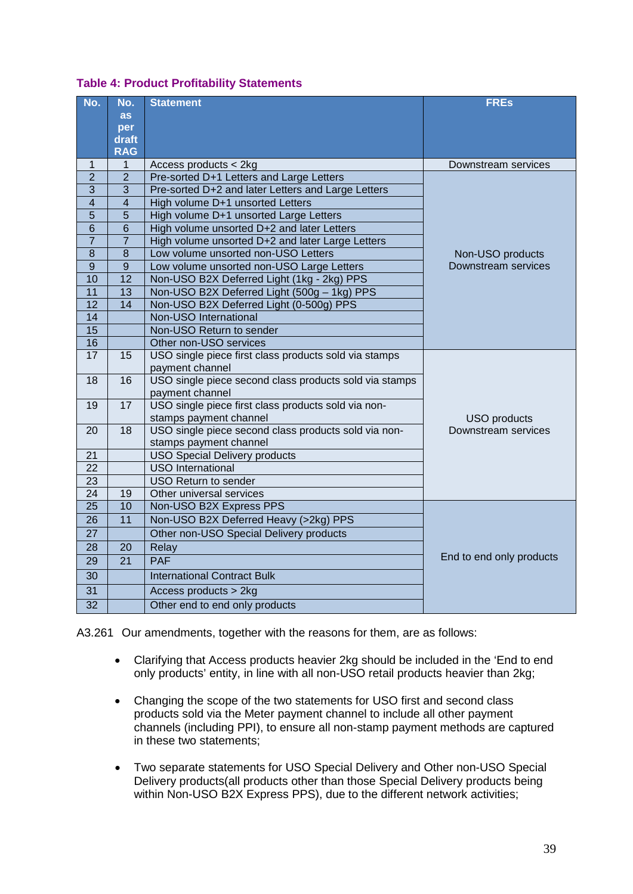|  | <b>Table 4: Product Profitability Statements</b> |  |
|--|--------------------------------------------------|--|
|  |                                                  |  |

| No.                     | No.                     | <b>Statement</b>                                                         | <b>FREs</b>              |
|-------------------------|-------------------------|--------------------------------------------------------------------------|--------------------------|
|                         | <b>as</b>               |                                                                          |                          |
|                         | per<br>draft            |                                                                          |                          |
|                         | <b>RAG</b>              |                                                                          |                          |
| 1                       | 1                       | Access products < 2kg                                                    | Downstream services      |
| $\overline{2}$          | $\overline{2}$          | Pre-sorted D+1 Letters and Large Letters                                 |                          |
| 3                       | 3                       | Pre-sorted D+2 and later Letters and Large Letters                       |                          |
| $\overline{\mathbf{4}}$ | $\overline{\mathbf{4}}$ | High volume D+1 unsorted Letters                                         |                          |
| 5                       | 5                       | High volume D+1 unsorted Large Letters                                   |                          |
| $\,$ 6                  | 6                       | High volume unsorted D+2 and later Letters                               |                          |
| $\overline{7}$          | $\overline{7}$          | High volume unsorted D+2 and later Large Letters                         |                          |
| 8                       | 8                       | Low volume unsorted non-USO Letters                                      | Non-USO products         |
| $9$                     | $9\,$                   | Low volume unsorted non-USO Large Letters                                | Downstream services      |
| 10                      | 12                      | Non-USO B2X Deferred Light (1kg - 2kg) PPS                               |                          |
| 11                      | 13                      | Non-USO B2X Deferred Light (500g - 1kg) PPS                              |                          |
| 12                      | 14                      | Non-USO B2X Deferred Light (0-500g) PPS                                  |                          |
| 14                      |                         | Non-USO International                                                    |                          |
| 15                      |                         | Non-USO Return to sender                                                 |                          |
| 16                      |                         | Other non-USO services                                                   |                          |
| $\overline{17}$         | 15                      | USO single piece first class products sold via stamps<br>payment channel |                          |
| 18                      | 16                      | USO single piece second class products sold via stamps                   |                          |
|                         |                         | payment channel                                                          |                          |
| 19                      | $\overline{17}$         | USO single piece first class products sold via non-                      |                          |
|                         |                         | stamps payment channel                                                   | <b>USO</b> products      |
| 20                      | 18                      | USO single piece second class products sold via non-                     | Downstream services      |
|                         |                         | stamps payment channel                                                   |                          |
| 21                      |                         | <b>USO Special Delivery products</b>                                     |                          |
| $\overline{22}$         |                         | <b>USO</b> International                                                 |                          |
| 23<br>$\overline{24}$   |                         | <b>USO Return to sender</b>                                              |                          |
| 25                      | 19<br>10                | Other universal services                                                 |                          |
|                         |                         | Non-USO B2X Express PPS                                                  |                          |
| 26                      | 11                      | Non-USO B2X Deferred Heavy (>2kg) PPS                                    |                          |
| 27                      |                         | Other non-USO Special Delivery products                                  |                          |
| 28                      | 20                      | Relay                                                                    | End to end only products |
| 29                      | 21                      | <b>PAF</b>                                                               |                          |
| 30                      |                         | <b>International Contract Bulk</b>                                       |                          |
| 31                      |                         | Access products > 2kg                                                    |                          |
| $\overline{32}$         |                         | Other end to end only products                                           |                          |

A3.261 Our amendments, together with the reasons for them, are as follows:

- Clarifying that Access products heavier 2kg should be included in the 'End to end only products' entity, in line with all non-USO retail products heavier than 2kg;
- Changing the scope of the two statements for USO first and second class products sold via the Meter payment channel to include all other payment channels (including PPI), to ensure all non-stamp payment methods are captured in these two statements;
- Two separate statements for USO Special Delivery and Other non-USO Special Delivery products(all products other than those Special Delivery products being within Non-USO B2X Express PPS), due to the different network activities;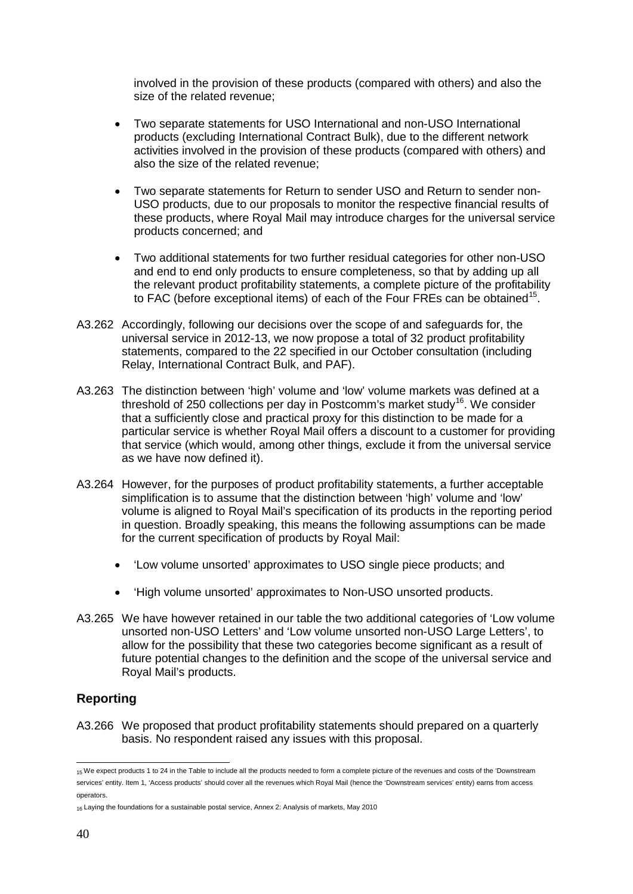involved in the provision of these products (compared with others) and also the size of the related revenue;

- Two separate statements for USO International and non-USO International products (excluding International Contract Bulk), due to the different network activities involved in the provision of these products (compared with others) and also the size of the related revenue;
- Two separate statements for Return to sender USO and Return to sender non-USO products, due to our proposals to monitor the respective financial results of these products, where Royal Mail may introduce charges for the universal service products concerned; and
- Two additional statements for two further residual categories for other non-USO and end to end only products to ensure completeness, so that by adding up all the relevant product profitability statements, a complete picture of the profitability to FAC (before exceptional items) of each of the Four FREs can be obtained<sup>[15](#page-39-0)</sup>.
- A3.262 Accordingly, following our decisions over the scope of and safeguards for, the universal service in 2012-13, we now propose a total of 32 product profitability statements, compared to the 22 specified in our October consultation (including Relay, International Contract Bulk, and PAF).
- A3.263 The distinction between 'high' volume and 'low' volume markets was defined at a threshold of 250 collections per day in Postcomm's market study<sup>[16](#page-39-1)</sup>. We consider that a sufficiently close and practical proxy for this distinction to be made for a particular service is whether Royal Mail offers a discount to a customer for providing that service (which would, among other things, exclude it from the universal service as we have now defined it).
- A3.264 However, for the purposes of product profitability statements, a further acceptable simplification is to assume that the distinction between 'high' volume and 'low' volume is aligned to Royal Mail's specification of its products in the reporting period in question. Broadly speaking, this means the following assumptions can be made for the current specification of products by Royal Mail:
	- 'Low volume unsorted' approximates to USO single piece products; and
	- 'High volume unsorted' approximates to Non-USO unsorted products.
- A3.265 We have however retained in our table the two additional categories of 'Low volume unsorted non-USO Letters' and 'Low volume unsorted non-USO Large Letters', to allow for the possibility that these two categories become significant as a result of future potential changes to the definition and the scope of the universal service and Royal Mail's products.

# **Reporting**

A3.266 We proposed that product profitability statements should prepared on a quarterly basis. No respondent raised any issues with this proposal.

<span id="page-39-0"></span><sup>15</sup> We expect products 1 to 24 in the Table to include all the products needed to form a complete picture of the revenues and costs of the 'Downstream services' entity. Item 1, 'Access products' should cover all the revenues which Royal Mail (hence the 'Downstream services' entity) earns from access operators.

<span id="page-39-1"></span><sup>16</sup> Laying the foundations for a sustainable postal service, Annex 2: Analysis of markets, May 2010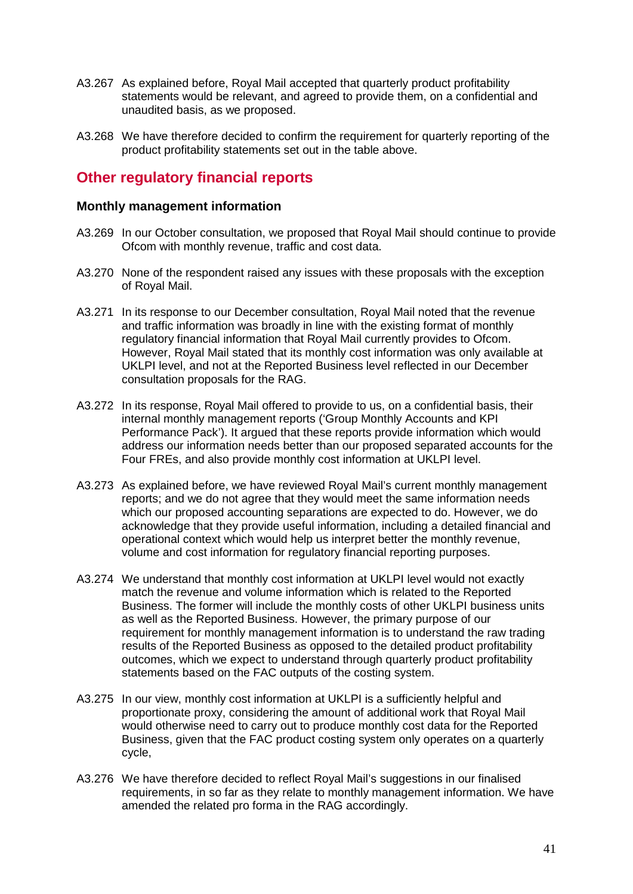- A3.267 As explained before, Royal Mail accepted that quarterly product profitability statements would be relevant, and agreed to provide them, on a confidential and unaudited basis, as we proposed.
- A3.268 We have therefore decided to confirm the requirement for quarterly reporting of the product profitability statements set out in the table above.

# **Other regulatory financial reports**

#### **Monthly management information**

- A3.269 In our October consultation, we proposed that Royal Mail should continue to provide Ofcom with monthly revenue, traffic and cost data.
- A3.270 None of the respondent raised any issues with these proposals with the exception of Royal Mail.
- A3.271 In its response to our December consultation, Royal Mail noted that the revenue and traffic information was broadly in line with the existing format of monthly regulatory financial information that Royal Mail currently provides to Ofcom. However, Royal Mail stated that its monthly cost information was only available at UKLPI level, and not at the Reported Business level reflected in our December consultation proposals for the RAG.
- A3.272 In its response, Royal Mail offered to provide to us, on a confidential basis, their internal monthly management reports ('Group Monthly Accounts and KPI Performance Pack'). It argued that these reports provide information which would address our information needs better than our proposed separated accounts for the Four FREs, and also provide monthly cost information at UKLPI level.
- A3.273 As explained before, we have reviewed Royal Mail's current monthly management reports; and we do not agree that they would meet the same information needs which our proposed accounting separations are expected to do. However, we do acknowledge that they provide useful information, including a detailed financial and operational context which would help us interpret better the monthly revenue, volume and cost information for regulatory financial reporting purposes.
- A3.274 We understand that monthly cost information at UKLPI level would not exactly match the revenue and volume information which is related to the Reported Business. The former will include the monthly costs of other UKLPI business units as well as the Reported Business. However, the primary purpose of our requirement for monthly management information is to understand the raw trading results of the Reported Business as opposed to the detailed product profitability outcomes, which we expect to understand through quarterly product profitability statements based on the FAC outputs of the costing system.
- A3.275 In our view, monthly cost information at UKLPI is a sufficiently helpful and proportionate proxy, considering the amount of additional work that Royal Mail would otherwise need to carry out to produce monthly cost data for the Reported Business, given that the FAC product costing system only operates on a quarterly cycle,
- A3.276 We have therefore decided to reflect Royal Mail's suggestions in our finalised requirements, in so far as they relate to monthly management information. We have amended the related pro forma in the RAG accordingly.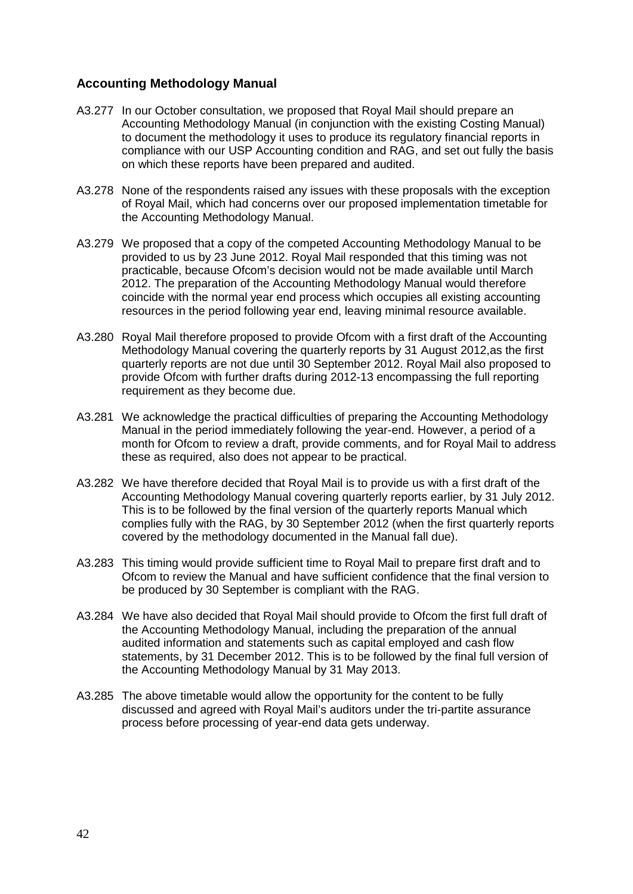#### **Accounting Methodology Manual**

- A3.277 In our October consultation, we proposed that Royal Mail should prepare an Accounting Methodology Manual (in conjunction with the existing Costing Manual) to document the methodology it uses to produce its regulatory financial reports in compliance with our USP Accounting condition and RAG, and set out fully the basis on which these reports have been prepared and audited.
- A3.278 None of the respondents raised any issues with these proposals with the exception of Royal Mail, which had concerns over our proposed implementation timetable for the Accounting Methodology Manual.
- A3.279 We proposed that a copy of the competed Accounting Methodology Manual to be provided to us by 23 June 2012. Royal Mail responded that this timing was not practicable, because Ofcom's decision would not be made available until March 2012. The preparation of the Accounting Methodology Manual would therefore coincide with the normal year end process which occupies all existing accounting resources in the period following year end, leaving minimal resource available.
- A3.280 Royal Mail therefore proposed to provide Ofcom with a first draft of the Accounting Methodology Manual covering the quarterly reports by 31 August 2012,as the first quarterly reports are not due until 30 September 2012. Royal Mail also proposed to provide Ofcom with further drafts during 2012-13 encompassing the full reporting requirement as they become due.
- A3.281 We acknowledge the practical difficulties of preparing the Accounting Methodology Manual in the period immediately following the year-end. However, a period of a month for Ofcom to review a draft, provide comments, and for Royal Mail to address these as required, also does not appear to be practical.
- A3.282 We have therefore decided that Royal Mail is to provide us with a first draft of the Accounting Methodology Manual covering quarterly reports earlier, by 31 July 2012. This is to be followed by the final version of the quarterly reports Manual which complies fully with the RAG, by 30 September 2012 (when the first quarterly reports covered by the methodology documented in the Manual fall due).
- A3.283 This timing would provide sufficient time to Royal Mail to prepare first draft and to Ofcom to review the Manual and have sufficient confidence that the final version to be produced by 30 September is compliant with the RAG.
- A3.284 We have also decided that Royal Mail should provide to Ofcom the first full draft of the Accounting Methodology Manual, including the preparation of the annual audited information and statements such as capital employed and cash flow statements, by 31 December 2012. This is to be followed by the final full version of the Accounting Methodology Manual by 31 May 2013.
- A3.285 The above timetable would allow the opportunity for the content to be fully discussed and agreed with Royal Mail's auditors under the tri-partite assurance process before processing of year-end data gets underway.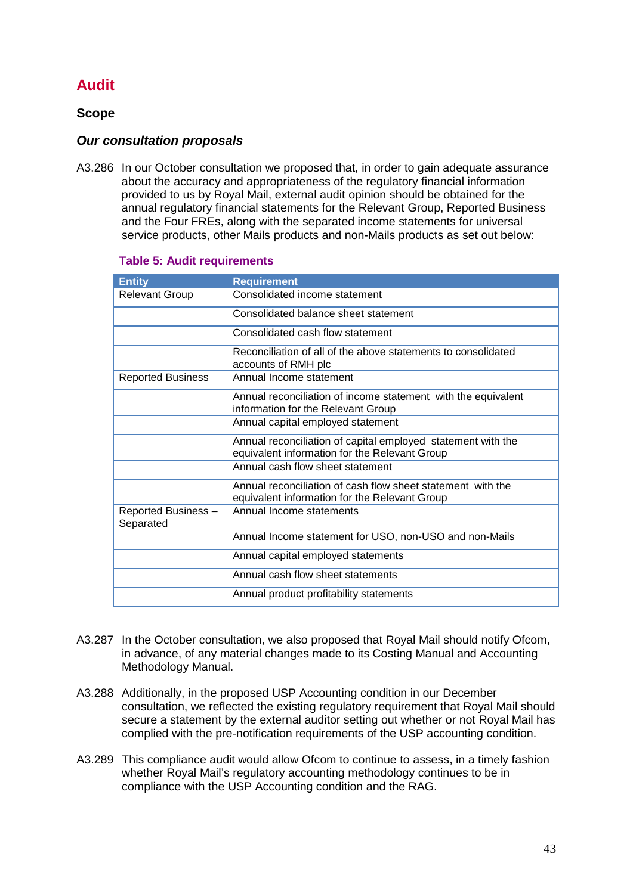# **Audit**

### **Scope**

#### *Our consultation proposals*

A3.286 In our October consultation we proposed that, in order to gain adequate assurance about the accuracy and appropriateness of the regulatory financial information provided to us by Royal Mail, external audit opinion should be obtained for the annual regulatory financial statements for the Relevant Group, Reported Business and the Four FREs, along with the separated income statements for universal service products, other Mails products and non-Mails products as set out below:

#### **Table 5: Audit requirements**

| <b>Entity</b>                    | <b>Requirement</b>                                                                                            |
|----------------------------------|---------------------------------------------------------------------------------------------------------------|
| <b>Relevant Group</b>            | Consolidated income statement                                                                                 |
|                                  | Consolidated balance sheet statement                                                                          |
|                                  | Consolidated cash flow statement                                                                              |
|                                  | Reconciliation of all of the above statements to consolidated<br>accounts of RMH plc                          |
| <b>Reported Business</b>         | Annual Income statement                                                                                       |
|                                  | Annual reconciliation of income statement with the equivalent<br>information for the Relevant Group           |
|                                  | Annual capital employed statement                                                                             |
|                                  | Annual reconciliation of capital employed statement with the<br>equivalent information for the Relevant Group |
|                                  | Annual cash flow sheet statement                                                                              |
|                                  | Annual reconciliation of cash flow sheet statement with the<br>equivalent information for the Relevant Group  |
| Reported Business -<br>Separated | Annual Income statements                                                                                      |
|                                  | Annual Income statement for USO, non-USO and non-Mails                                                        |
|                                  | Annual capital employed statements                                                                            |
|                                  | Annual cash flow sheet statements                                                                             |
|                                  | Annual product profitability statements                                                                       |

- A3.287 In the October consultation, we also proposed that Royal Mail should notify Ofcom, in advance, of any material changes made to its Costing Manual and Accounting Methodology Manual.
- A3.288 Additionally, in the proposed USP Accounting condition in our December consultation, we reflected the existing regulatory requirement that Royal Mail should secure a statement by the external auditor setting out whether or not Royal Mail has complied with the pre-notification requirements of the USP accounting condition.
- A3.289 This compliance audit would allow Ofcom to continue to assess, in a timely fashion whether Royal Mail's regulatory accounting methodology continues to be in compliance with the USP Accounting condition and the RAG.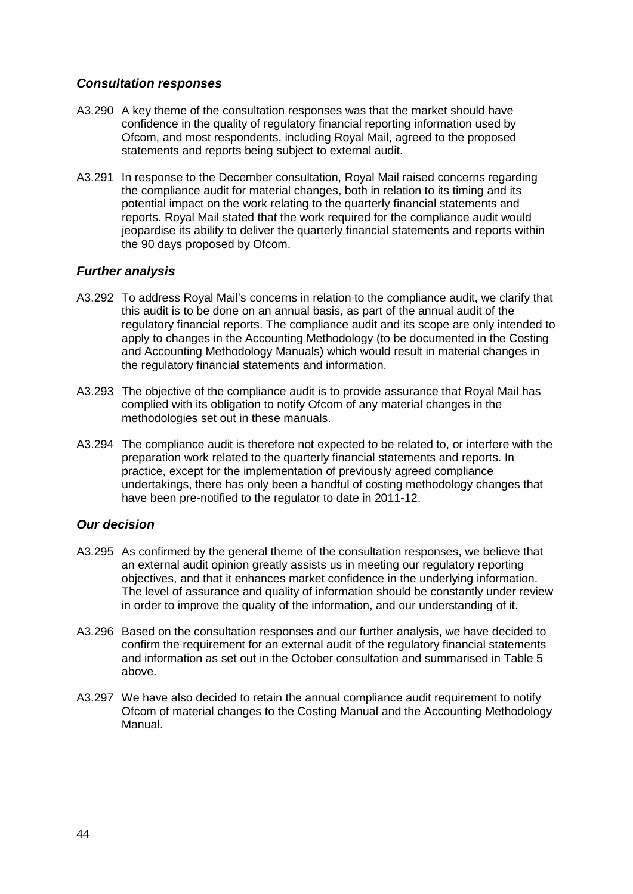#### *Consultation responses*

- A3.290 A key theme of the consultation responses was that the market should have confidence in the quality of regulatory financial reporting information used by Ofcom, and most respondents, including Royal Mail, agreed to the proposed statements and reports being subject to external audit.
- A3.291 In response to the December consultation, Royal Mail raised concerns regarding the compliance audit for material changes, both in relation to its timing and its potential impact on the work relating to the quarterly financial statements and reports. Royal Mail stated that the work required for the compliance audit would jeopardise its ability to deliver the quarterly financial statements and reports within the 90 days proposed by Ofcom.

#### *Further analysis*

- A3.292 To address Royal Mail's concerns in relation to the compliance audit, we clarify that this audit is to be done on an annual basis, as part of the annual audit of the regulatory financial reports. The compliance audit and its scope are only intended to apply to changes in the Accounting Methodology (to be documented in the Costing and Accounting Methodology Manuals) which would result in material changes in the regulatory financial statements and information.
- A3.293 The objective of the compliance audit is to provide assurance that Royal Mail has complied with its obligation to notify Ofcom of any material changes in the methodologies set out in these manuals.
- A3.294 The compliance audit is therefore not expected to be related to, or interfere with the preparation work related to the quarterly financial statements and reports. In practice, except for the implementation of previously agreed compliance undertakings, there has only been a handful of costing methodology changes that have been pre-notified to the regulator to date in 2011-12.

#### *Our decision*

- A3.295 As confirmed by the general theme of the consultation responses, we believe that an external audit opinion greatly assists us in meeting our regulatory reporting objectives, and that it enhances market confidence in the underlying information. The level of assurance and quality of information should be constantly under review in order to improve the quality of the information, and our understanding of it.
- A3.296 Based on the consultation responses and our further analysis, we have decided to confirm the requirement for an external audit of the regulatory financial statements and information as set out in the October consultation and summarised in Table 5 above.
- A3.297 We have also decided to retain the annual compliance audit requirement to notify Ofcom of material changes to the Costing Manual and the Accounting Methodology Manual.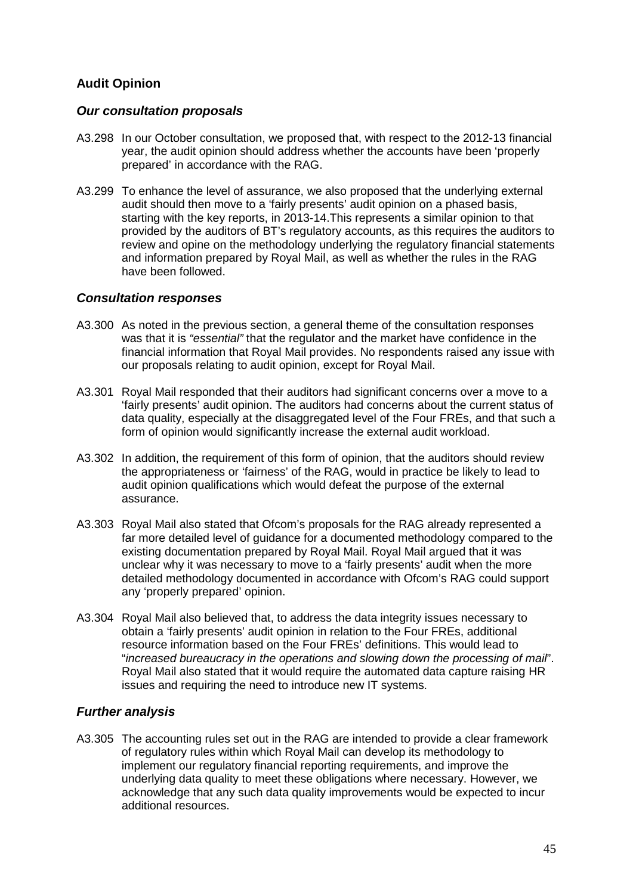# **Audit Opinion**

#### *Our consultation proposals*

- A3.298 In our October consultation, we proposed that, with respect to the 2012-13 financial year, the audit opinion should address whether the accounts have been 'properly prepared' in accordance with the RAG.
- A3.299 To enhance the level of assurance, we also proposed that the underlying external audit should then move to a 'fairly presents' audit opinion on a phased basis, starting with the key reports, in 2013-14.This represents a similar opinion to that provided by the auditors of BT's regulatory accounts, as this requires the auditors to review and opine on the methodology underlying the regulatory financial statements and information prepared by Royal Mail, as well as whether the rules in the RAG have been followed.

#### *Consultation responses*

- A3.300 As noted in the previous section, a general theme of the consultation responses was that it is *"essential"* that the regulator and the market have confidence in the financial information that Royal Mail provides. No respondents raised any issue with our proposals relating to audit opinion, except for Royal Mail.
- A3.301 Royal Mail responded that their auditors had significant concerns over a move to a 'fairly presents' audit opinion. The auditors had concerns about the current status of data quality, especially at the disaggregated level of the Four FREs, and that such a form of opinion would significantly increase the external audit workload.
- A3.302 In addition, the requirement of this form of opinion, that the auditors should review the appropriateness or 'fairness' of the RAG, would in practice be likely to lead to audit opinion qualifications which would defeat the purpose of the external assurance.
- A3.303 Royal Mail also stated that Ofcom's proposals for the RAG already represented a far more detailed level of guidance for a documented methodology compared to the existing documentation prepared by Royal Mail. Royal Mail argued that it was unclear why it was necessary to move to a 'fairly presents' audit when the more detailed methodology documented in accordance with Ofcom's RAG could support any 'properly prepared' opinion.
- A3.304 Royal Mail also believed that, to address the data integrity issues necessary to obtain a 'fairly presents' audit opinion in relation to the Four FREs, additional resource information based on the Four FREs' definitions. This would lead to "*increased bureaucracy in the operations and slowing down the processing of mail*". Royal Mail also stated that it would require the automated data capture raising HR issues and requiring the need to introduce new IT systems.

#### *Further analysis*

A3.305 The accounting rules set out in the RAG are intended to provide a clear framework of regulatory rules within which Royal Mail can develop its methodology to implement our regulatory financial reporting requirements, and improve the underlying data quality to meet these obligations where necessary. However, we acknowledge that any such data quality improvements would be expected to incur additional resources.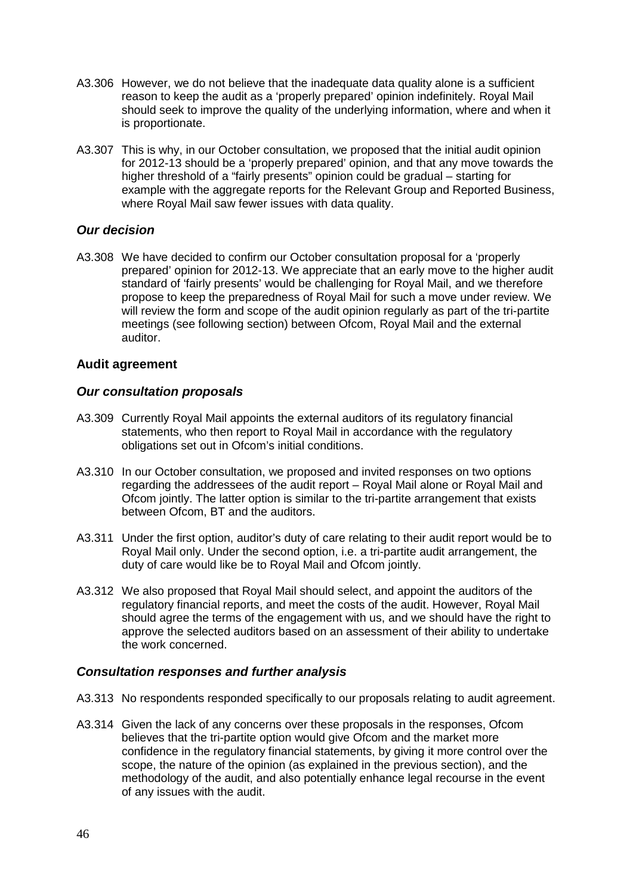- A3.306 However, we do not believe that the inadequate data quality alone is a sufficient reason to keep the audit as a 'properly prepared' opinion indefinitely. Royal Mail should seek to improve the quality of the underlying information, where and when it is proportionate.
- A3.307 This is why, in our October consultation, we proposed that the initial audit opinion for 2012-13 should be a 'properly prepared' opinion, and that any move towards the higher threshold of a "fairly presents" opinion could be gradual – starting for example with the aggregate reports for the Relevant Group and Reported Business, where Royal Mail saw fewer issues with data quality.

#### *Our decision*

A3.308 We have decided to confirm our October consultation proposal for a 'properly prepared' opinion for 2012-13. We appreciate that an early move to the higher audit standard of 'fairly presents' would be challenging for Royal Mail, and we therefore propose to keep the preparedness of Royal Mail for such a move under review. We will review the form and scope of the audit opinion regularly as part of the tri-partite meetings (see following section) between Ofcom, Royal Mail and the external auditor.

#### **Audit agreement**

#### *Our consultation proposals*

- A3.309 Currently Royal Mail appoints the external auditors of its regulatory financial statements, who then report to Royal Mail in accordance with the regulatory obligations set out in Ofcom's initial conditions.
- A3.310 In our October consultation, we proposed and invited responses on two options regarding the addressees of the audit report – Royal Mail alone or Royal Mail and Ofcom jointly. The latter option is similar to the tri-partite arrangement that exists between Ofcom, BT and the auditors.
- A3.311 Under the first option, auditor's duty of care relating to their audit report would be to Royal Mail only. Under the second option, i.e. a tri-partite audit arrangement, the duty of care would like be to Royal Mail and Ofcom jointly.
- A3.312 We also proposed that Royal Mail should select, and appoint the auditors of the regulatory financial reports, and meet the costs of the audit. However, Royal Mail should agree the terms of the engagement with us, and we should have the right to approve the selected auditors based on an assessment of their ability to undertake the work concerned.

#### *Consultation responses and further analysis*

- A3.313 No respondents responded specifically to our proposals relating to audit agreement.
- A3.314 Given the lack of any concerns over these proposals in the responses, Ofcom believes that the tri-partite option would give Ofcom and the market more confidence in the regulatory financial statements, by giving it more control over the scope, the nature of the opinion (as explained in the previous section), and the methodology of the audit, and also potentially enhance legal recourse in the event of any issues with the audit.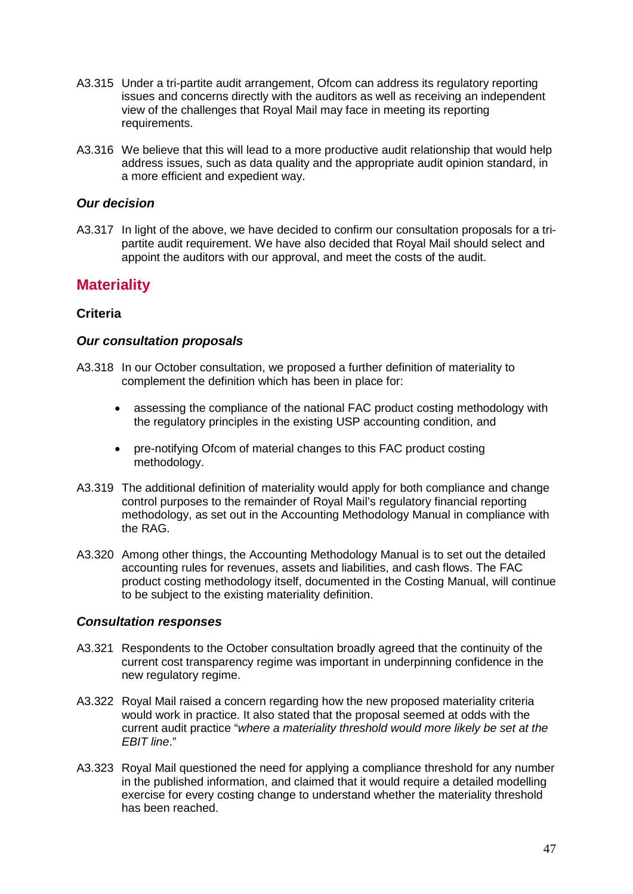- A3.315 Under a tri-partite audit arrangement, Ofcom can address its regulatory reporting issues and concerns directly with the auditors as well as receiving an independent view of the challenges that Royal Mail may face in meeting its reporting requirements.
- A3.316 We believe that this will lead to a more productive audit relationship that would help address issues, such as data quality and the appropriate audit opinion standard, in a more efficient and expedient way.

#### *Our decision*

A3.317 In light of the above, we have decided to confirm our consultation proposals for a tripartite audit requirement. We have also decided that Royal Mail should select and appoint the auditors with our approval, and meet the costs of the audit.

# **Materiality**

#### **Criteria**

#### *Our consultation proposals*

- A3.318 In our October consultation, we proposed a further definition of materiality to complement the definition which has been in place for:
	- assessing the compliance of the national FAC product costing methodology with the regulatory principles in the existing USP accounting condition, and
	- pre-notifying Ofcom of material changes to this FAC product costing methodology.
- A3.319 The additional definition of materiality would apply for both compliance and change control purposes to the remainder of Royal Mail's regulatory financial reporting methodology, as set out in the Accounting Methodology Manual in compliance with the RAG.
- A3.320 Among other things, the Accounting Methodology Manual is to set out the detailed accounting rules for revenues, assets and liabilities, and cash flows. The FAC product costing methodology itself, documented in the Costing Manual, will continue to be subject to the existing materiality definition.

#### *Consultation responses*

- A3.321 Respondents to the October consultation broadly agreed that the continuity of the current cost transparency regime was important in underpinning confidence in the new regulatory regime.
- A3.322 Royal Mail raised a concern regarding how the new proposed materiality criteria would work in practice. It also stated that the proposal seemed at odds with the current audit practice "*where a materiality threshold would more likely be set at the EBIT line*."
- A3.323 Royal Mail questioned the need for applying a compliance threshold for any number in the published information, and claimed that it would require a detailed modelling exercise for every costing change to understand whether the materiality threshold has been reached.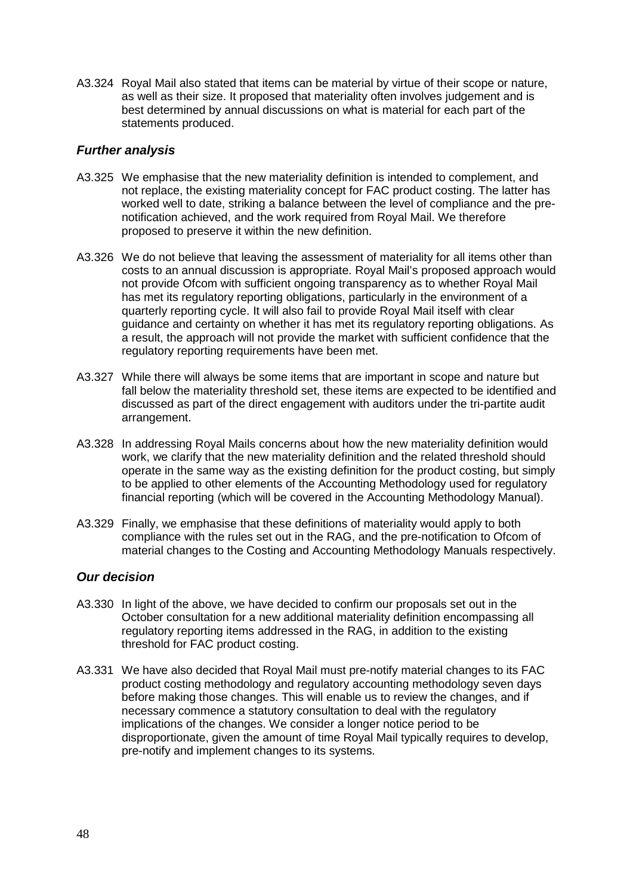A3.324 Royal Mail also stated that items can be material by virtue of their scope or nature, as well as their size. It proposed that materiality often involves judgement and is best determined by annual discussions on what is material for each part of the statements produced.

#### *Further analysis*

- A3.325 We emphasise that the new materiality definition is intended to complement, and not replace, the existing materiality concept for FAC product costing. The latter has worked well to date, striking a balance between the level of compliance and the prenotification achieved, and the work required from Royal Mail. We therefore proposed to preserve it within the new definition.
- A3.326 We do not believe that leaving the assessment of materiality for all items other than costs to an annual discussion is appropriate. Royal Mail's proposed approach would not provide Ofcom with sufficient ongoing transparency as to whether Royal Mail has met its regulatory reporting obligations, particularly in the environment of a quarterly reporting cycle. It will also fail to provide Royal Mail itself with clear guidance and certainty on whether it has met its regulatory reporting obligations. As a result, the approach will not provide the market with sufficient confidence that the regulatory reporting requirements have been met.
- A3.327 While there will always be some items that are important in scope and nature but fall below the materiality threshold set, these items are expected to be identified and discussed as part of the direct engagement with auditors under the tri-partite audit arrangement.
- A3.328 In addressing Royal Mails concerns about how the new materiality definition would work, we clarify that the new materiality definition and the related threshold should operate in the same way as the existing definition for the product costing, but simply to be applied to other elements of the Accounting Methodology used for regulatory financial reporting (which will be covered in the Accounting Methodology Manual).
- A3.329 Finally, we emphasise that these definitions of materiality would apply to both compliance with the rules set out in the RAG, and the pre-notification to Ofcom of material changes to the Costing and Accounting Methodology Manuals respectively.

#### *Our decision*

- A3.330 In light of the above, we have decided to confirm our proposals set out in the October consultation for a new additional materiality definition encompassing all regulatory reporting items addressed in the RAG, in addition to the existing threshold for FAC product costing.
- A3.331 We have also decided that Royal Mail must pre-notify material changes to its FAC product costing methodology and regulatory accounting methodology seven days before making those changes. This will enable us to review the changes, and if necessary commence a statutory consultation to deal with the regulatory implications of the changes. We consider a longer notice period to be disproportionate, given the amount of time Royal Mail typically requires to develop, pre-notify and implement changes to its systems.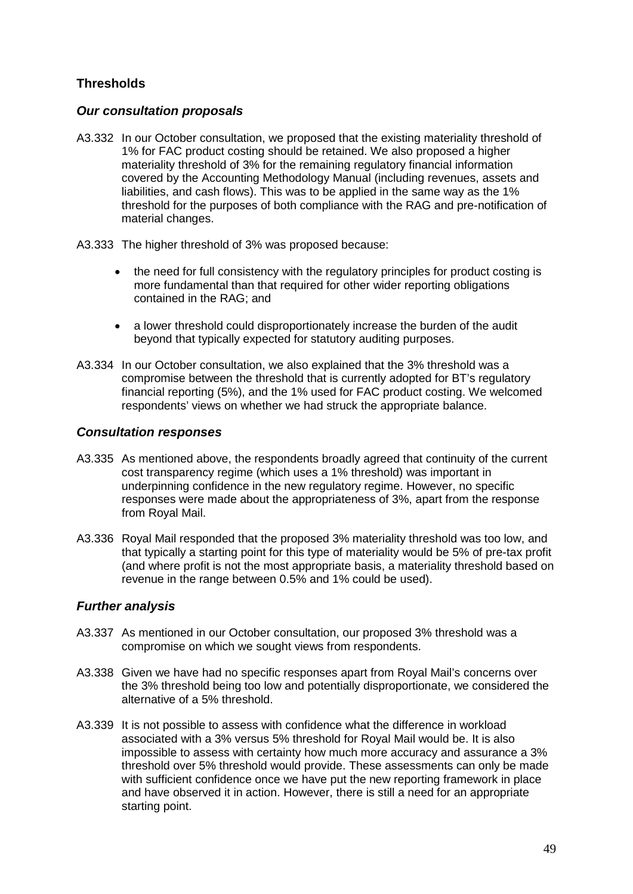# **Thresholds**

### *Our consultation proposals*

- A3.332 In our October consultation, we proposed that the existing materiality threshold of 1% for FAC product costing should be retained. We also proposed a higher materiality threshold of 3% for the remaining regulatory financial information covered by the Accounting Methodology Manual (including revenues, assets and liabilities, and cash flows). This was to be applied in the same way as the 1% threshold for the purposes of both compliance with the RAG and pre-notification of material changes.
- A3.333 The higher threshold of 3% was proposed because:
	- the need for full consistency with the regulatory principles for product costing is more fundamental than that required for other wider reporting obligations contained in the RAG; and
	- a lower threshold could disproportionately increase the burden of the audit beyond that typically expected for statutory auditing purposes.
- A3.334 In our October consultation, we also explained that the 3% threshold was a compromise between the threshold that is currently adopted for BT's regulatory financial reporting (5%), and the 1% used for FAC product costing. We welcomed respondents' views on whether we had struck the appropriate balance.

### *Consultation responses*

- A3.335 As mentioned above, the respondents broadly agreed that continuity of the current cost transparency regime (which uses a 1% threshold) was important in underpinning confidence in the new regulatory regime. However, no specific responses were made about the appropriateness of 3%, apart from the response from Royal Mail.
- A3.336 Royal Mail responded that the proposed 3% materiality threshold was too low, and that typically a starting point for this type of materiality would be 5% of pre-tax profit (and where profit is not the most appropriate basis, a materiality threshold based on revenue in the range between 0.5% and 1% could be used).

# *Further analysis*

- A3.337 As mentioned in our October consultation, our proposed 3% threshold was a compromise on which we sought views from respondents.
- A3.338 Given we have had no specific responses apart from Royal Mail's concerns over the 3% threshold being too low and potentially disproportionate, we considered the alternative of a 5% threshold.
- A3.339 It is not possible to assess with confidence what the difference in workload associated with a 3% versus 5% threshold for Royal Mail would be. It is also impossible to assess with certainty how much more accuracy and assurance a 3% threshold over 5% threshold would provide. These assessments can only be made with sufficient confidence once we have put the new reporting framework in place and have observed it in action. However, there is still a need for an appropriate starting point.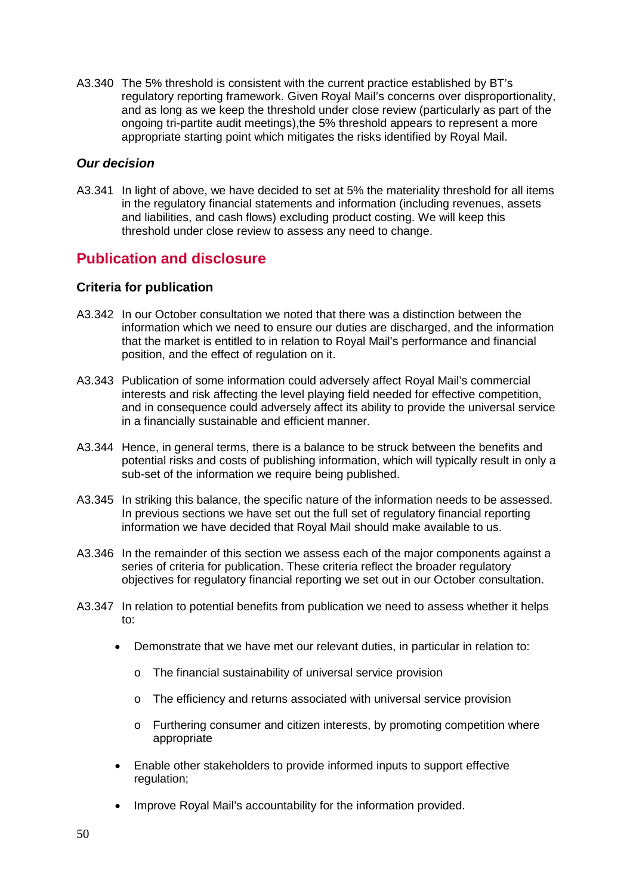A3.340 The 5% threshold is consistent with the current practice established by BT's regulatory reporting framework. Given Royal Mail's concerns over disproportionality, and as long as we keep the threshold under close review (particularly as part of the ongoing tri-partite audit meetings),the 5% threshold appears to represent a more appropriate starting point which mitigates the risks identified by Royal Mail.

#### *Our decision*

A3.341 In light of above, we have decided to set at 5% the materiality threshold for all items in the regulatory financial statements and information (including revenues, assets and liabilities, and cash flows) excluding product costing. We will keep this threshold under close review to assess any need to change.

# **Publication and disclosure**

#### **Criteria for publication**

- A3.342 In our October consultation we noted that there was a distinction between the information which we need to ensure our duties are discharged, and the information that the market is entitled to in relation to Royal Mail's performance and financial position, and the effect of regulation on it.
- A3.343 Publication of some information could adversely affect Royal Mail's commercial interests and risk affecting the level playing field needed for effective competition, and in consequence could adversely affect its ability to provide the universal service in a financially sustainable and efficient manner.
- A3.344 Hence, in general terms, there is a balance to be struck between the benefits and potential risks and costs of publishing information, which will typically result in only a sub-set of the information we require being published.
- A3.345 In striking this balance, the specific nature of the information needs to be assessed. In previous sections we have set out the full set of regulatory financial reporting information we have decided that Royal Mail should make available to us.
- A3.346 In the remainder of this section we assess each of the major components against a series of criteria for publication. These criteria reflect the broader regulatory objectives for regulatory financial reporting we set out in our October consultation.
- A3.347 In relation to potential benefits from publication we need to assess whether it helps to:
	- Demonstrate that we have met our relevant duties, in particular in relation to:
		- o The financial sustainability of universal service provision
		- o The efficiency and returns associated with universal service provision
		- o Furthering consumer and citizen interests, by promoting competition where appropriate
	- Enable other stakeholders to provide informed inputs to support effective regulation;
	- Improve Royal Mail's accountability for the information provided.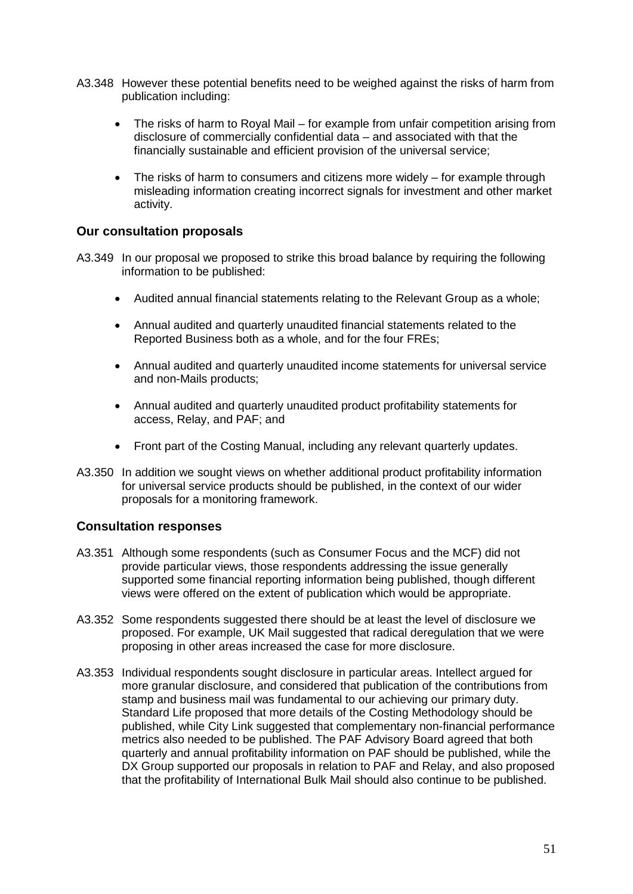- A3.348 However these potential benefits need to be weighed against the risks of harm from publication including:
	- The risks of harm to Roval Mail for example from unfair competition arising from disclosure of commercially confidential data – and associated with that the financially sustainable and efficient provision of the universal service;
	- The risks of harm to consumers and citizens more widely for example through misleading information creating incorrect signals for investment and other market activity.

#### **Our consultation proposals**

A3.349 In our proposal we proposed to strike this broad balance by requiring the following information to be published:

- Audited annual financial statements relating to the Relevant Group as a whole;
- Annual audited and quarterly unaudited financial statements related to the Reported Business both as a whole, and for the four FREs;
- Annual audited and quarterly unaudited income statements for universal service and non-Mails products;
- Annual audited and quarterly unaudited product profitability statements for access, Relay, and PAF; and
- Front part of the Costing Manual, including any relevant quarterly updates.
- A3.350 In addition we sought views on whether additional product profitability information for universal service products should be published, in the context of our wider proposals for a monitoring framework.

#### **Consultation responses**

- A3.351 Although some respondents (such as Consumer Focus and the MCF) did not provide particular views, those respondents addressing the issue generally supported some financial reporting information being published, though different views were offered on the extent of publication which would be appropriate.
- A3.352 Some respondents suggested there should be at least the level of disclosure we proposed. For example, UK Mail suggested that radical deregulation that we were proposing in other areas increased the case for more disclosure.
- A3.353 Individual respondents sought disclosure in particular areas. Intellect argued for more granular disclosure, and considered that publication of the contributions from stamp and business mail was fundamental to our achieving our primary duty. Standard Life proposed that more details of the Costing Methodology should be published, while City Link suggested that complementary non-financial performance metrics also needed to be published. The PAF Advisory Board agreed that both quarterly and annual profitability information on PAF should be published, while the DX Group supported our proposals in relation to PAF and Relay, and also proposed that the profitability of International Bulk Mail should also continue to be published.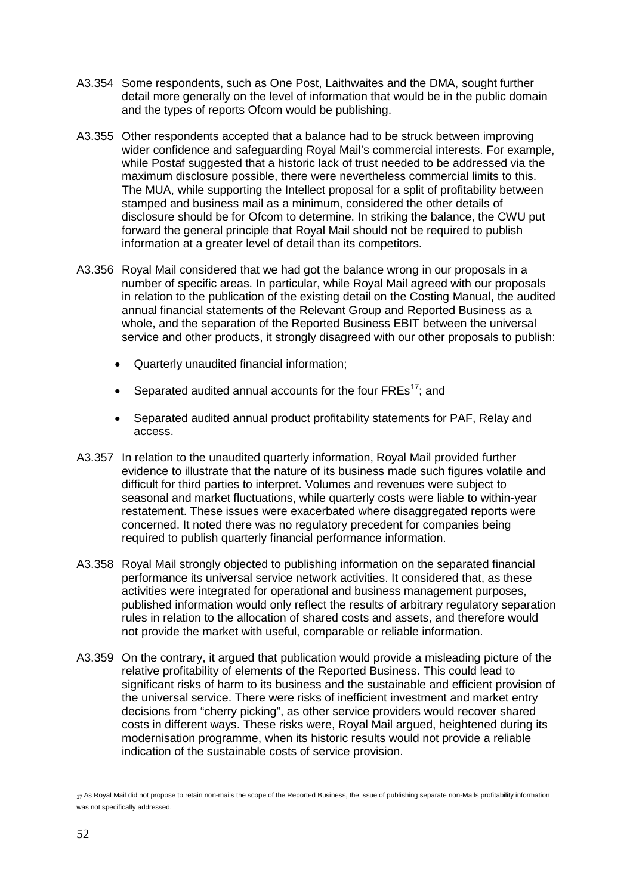- A3.354 Some respondents, such as One Post, Laithwaites and the DMA, sought further detail more generally on the level of information that would be in the public domain and the types of reports Ofcom would be publishing.
- A3.355 Other respondents accepted that a balance had to be struck between improving wider confidence and safeguarding Royal Mail's commercial interests. For example, while Postaf suggested that a historic lack of trust needed to be addressed via the maximum disclosure possible, there were nevertheless commercial limits to this. The MUA, while supporting the Intellect proposal for a split of profitability between stamped and business mail as a minimum, considered the other details of disclosure should be for Ofcom to determine. In striking the balance, the CWU put forward the general principle that Royal Mail should not be required to publish information at a greater level of detail than its competitors.
- A3.356 Royal Mail considered that we had got the balance wrong in our proposals in a number of specific areas. In particular, while Royal Mail agreed with our proposals in relation to the publication of the existing detail on the Costing Manual, the audited annual financial statements of the Relevant Group and Reported Business as a whole, and the separation of the Reported Business EBIT between the universal service and other products, it strongly disagreed with our other proposals to publish:
	- Quarterly unaudited financial information;
	- Separated audited annual accounts for the four  $\text{FREs}^{17}$  $\text{FREs}^{17}$  $\text{FREs}^{17}$ ; and
	- Separated audited annual product profitability statements for PAF, Relay and access.
- A3.357 In relation to the unaudited quarterly information, Royal Mail provided further evidence to illustrate that the nature of its business made such figures volatile and difficult for third parties to interpret. Volumes and revenues were subject to seasonal and market fluctuations, while quarterly costs were liable to within-year restatement. These issues were exacerbated where disaggregated reports were concerned. It noted there was no regulatory precedent for companies being required to publish quarterly financial performance information.
- A3.358 Royal Mail strongly objected to publishing information on the separated financial performance its universal service network activities. It considered that, as these activities were integrated for operational and business management purposes, published information would only reflect the results of arbitrary regulatory separation rules in relation to the allocation of shared costs and assets, and therefore would not provide the market with useful, comparable or reliable information.
- A3.359 On the contrary, it argued that publication would provide a misleading picture of the relative profitability of elements of the Reported Business. This could lead to significant risks of harm to its business and the sustainable and efficient provision of the universal service. There were risks of inefficient investment and market entry decisions from "cherry picking", as other service providers would recover shared costs in different ways. These risks were, Royal Mail argued, heightened during its modernisation programme, when its historic results would not provide a reliable indication of the sustainable costs of service provision.

<span id="page-51-0"></span><sup>17</sup> As Royal Mail did not propose to retain non-mails the scope of the Reported Business, the issue of publishing separate non-Mails profitability information was not specifically addressed.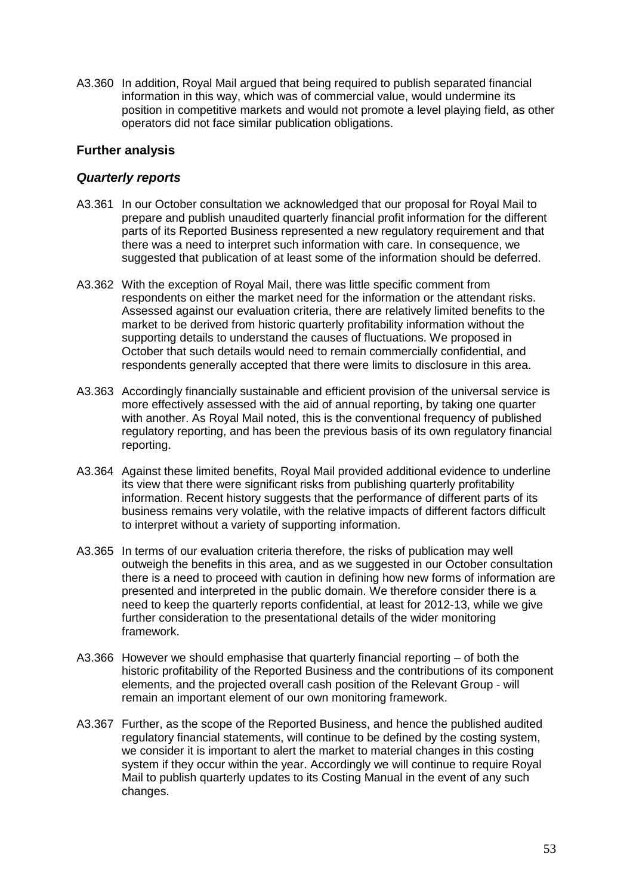A3.360 In addition, Royal Mail argued that being required to publish separated financial information in this way, which was of commercial value, would undermine its position in competitive markets and would not promote a level playing field, as other operators did not face similar publication obligations.

#### **Further analysis**

#### *Quarterly reports*

- A3.361 In our October consultation we acknowledged that our proposal for Royal Mail to prepare and publish unaudited quarterly financial profit information for the different parts of its Reported Business represented a new regulatory requirement and that there was a need to interpret such information with care. In consequence, we suggested that publication of at least some of the information should be deferred.
- A3.362 With the exception of Royal Mail, there was little specific comment from respondents on either the market need for the information or the attendant risks. Assessed against our evaluation criteria, there are relatively limited benefits to the market to be derived from historic quarterly profitability information without the supporting details to understand the causes of fluctuations. We proposed in October that such details would need to remain commercially confidential, and respondents generally accepted that there were limits to disclosure in this area.
- A3.363 Accordingly financially sustainable and efficient provision of the universal service is more effectively assessed with the aid of annual reporting, by taking one quarter with another. As Royal Mail noted, this is the conventional frequency of published regulatory reporting, and has been the previous basis of its own regulatory financial reporting.
- A3.364 Against these limited benefits, Royal Mail provided additional evidence to underline its view that there were significant risks from publishing quarterly profitability information. Recent history suggests that the performance of different parts of its business remains very volatile, with the relative impacts of different factors difficult to interpret without a variety of supporting information.
- A3.365 In terms of our evaluation criteria therefore, the risks of publication may well outweigh the benefits in this area, and as we suggested in our October consultation there is a need to proceed with caution in defining how new forms of information are presented and interpreted in the public domain. We therefore consider there is a need to keep the quarterly reports confidential, at least for 2012-13, while we give further consideration to the presentational details of the wider monitoring framework.
- A3.366 However we should emphasise that quarterly financial reporting of both the historic profitability of the Reported Business and the contributions of its component elements, and the projected overall cash position of the Relevant Group - will remain an important element of our own monitoring framework.
- A3.367 Further, as the scope of the Reported Business, and hence the published audited regulatory financial statements, will continue to be defined by the costing system, we consider it is important to alert the market to material changes in this costing system if they occur within the year. Accordingly we will continue to require Royal Mail to publish quarterly updates to its Costing Manual in the event of any such changes.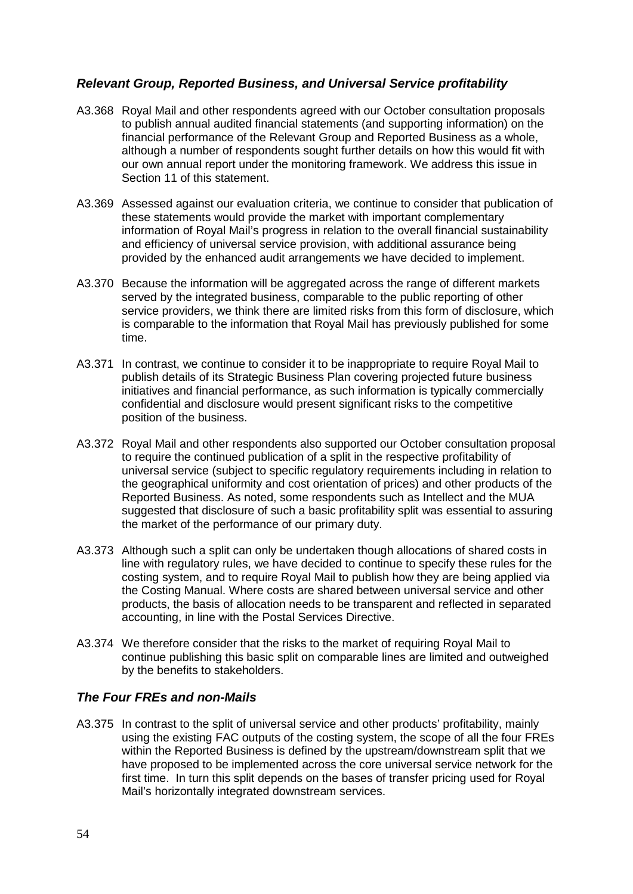#### *Relevant Group, Reported Business, and Universal Service profitability*

- A3.368 Royal Mail and other respondents agreed with our October consultation proposals to publish annual audited financial statements (and supporting information) on the financial performance of the Relevant Group and Reported Business as a whole, although a number of respondents sought further details on how this would fit with our own annual report under the monitoring framework. We address this issue in Section 11 of this statement.
- A3.369 Assessed against our evaluation criteria, we continue to consider that publication of these statements would provide the market with important complementary information of Royal Mail's progress in relation to the overall financial sustainability and efficiency of universal service provision, with additional assurance being provided by the enhanced audit arrangements we have decided to implement.
- A3.370 Because the information will be aggregated across the range of different markets served by the integrated business, comparable to the public reporting of other service providers, we think there are limited risks from this form of disclosure, which is comparable to the information that Royal Mail has previously published for some time.
- A3.371 In contrast, we continue to consider it to be inappropriate to require Royal Mail to publish details of its Strategic Business Plan covering projected future business initiatives and financial performance, as such information is typically commercially confidential and disclosure would present significant risks to the competitive position of the business.
- A3.372 Royal Mail and other respondents also supported our October consultation proposal to require the continued publication of a split in the respective profitability of universal service (subject to specific regulatory requirements including in relation to the geographical uniformity and cost orientation of prices) and other products of the Reported Business. As noted, some respondents such as Intellect and the MUA suggested that disclosure of such a basic profitability split was essential to assuring the market of the performance of our primary duty.
- A3.373 Although such a split can only be undertaken though allocations of shared costs in line with regulatory rules, we have decided to continue to specify these rules for the costing system, and to require Royal Mail to publish how they are being applied via the Costing Manual. Where costs are shared between universal service and other products, the basis of allocation needs to be transparent and reflected in separated accounting, in line with the Postal Services Directive.
- A3.374 We therefore consider that the risks to the market of requiring Royal Mail to continue publishing this basic split on comparable lines are limited and outweighed by the benefits to stakeholders.

#### *The Four FREs and non-Mails*

A3.375 In contrast to the split of universal service and other products' profitability, mainly using the existing FAC outputs of the costing system, the scope of all the four FREs within the Reported Business is defined by the upstream/downstream split that we have proposed to be implemented across the core universal service network for the first time. In turn this split depends on the bases of transfer pricing used for Royal Mail's horizontally integrated downstream services.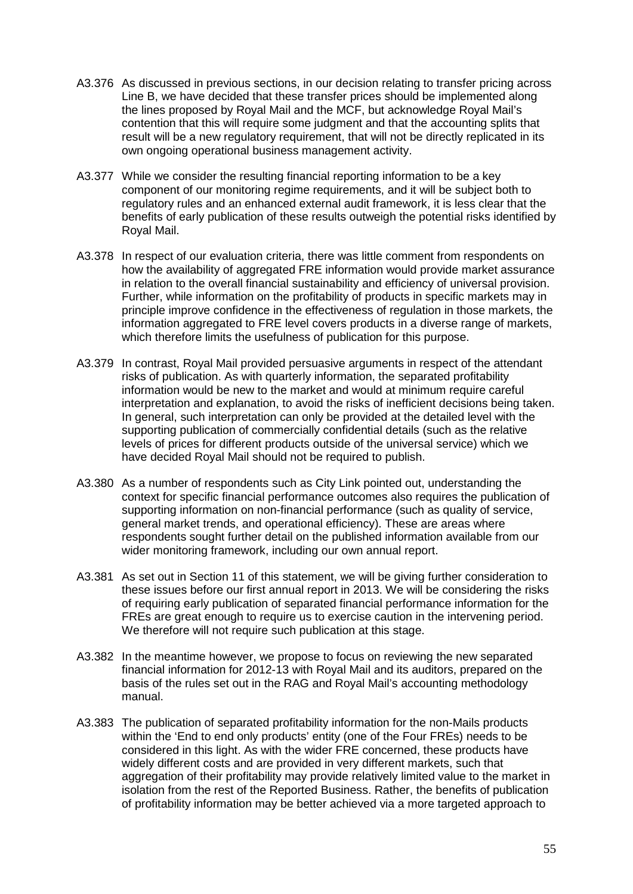- A3.376 As discussed in previous sections, in our decision relating to transfer pricing across Line B, we have decided that these transfer prices should be implemented along the lines proposed by Royal Mail and the MCF, but acknowledge Royal Mail's contention that this will require some judgment and that the accounting splits that result will be a new regulatory requirement, that will not be directly replicated in its own ongoing operational business management activity.
- A3.377 While we consider the resulting financial reporting information to be a key component of our monitoring regime requirements, and it will be subject both to regulatory rules and an enhanced external audit framework, it is less clear that the benefits of early publication of these results outweigh the potential risks identified by Royal Mail.
- A3.378 In respect of our evaluation criteria, there was little comment from respondents on how the availability of aggregated FRE information would provide market assurance in relation to the overall financial sustainability and efficiency of universal provision. Further, while information on the profitability of products in specific markets may in principle improve confidence in the effectiveness of regulation in those markets, the information aggregated to FRE level covers products in a diverse range of markets, which therefore limits the usefulness of publication for this purpose.
- A3.379 In contrast, Royal Mail provided persuasive arguments in respect of the attendant risks of publication. As with quarterly information, the separated profitability information would be new to the market and would at minimum require careful interpretation and explanation, to avoid the risks of inefficient decisions being taken. In general, such interpretation can only be provided at the detailed level with the supporting publication of commercially confidential details (such as the relative levels of prices for different products outside of the universal service) which we have decided Royal Mail should not be required to publish.
- A3.380 As a number of respondents such as City Link pointed out, understanding the context for specific financial performance outcomes also requires the publication of supporting information on non-financial performance (such as quality of service, general market trends, and operational efficiency). These are areas where respondents sought further detail on the published information available from our wider monitoring framework, including our own annual report.
- A3.381 As set out in Section 11 of this statement, we will be giving further consideration to these issues before our first annual report in 2013. We will be considering the risks of requiring early publication of separated financial performance information for the FREs are great enough to require us to exercise caution in the intervening period. We therefore will not require such publication at this stage.
- A3.382 In the meantime however, we propose to focus on reviewing the new separated financial information for 2012-13 with Royal Mail and its auditors, prepared on the basis of the rules set out in the RAG and Royal Mail's accounting methodology manual.
- A3.383 The publication of separated profitability information for the non-Mails products within the 'End to end only products' entity (one of the Four FREs) needs to be considered in this light. As with the wider FRE concerned, these products have widely different costs and are provided in very different markets, such that aggregation of their profitability may provide relatively limited value to the market in isolation from the rest of the Reported Business. Rather, the benefits of publication of profitability information may be better achieved via a more targeted approach to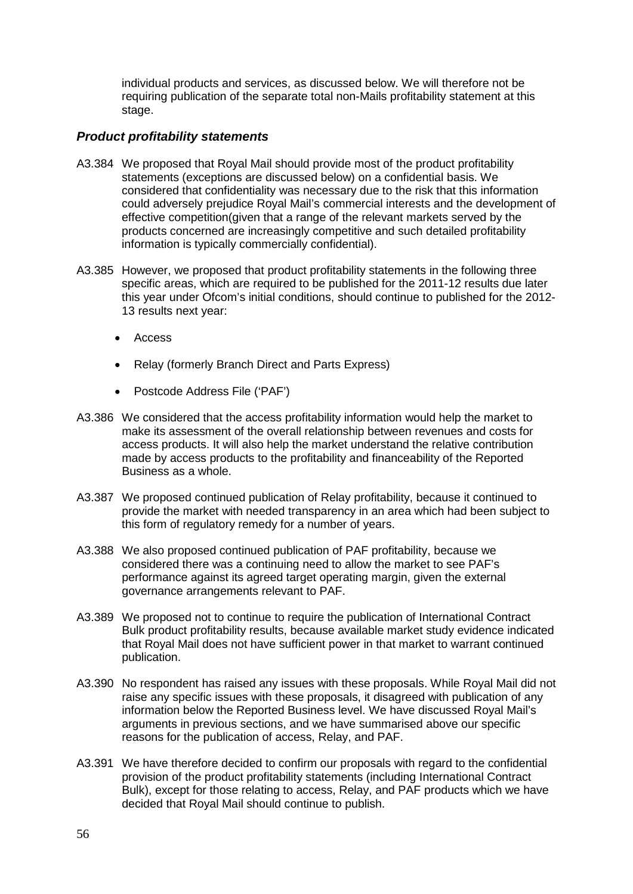individual products and services, as discussed below. We will therefore not be requiring publication of the separate total non-Mails profitability statement at this stage.

#### *Product profitability statements*

- A3.384 We proposed that Royal Mail should provide most of the product profitability statements (exceptions are discussed below) on a confidential basis. We considered that confidentiality was necessary due to the risk that this information could adversely prejudice Royal Mail's commercial interests and the development of effective competition(given that a range of the relevant markets served by the products concerned are increasingly competitive and such detailed profitability information is typically commercially confidential).
- A3.385 However, we proposed that product profitability statements in the following three specific areas, which are required to be published for the 2011-12 results due later this year under Ofcom's initial conditions, should continue to published for the 2012- 13 results next year:
	- Access
	- Relay (formerly Branch Direct and Parts Express)
	- Postcode Address File ('PAF')
- A3.386 We considered that the access profitability information would help the market to make its assessment of the overall relationship between revenues and costs for access products. It will also help the market understand the relative contribution made by access products to the profitability and financeability of the Reported Business as a whole.
- A3.387 We proposed continued publication of Relay profitability, because it continued to provide the market with needed transparency in an area which had been subject to this form of regulatory remedy for a number of years.
- A3.388 We also proposed continued publication of PAF profitability, because we considered there was a continuing need to allow the market to see PAF's performance against its agreed target operating margin, given the external governance arrangements relevant to PAF.
- A3.389 We proposed not to continue to require the publication of International Contract Bulk product profitability results, because available market study evidence indicated that Royal Mail does not have sufficient power in that market to warrant continued publication.
- A3.390 No respondent has raised any issues with these proposals. While Royal Mail did not raise any specific issues with these proposals, it disagreed with publication of any information below the Reported Business level. We have discussed Royal Mail's arguments in previous sections, and we have summarised above our specific reasons for the publication of access, Relay, and PAF.
- A3.391 We have therefore decided to confirm our proposals with regard to the confidential provision of the product profitability statements (including International Contract Bulk), except for those relating to access, Relay, and PAF products which we have decided that Royal Mail should continue to publish.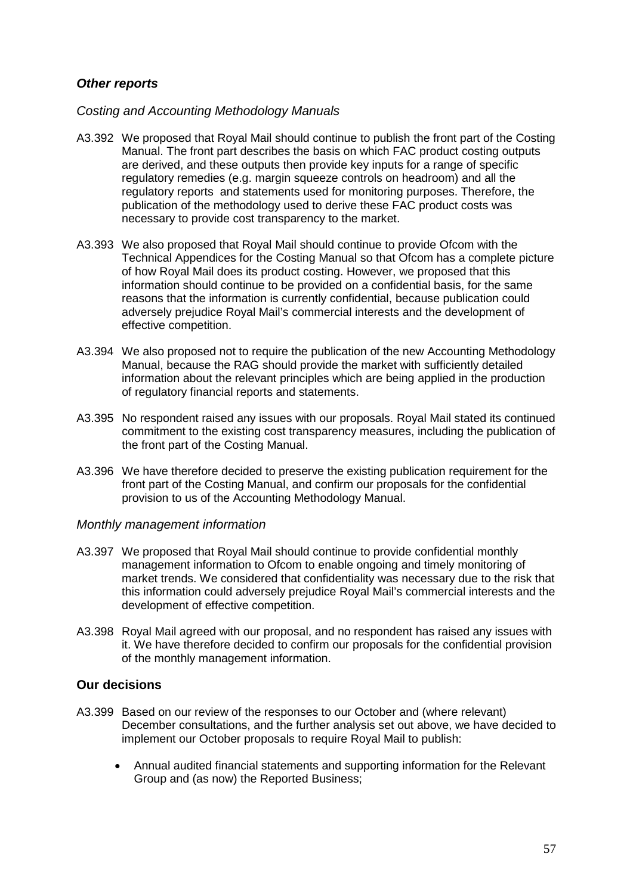### *Other reports*

#### *Costing and Accounting Methodology Manuals*

- A3.392 We proposed that Royal Mail should continue to publish the front part of the Costing Manual. The front part describes the basis on which FAC product costing outputs are derived, and these outputs then provide key inputs for a range of specific regulatory remedies (e.g. margin squeeze controls on headroom) and all the regulatory reports and statements used for monitoring purposes. Therefore, the publication of the methodology used to derive these FAC product costs was necessary to provide cost transparency to the market.
- A3.393 We also proposed that Royal Mail should continue to provide Ofcom with the Technical Appendices for the Costing Manual so that Ofcom has a complete picture of how Royal Mail does its product costing. However, we proposed that this information should continue to be provided on a confidential basis, for the same reasons that the information is currently confidential, because publication could adversely prejudice Royal Mail's commercial interests and the development of effective competition.
- A3.394 We also proposed not to require the publication of the new Accounting Methodology Manual, because the RAG should provide the market with sufficiently detailed information about the relevant principles which are being applied in the production of regulatory financial reports and statements.
- A3.395 No respondent raised any issues with our proposals. Royal Mail stated its continued commitment to the existing cost transparency measures, including the publication of the front part of the Costing Manual.
- A3.396 We have therefore decided to preserve the existing publication requirement for the front part of the Costing Manual, and confirm our proposals for the confidential provision to us of the Accounting Methodology Manual.

#### *Monthly management information*

- A3.397 We proposed that Royal Mail should continue to provide confidential monthly management information to Ofcom to enable ongoing and timely monitoring of market trends. We considered that confidentiality was necessary due to the risk that this information could adversely prejudice Royal Mail's commercial interests and the development of effective competition.
- A3.398 Royal Mail agreed with our proposal, and no respondent has raised any issues with it. We have therefore decided to confirm our proposals for the confidential provision of the monthly management information.

#### **Our decisions**

- A3.399 Based on our review of the responses to our October and (where relevant) December consultations, and the further analysis set out above, we have decided to implement our October proposals to require Royal Mail to publish:
	- Annual audited financial statements and supporting information for the Relevant Group and (as now) the Reported Business;